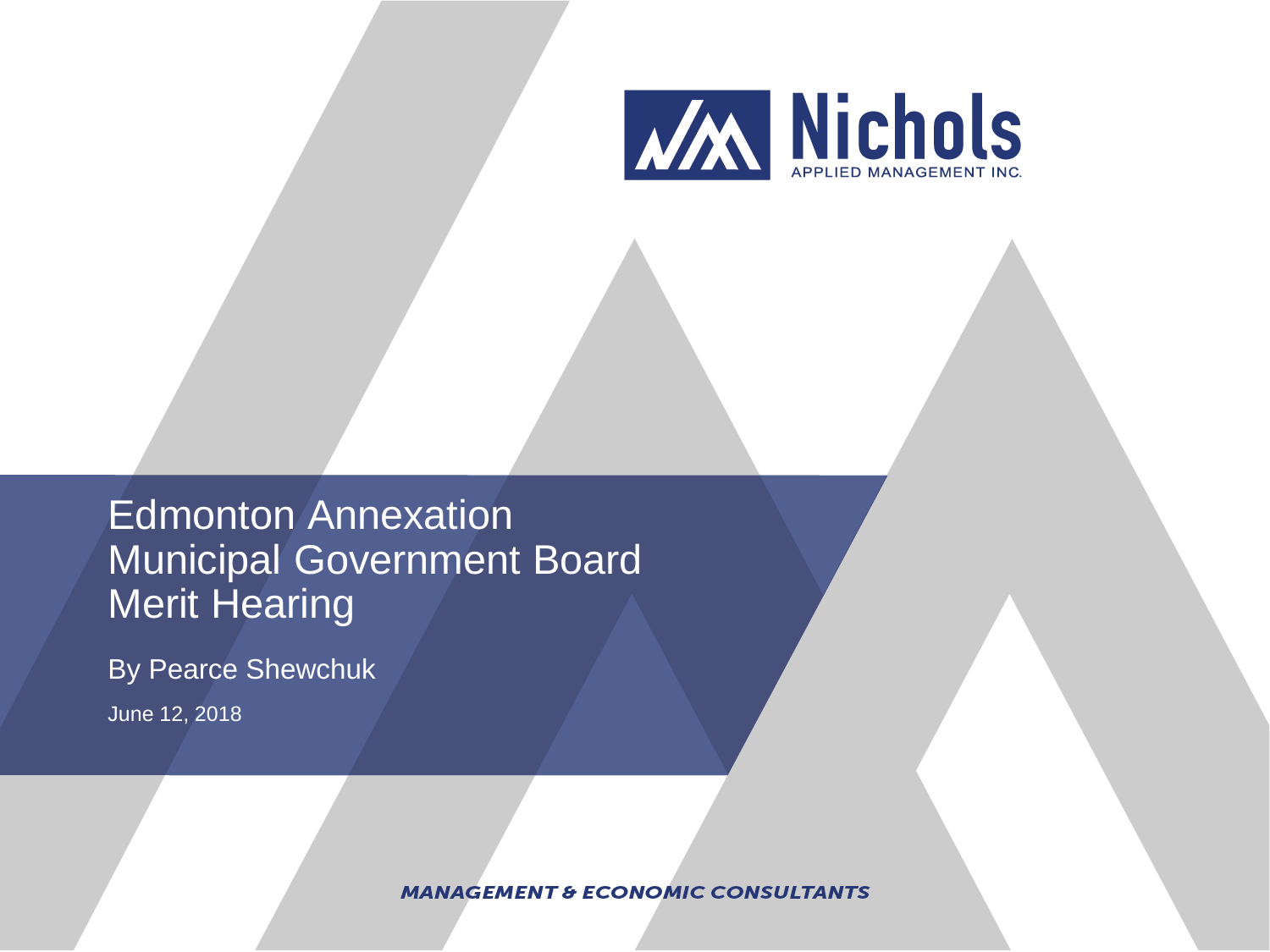

Edmonton Annexation Municipal Government Board **Merit Hearing** 

By Pearce Shewchuk

June 12, 2018

**MANAGEMENT & ECONOMIC CONSULTANTS**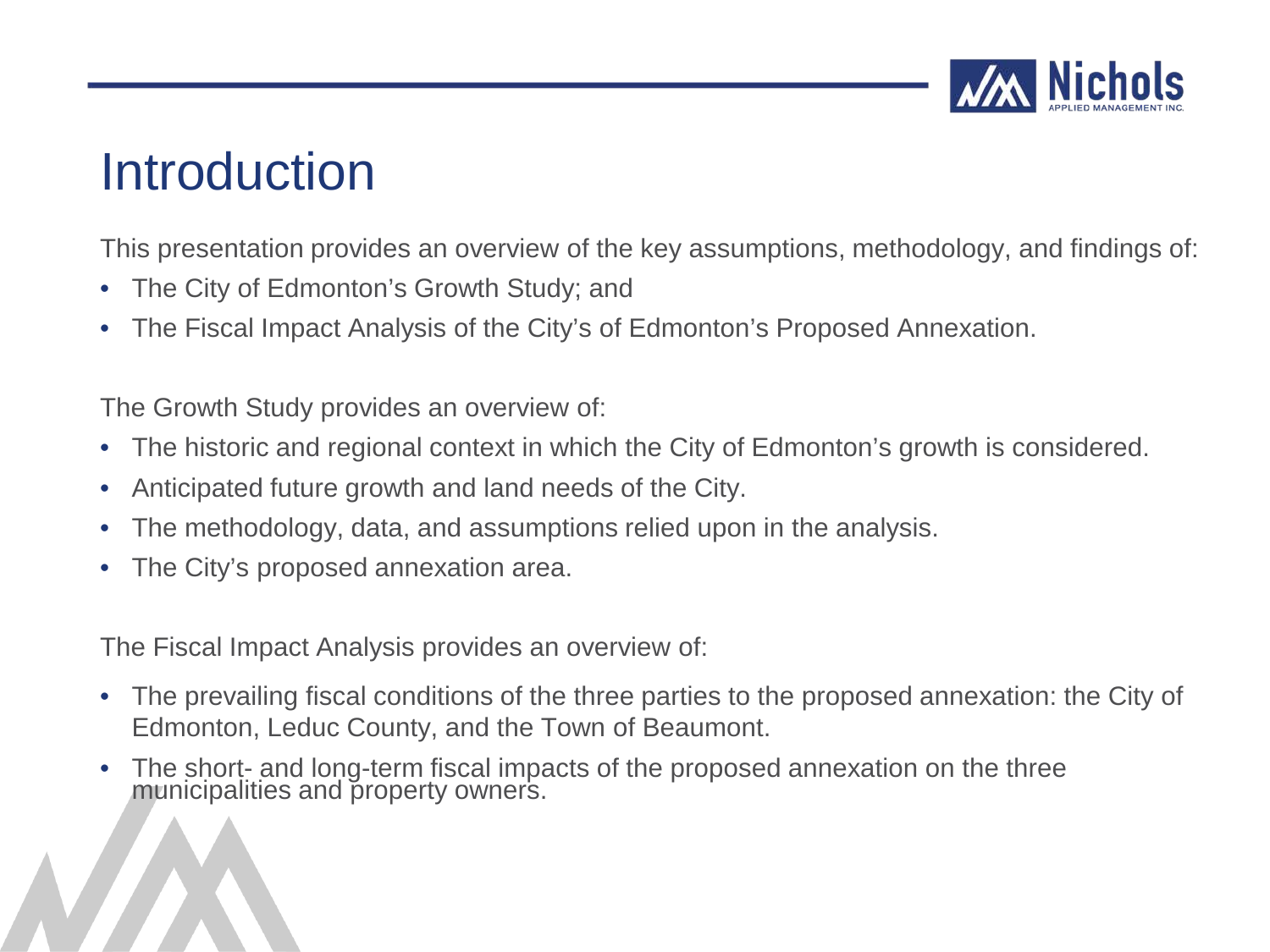

### Introduction

This presentation provides an overview of the key assumptions, methodology, and findings of:

- The City of Edmonton's Growth Study; and
- The Fiscal Impact Analysis of the City's of Edmonton's Proposed Annexation.

The Growth Study provides an overview of:

- The historic and regional context in which the City of Edmonton's growth is considered.
- Anticipated future growth and land needs of the City.
- The methodology, data, and assumptions relied upon in the analysis.
- The City's proposed annexation area.

The Fiscal Impact Analysis provides an overview of:

- The prevailing fiscal conditions of the three parties to the proposed annexation: the City of Edmonton, Leduc County, and the Town of Beaumont.
- The short- and long-term fiscal impacts of the proposed annexation on the three municipalities and property owners.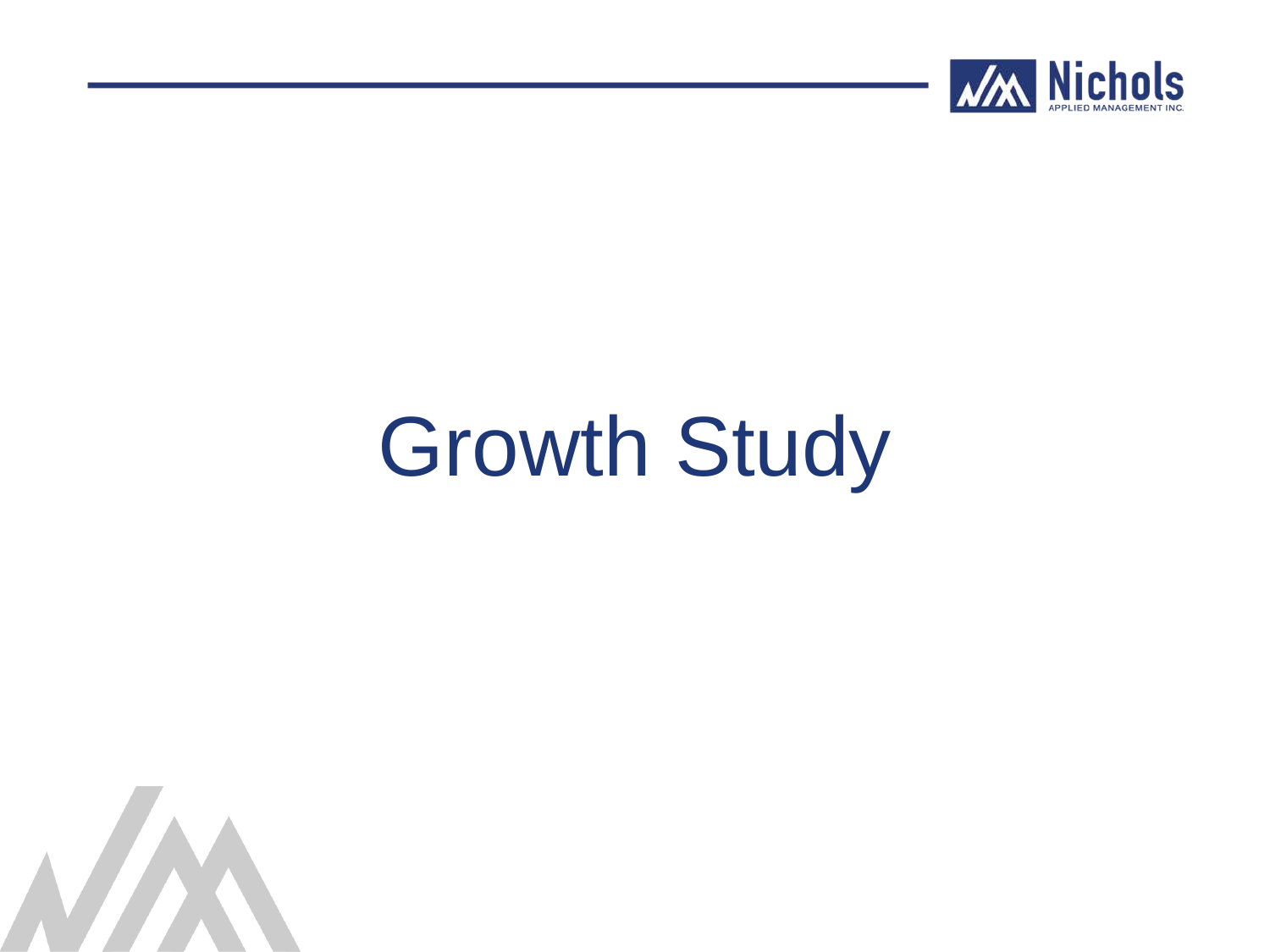

# Growth Study

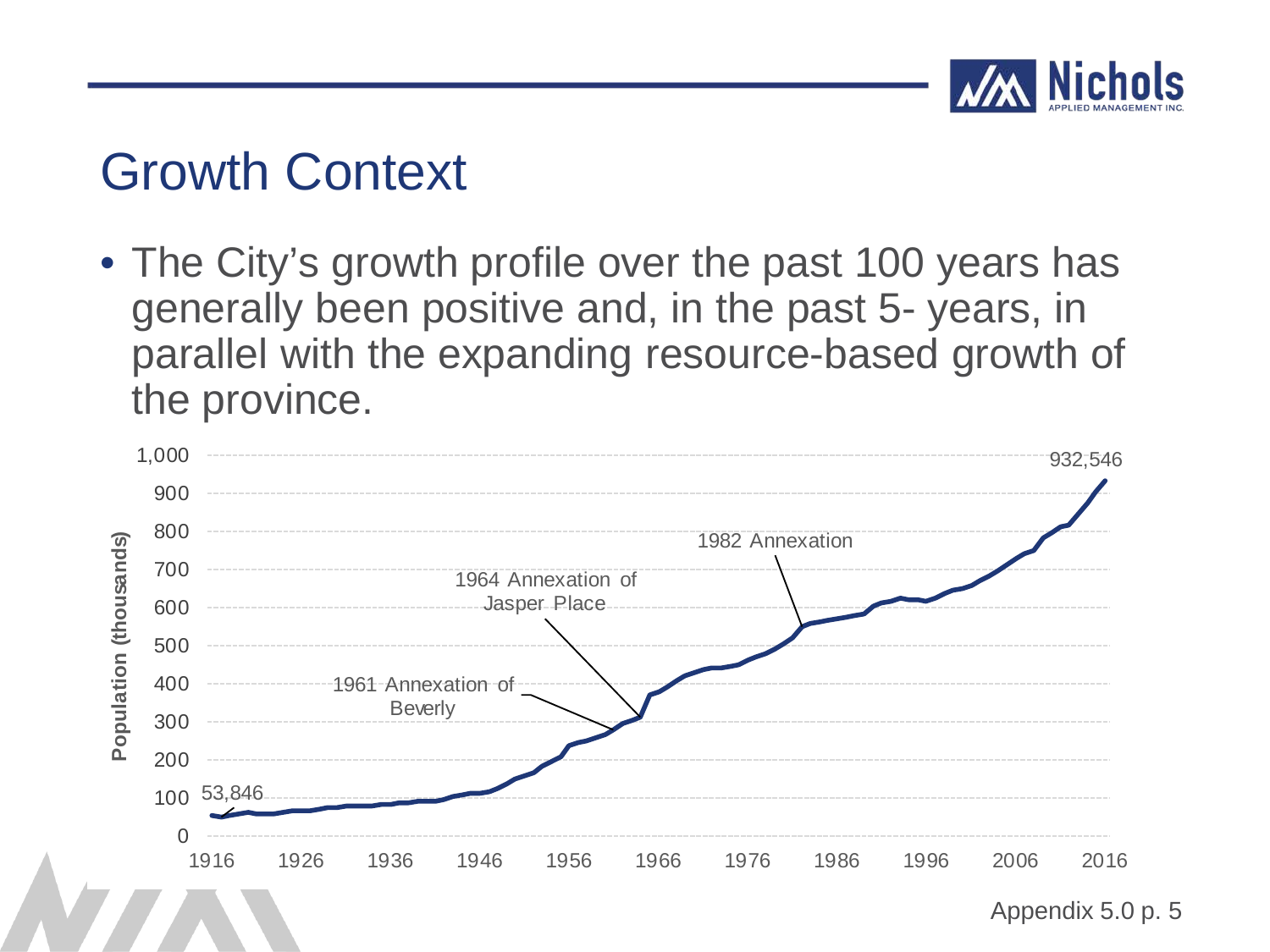

• The City's growth profile over the past 100 years has generally been positive and, in the past 5- years, in parallel with the expanding resource-based growth of the province.

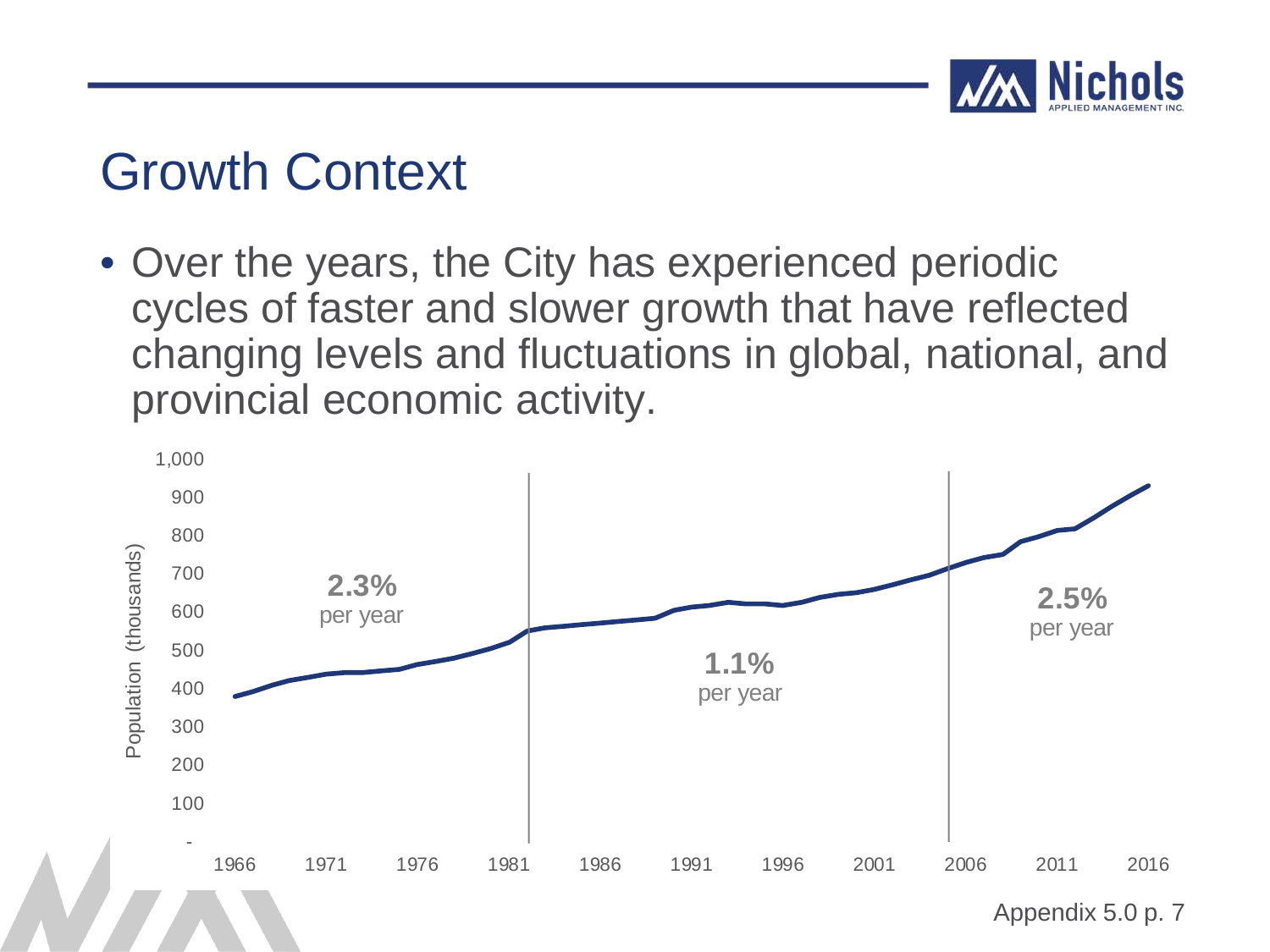

• Over the years, the City has experienced periodic cycles of faster and slower growth that have reflected changing levels and fluctuations in global, national, and provincial economic activity.

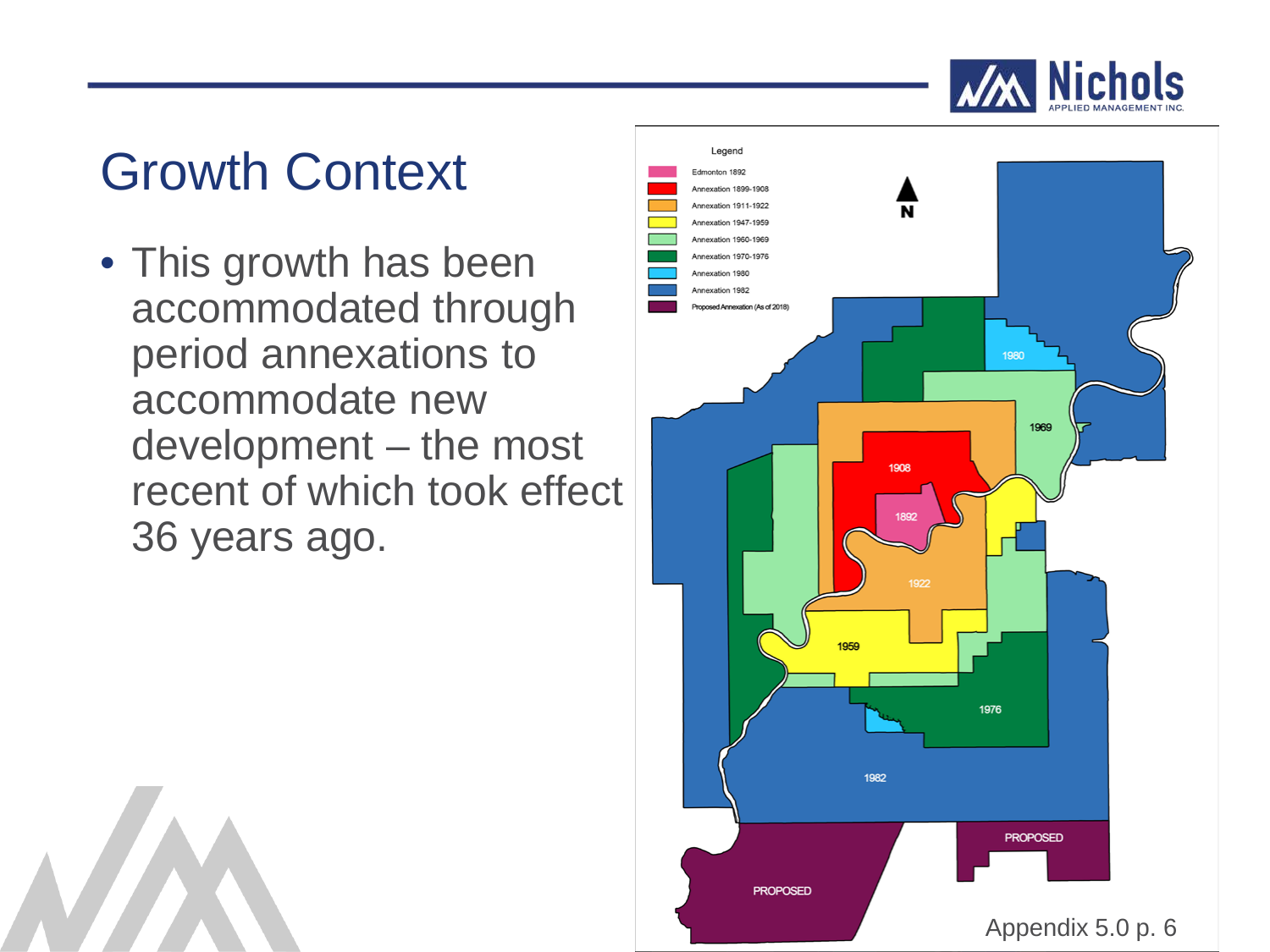#### **Nichols**

## Growth Context

• This growth has been accommodated through period annexations to accommodate new development – the most recent of which took effect 36 years ago.

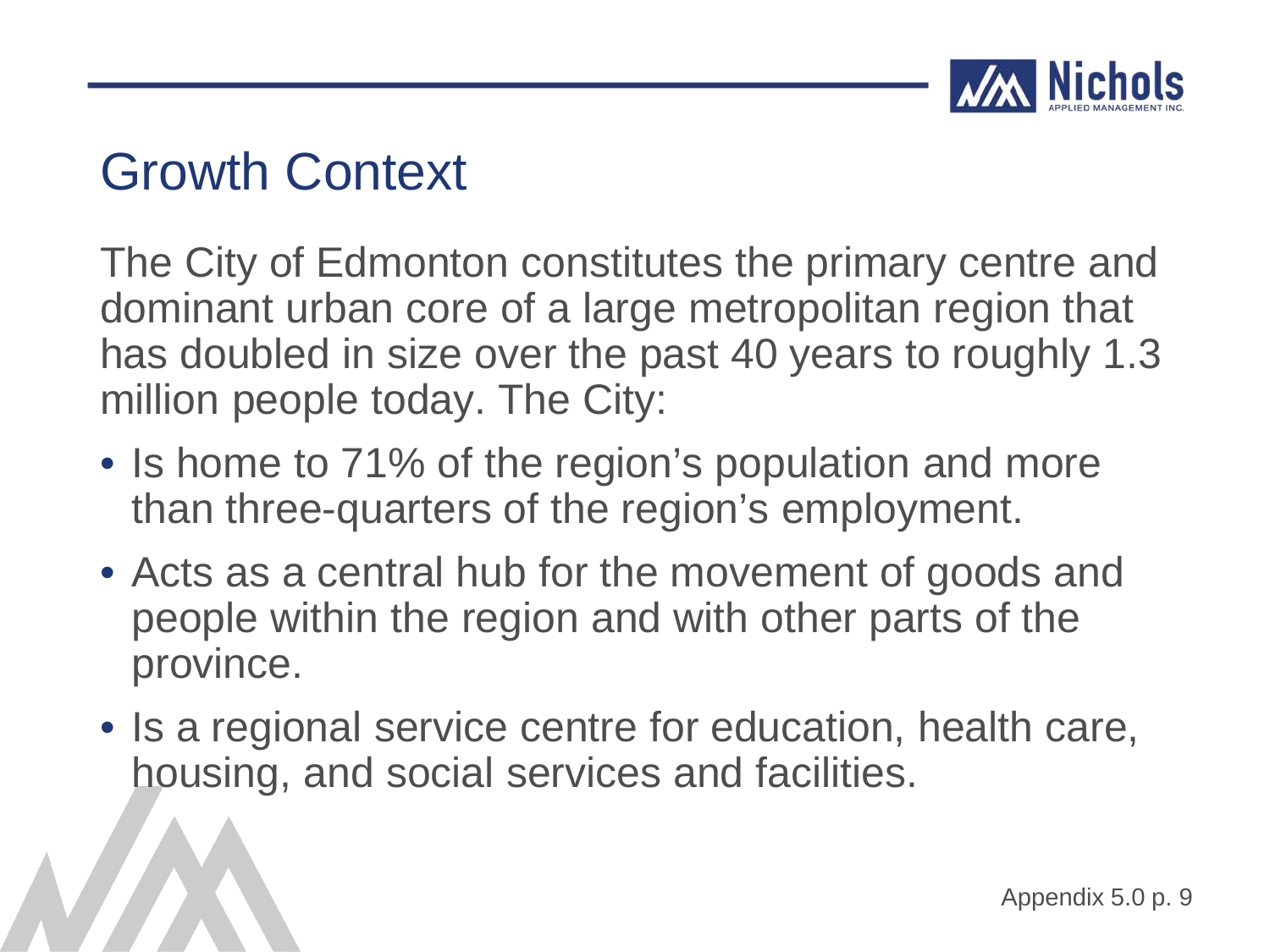

The City of Edmonton constitutes the primary centre and dominant urban core of a large metropolitan region that has doubled in size over the past 40 years to roughly 1.3 million people today. The City:

- Is home to 71% of the region's population and more than three-quarters of the region's employment.
- Acts as a central hub for the movement of goods and people within the region and with other parts of the province.
- Is a regional service centre for education, health care, housing, and social services and facilities.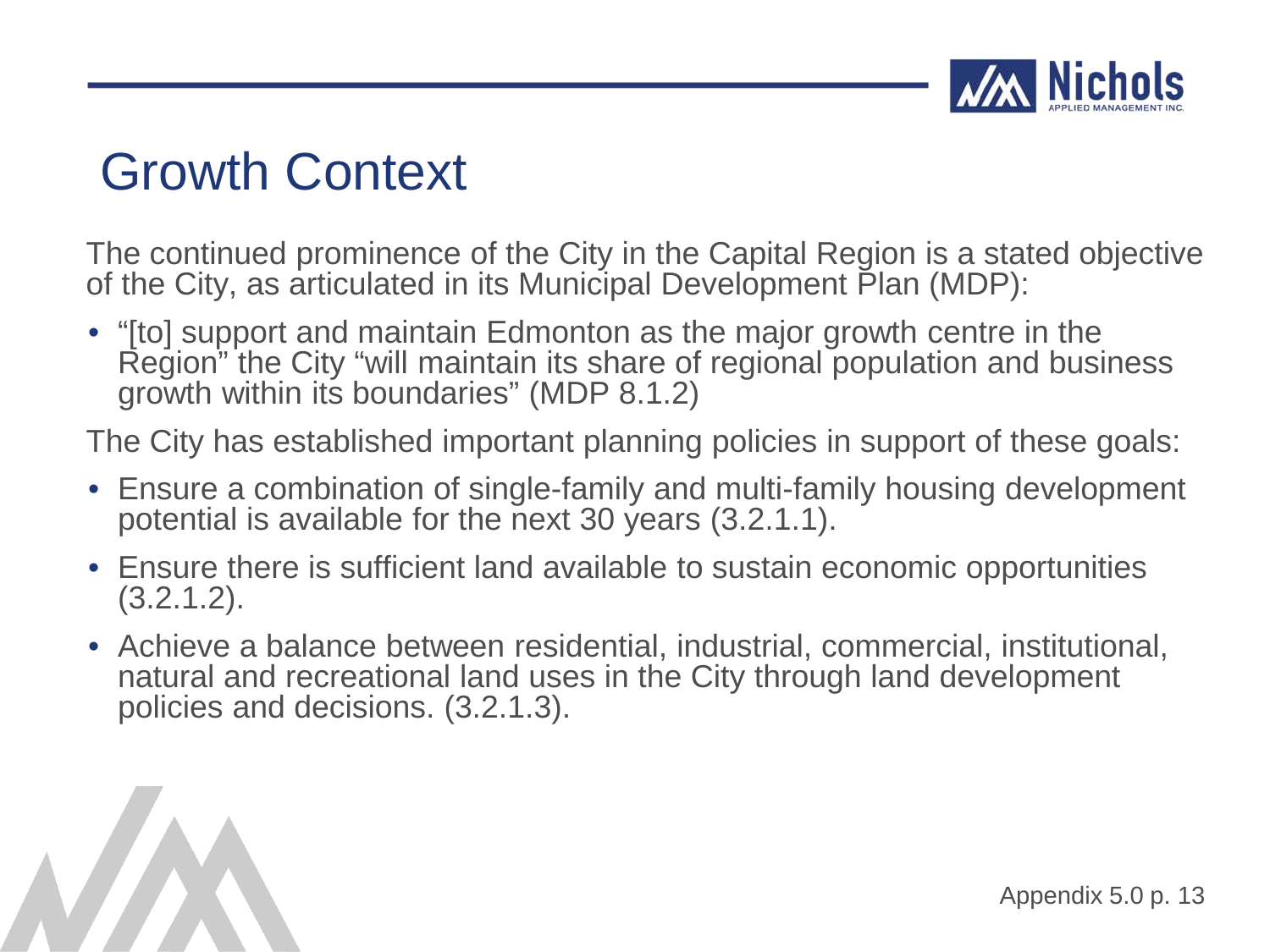

The continued prominence of the City in the Capital Region is a stated objective of the City, as articulated in its Municipal Development Plan (MDP):

• "[to] support and maintain Edmonton as the major growth centre in the Region" the City "will maintain its share of regional population and business growth within its boundaries" (MDP 8.1.2)

The City has established important planning policies in support of these goals:

- Ensure a combination of single-family and multi-family housing development potential is available for the next 30 years (3.2.1.1).
- Ensure there is sufficient land available to sustain economic opportunities  $(3.2.1.2)$ .
- Achieve a balance between residential, industrial, commercial, institutional, natural and recreational land uses in the City through land development policies and decisions. (3.2.1.3).

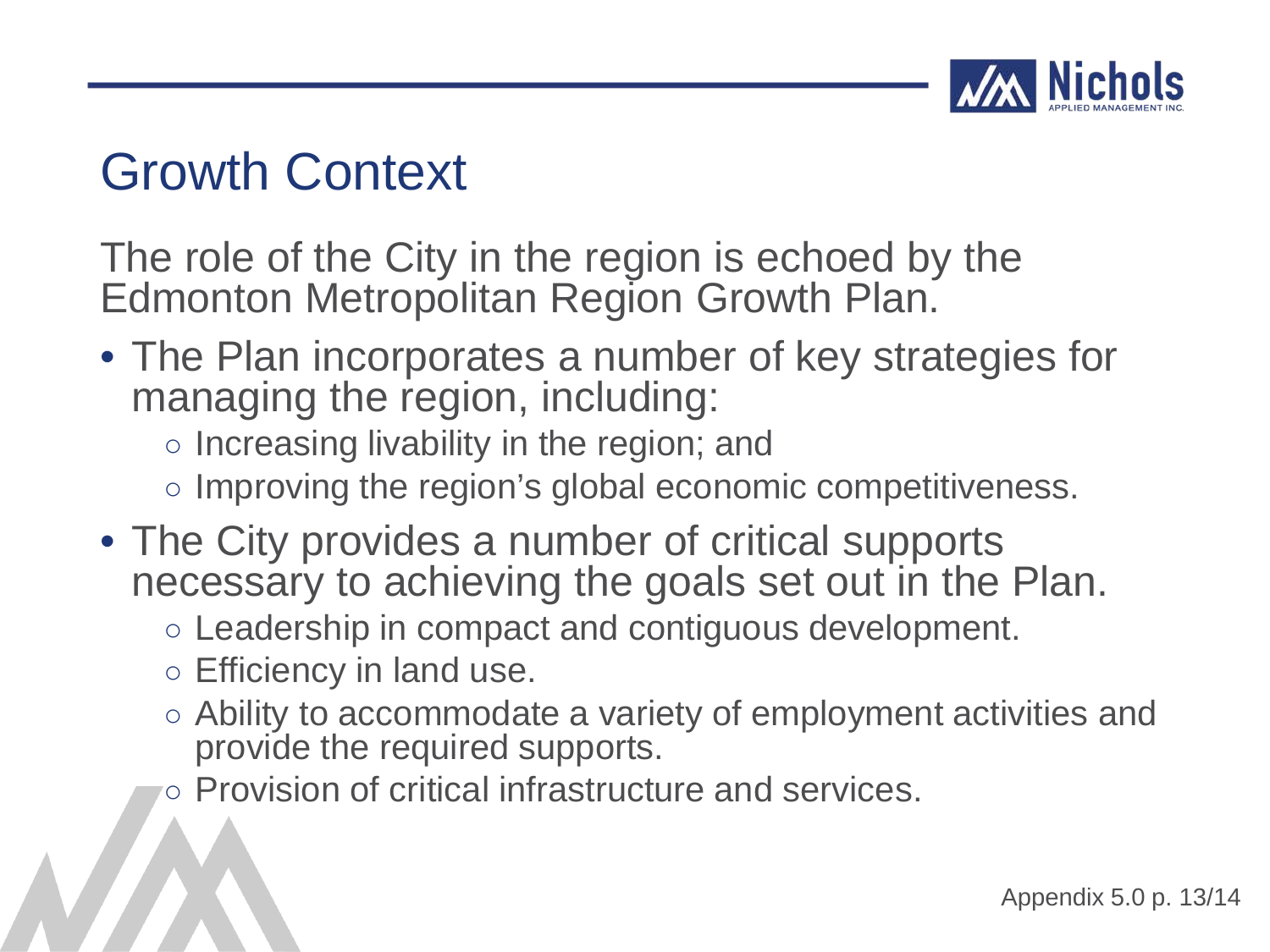

The role of the City in the region is echoed by the Edmonton Metropolitan Region Growth Plan.

- The Plan incorporates a number of key strategies for managing the region, including:
	- Increasing livability in the region; and
	- Improving the region's global economic competitiveness.
- The City provides a number of critical supports necessary to achieving the goals set out in the Plan.
	- Leadership in compact and contiguous development.
	- Efficiency in land use.
	- Ability to accommodate a variety of employment activities and provide the required supports.
	- Provision of critical infrastructure and services.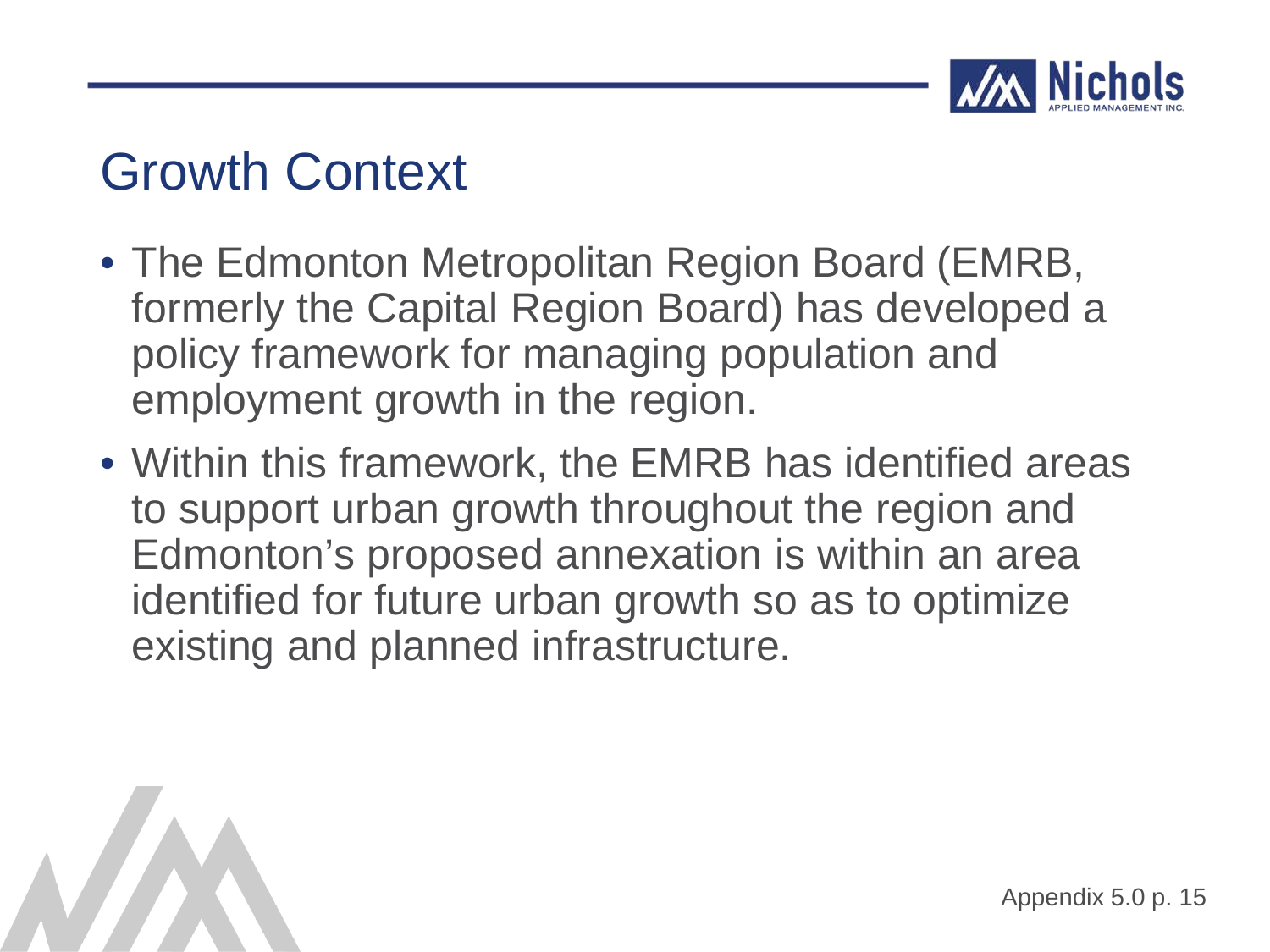

- The Edmonton Metropolitan Region Board (EMRB, formerly the Capital Region Board) has developed a policy framework for managing population and employment growth in the region.
- Within this framework, the EMRB has identified areas to support urban growth throughout the region and Edmonton's proposed annexation is within an area identified for future urban growth so as to optimize existing and planned infrastructure.

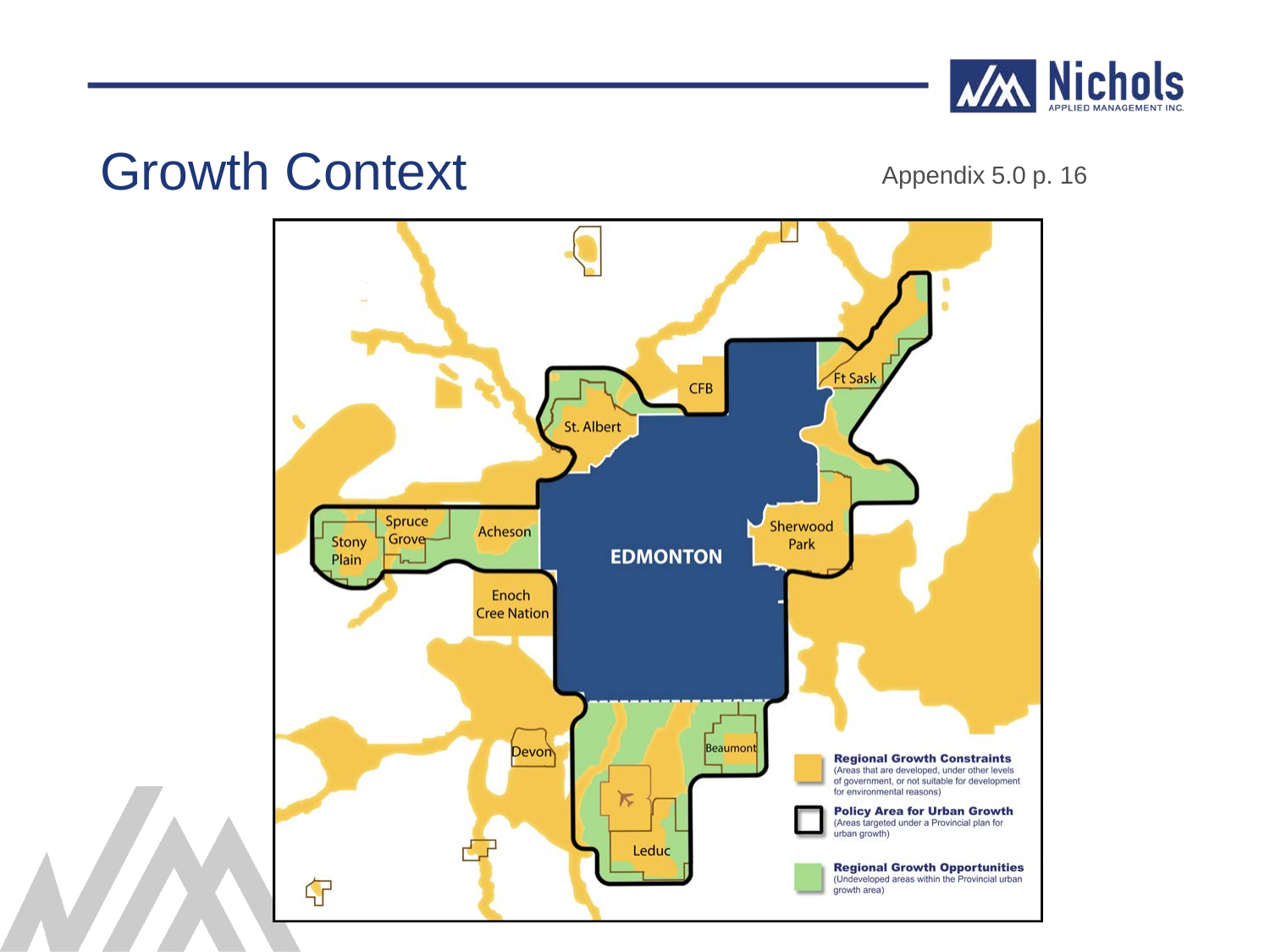

#### Growth Context Appendix 5.0 p. 16

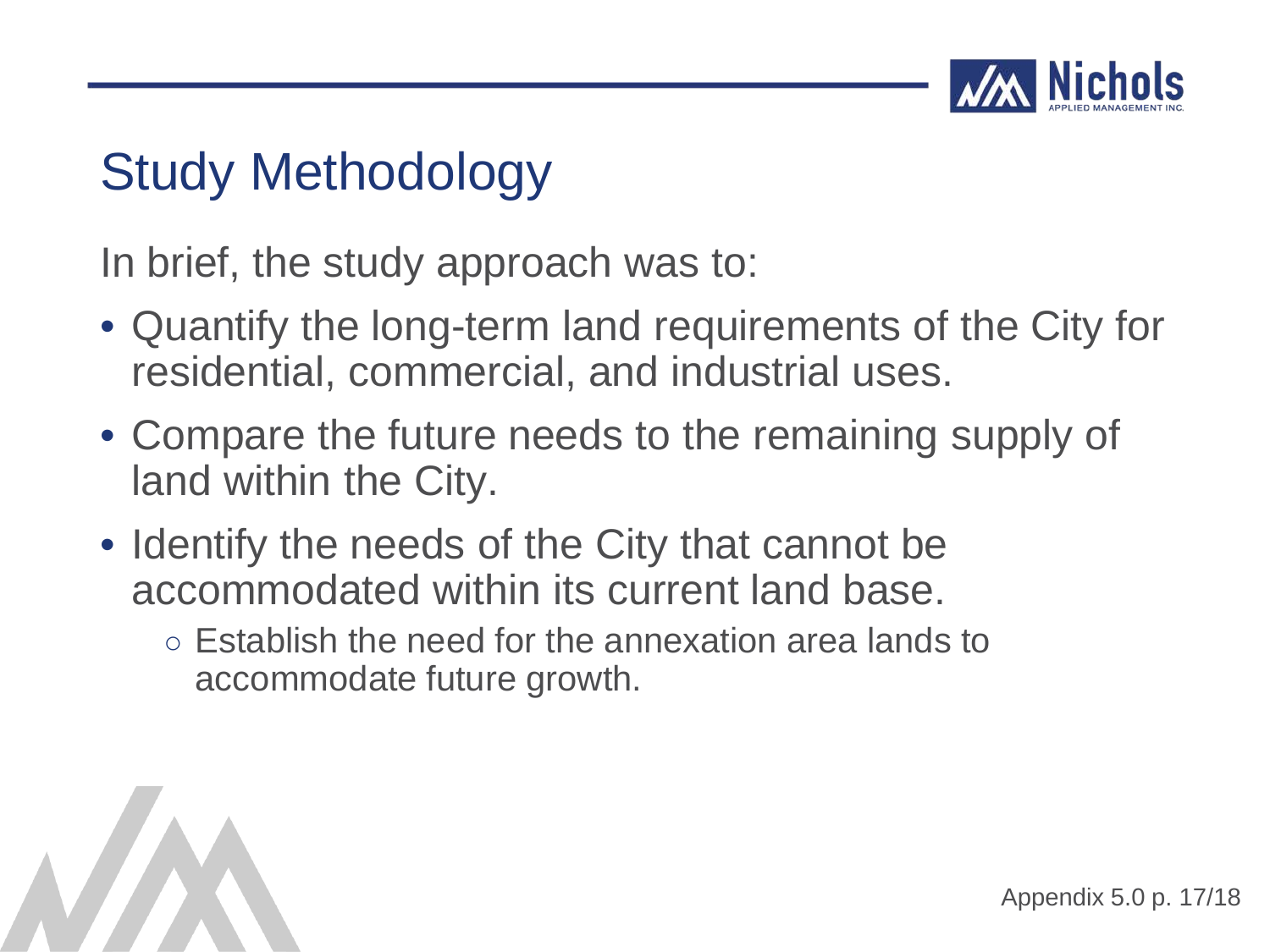

### Study Methodology

In brief, the study approach was to:

- Quantify the long-term land requirements of the City for residential, commercial, and industrial uses.
- Compare the future needs to the remaining supply of land within the City.
- Identify the needs of the City that cannot be accommodated within its current land base.
	- Establish the need for the annexation area lands to accommodate future growth.

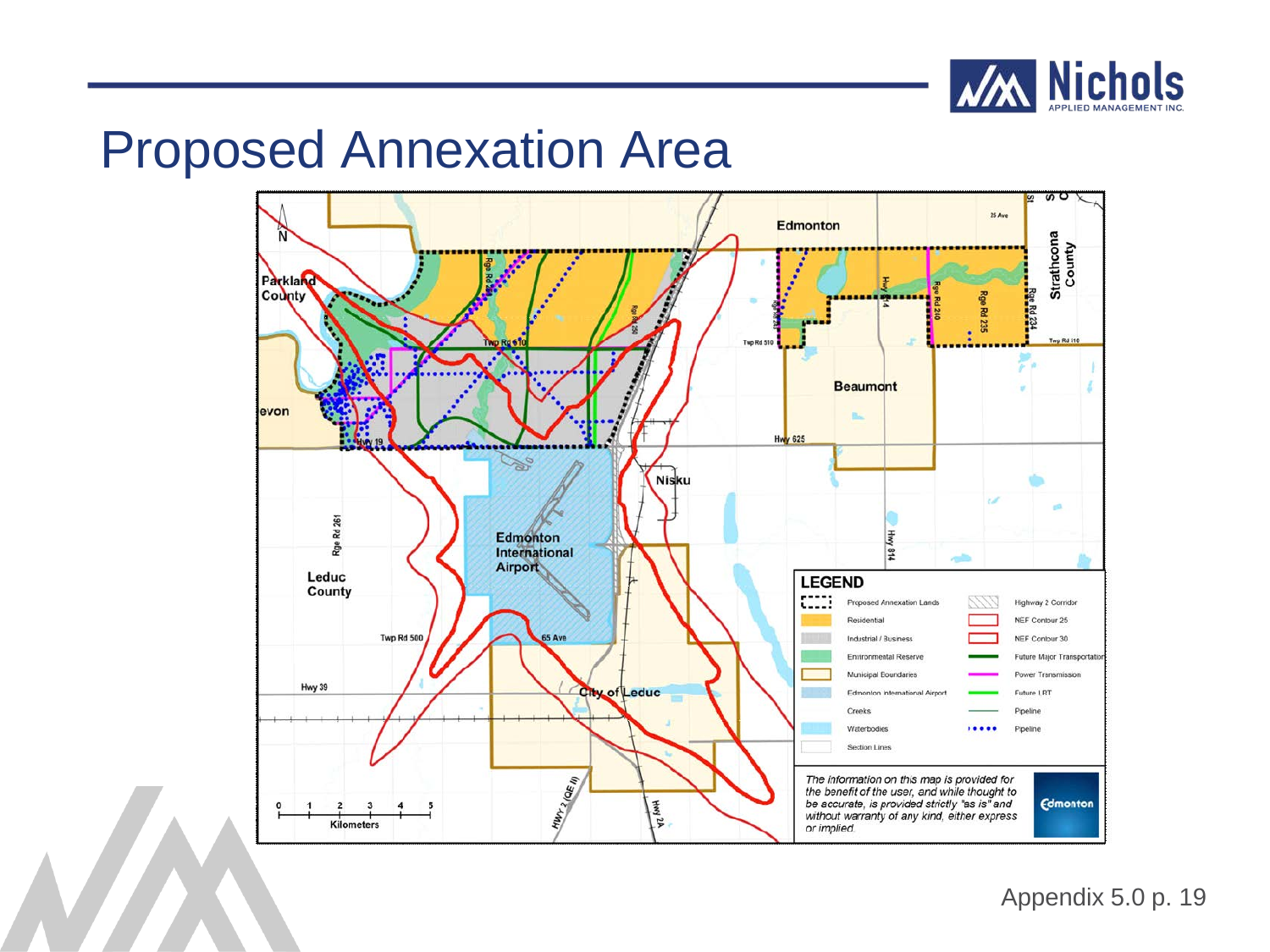

#### Proposed Annexation Area

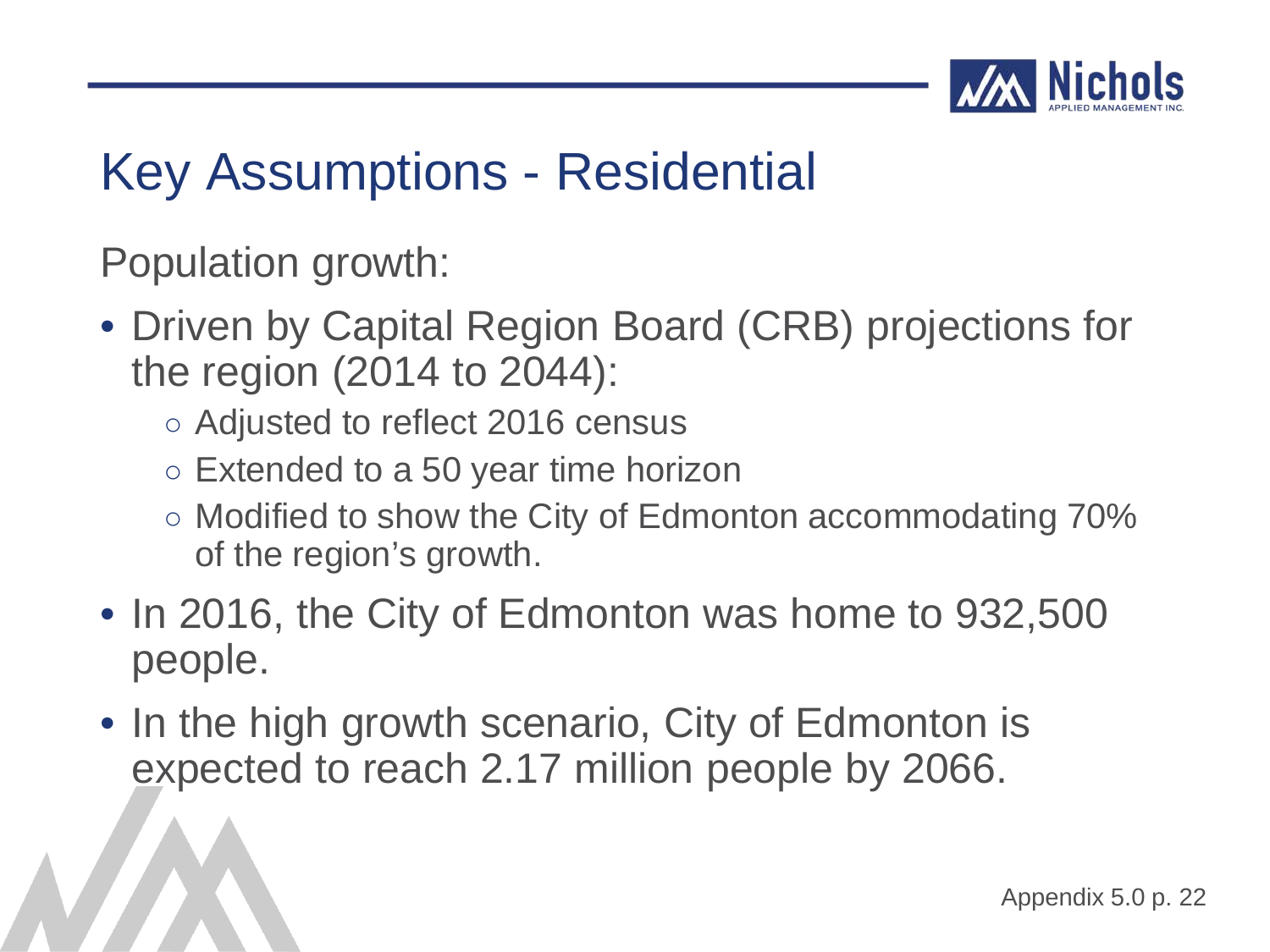

Population growth:

- Driven by Capital Region Board (CRB) projections for the region (2014 to 2044):
	- Adjusted to reflect 2016 census
	- Extended to a 50 year time horizon
	- Modified to show the City of Edmonton accommodating 70% of the region's growth.
- In 2016, the City of Edmonton was home to 932,500 people.
- In the high growth scenario, City of Edmonton is expected to reach 2.17 million people by 2066.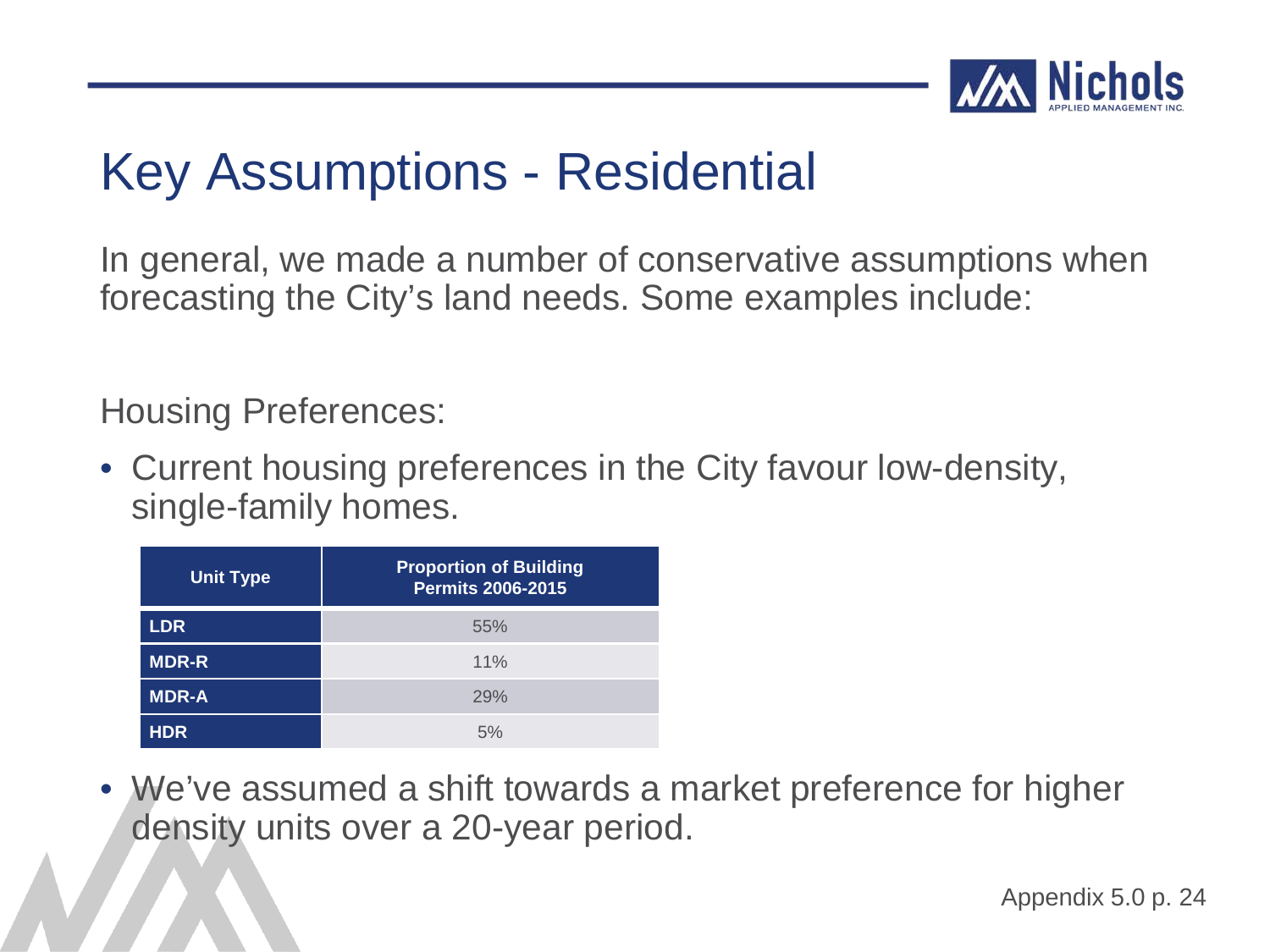

In general, we made a number of conservative assumptions when forecasting the City's land needs. Some examples include:

Housing Preferences:

• Current housing preferences in the City favour low-density, single-family homes.

| <b>Unit Type</b> | <b>Proportion of Building</b><br>Permits 2006-2015 |
|------------------|----------------------------------------------------|
| <b>LDR</b>       | 55%                                                |
| <b>MDR-R</b>     | 11%                                                |
| <b>MDR-A</b>     | 29%                                                |
| <b>HDR</b>       | 5%                                                 |

• We've assumed a shift towards a market preference for higher density units over a 20-year period.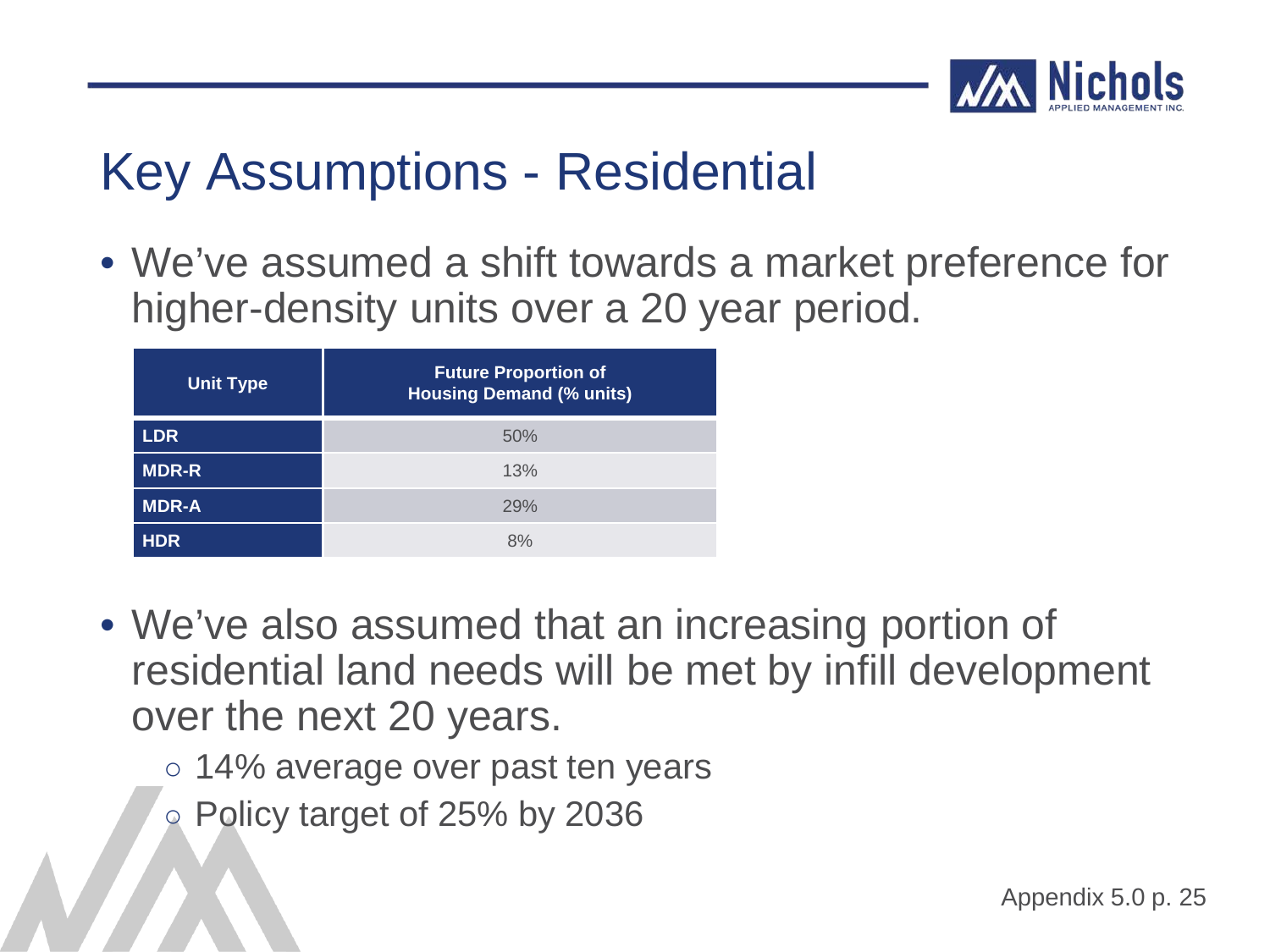

• We've assumed a shift towards a market preference for higher-density units over a 20 year period.

| <b>Unit Type</b> | <b>Future Proportion of</b><br><b>Housing Demand (% units)</b> |
|------------------|----------------------------------------------------------------|
| <b>LDR</b>       | 50%                                                            |
| <b>MDR-R</b>     | 13%                                                            |
| <b>MDR-A</b>     | 29%                                                            |
| <b>HDR</b>       | 8%                                                             |

- We've also assumed that an increasing portion of residential land needs will be met by infill development over the next 20 years.
	- 14% average over past ten years
	- Policy target of 25% by 2036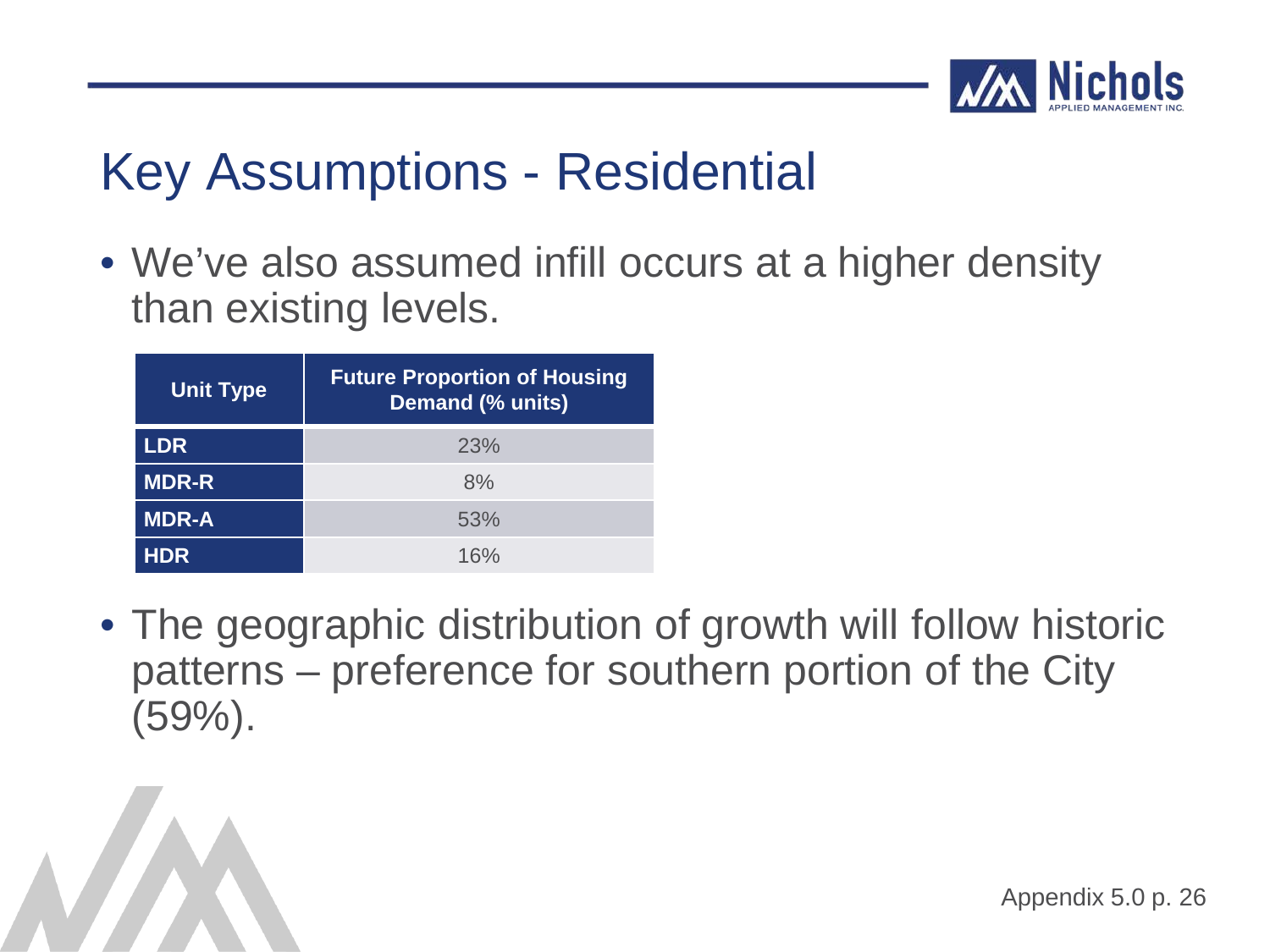

• We've also assumed infill occurs at a higher density than existing levels.

| <b>Unit Type</b> | <b>Future Proportion of Housing</b><br><b>Demand (% units)</b> |
|------------------|----------------------------------------------------------------|
| <b>LDR</b>       | 23%                                                            |
| <b>MDR-R</b>     | 8%                                                             |
| <b>MDR-A</b>     | 53%                                                            |
| <b>HDR</b>       | 16%                                                            |

• The geographic distribution of growth will follow historic patterns – preference for southern portion of the City (59%).

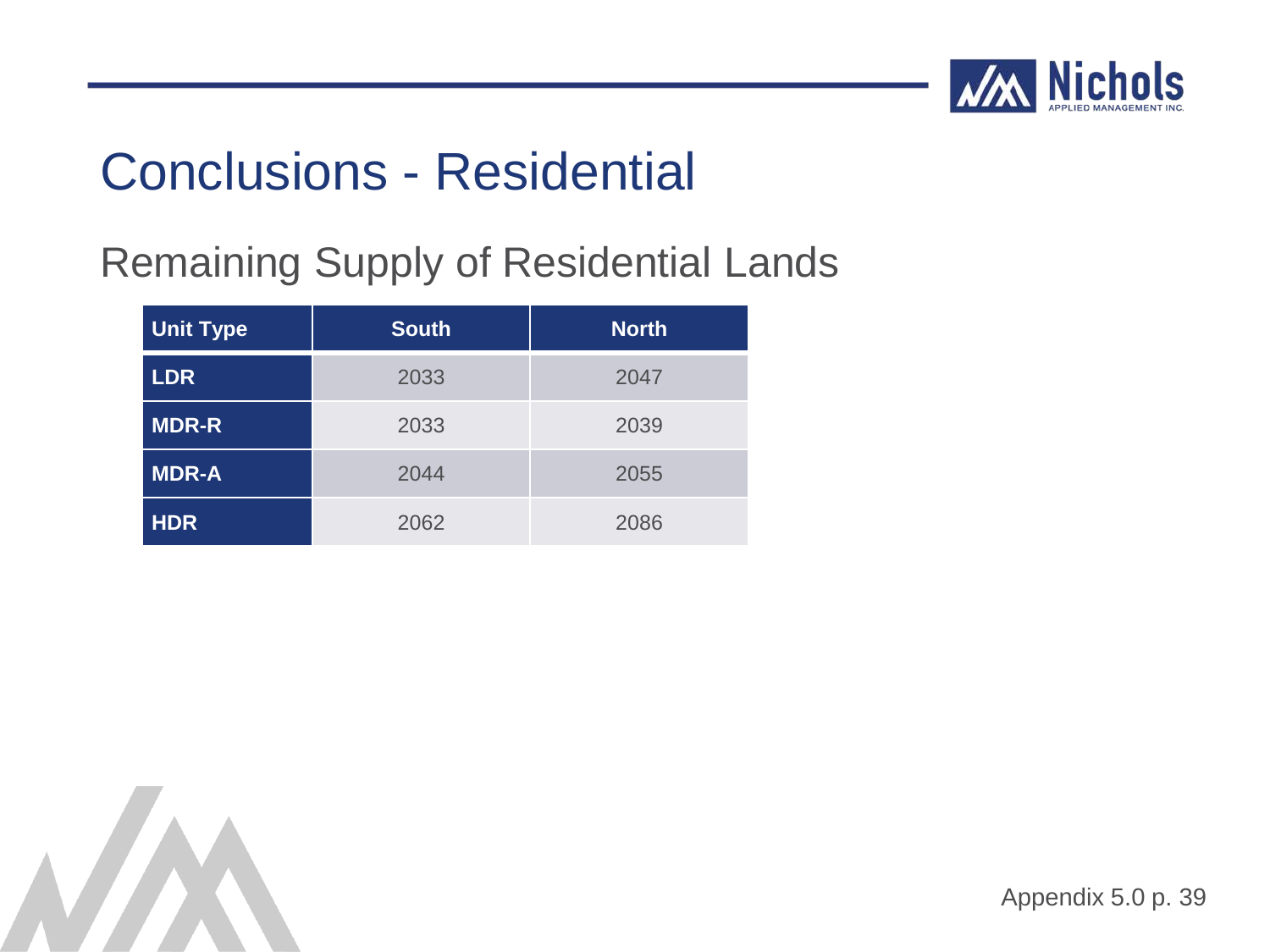

### Conclusions - Residential

#### Remaining Supply of Residential Lands

| <b>Unit Type</b> | <b>South</b> | <b>North</b> |
|------------------|--------------|--------------|
| <b>LDR</b>       | 2033         | 2047         |
| <b>MDR-R</b>     | 2033         | 2039         |
| <b>MDR-A</b>     | 2044         | 2055         |
| <b>HDR</b>       | 2062         | 2086         |

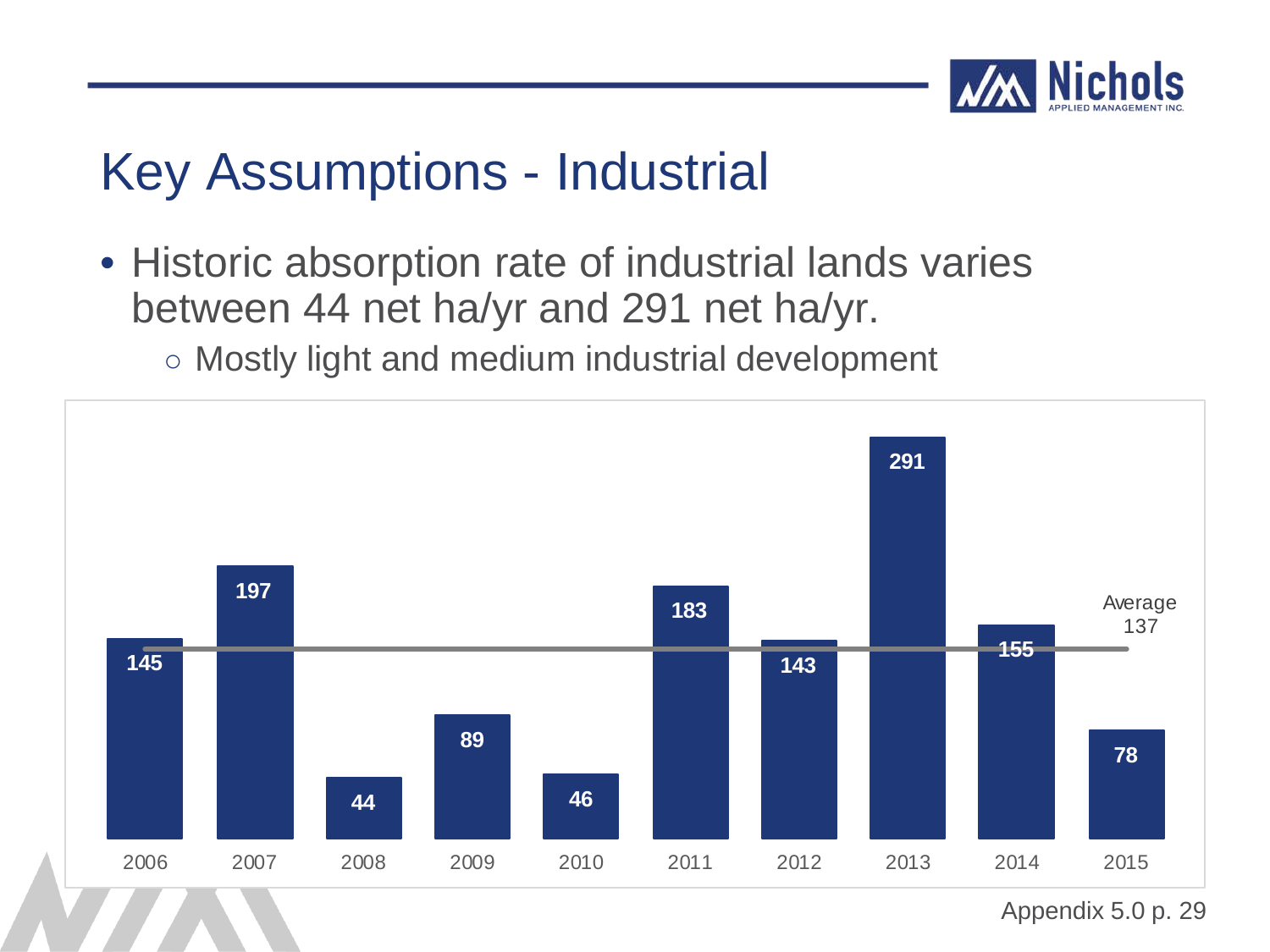

• Historic absorption rate of industrial lands varies between 44 net ha/yr and 291 net ha/yr.

○ Mostly light and medium industrial development

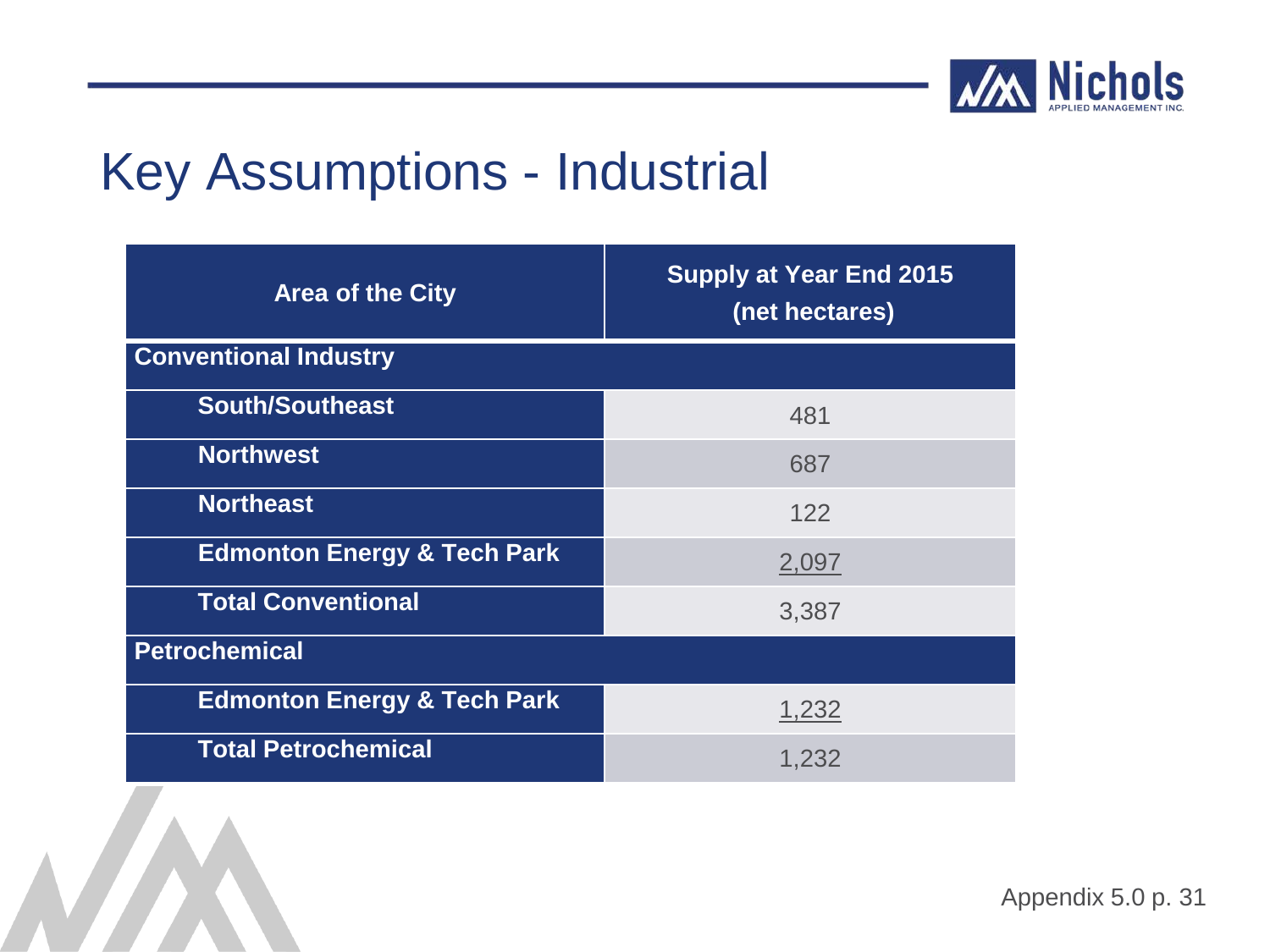

| <b>Area of the City</b>                | <b>Supply at Year End 2015</b><br>(net hectares) |
|----------------------------------------|--------------------------------------------------|
| <b>Conventional Industry</b>           |                                                  |
| <b>South/Southeast</b>                 | 481                                              |
| <b>Northwest</b>                       | 687                                              |
| <b>Northeast</b>                       | 122                                              |
| <b>Edmonton Energy &amp; Tech Park</b> | 2,097                                            |
| <b>Total Conventional</b>              | 3,387                                            |
| <b>Petrochemical</b>                   |                                                  |
| <b>Edmonton Energy &amp; Tech Park</b> | 1,232                                            |
| <b>Total Petrochemical</b>             | 1,232                                            |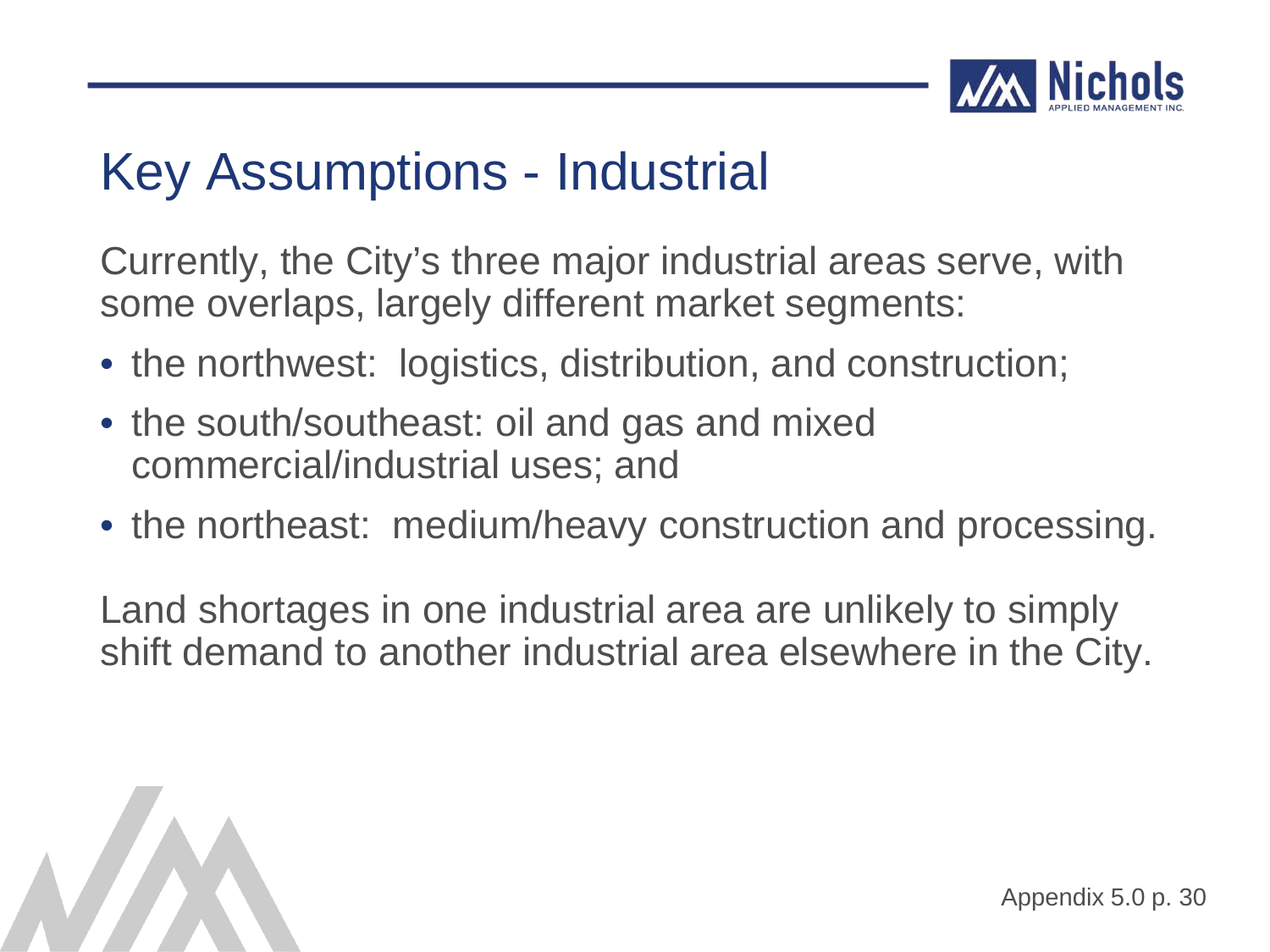

Currently, the City's three major industrial areas serve, with some overlaps, largely different market segments:

- the northwest: logistics, distribution, and construction;
- the south/southeast: oil and gas and mixed commercial/industrial uses; and
- the northeast: medium/heavy construction and processing.

Land shortages in one industrial area are unlikely to simply shift demand to another industrial area elsewhere in the City.

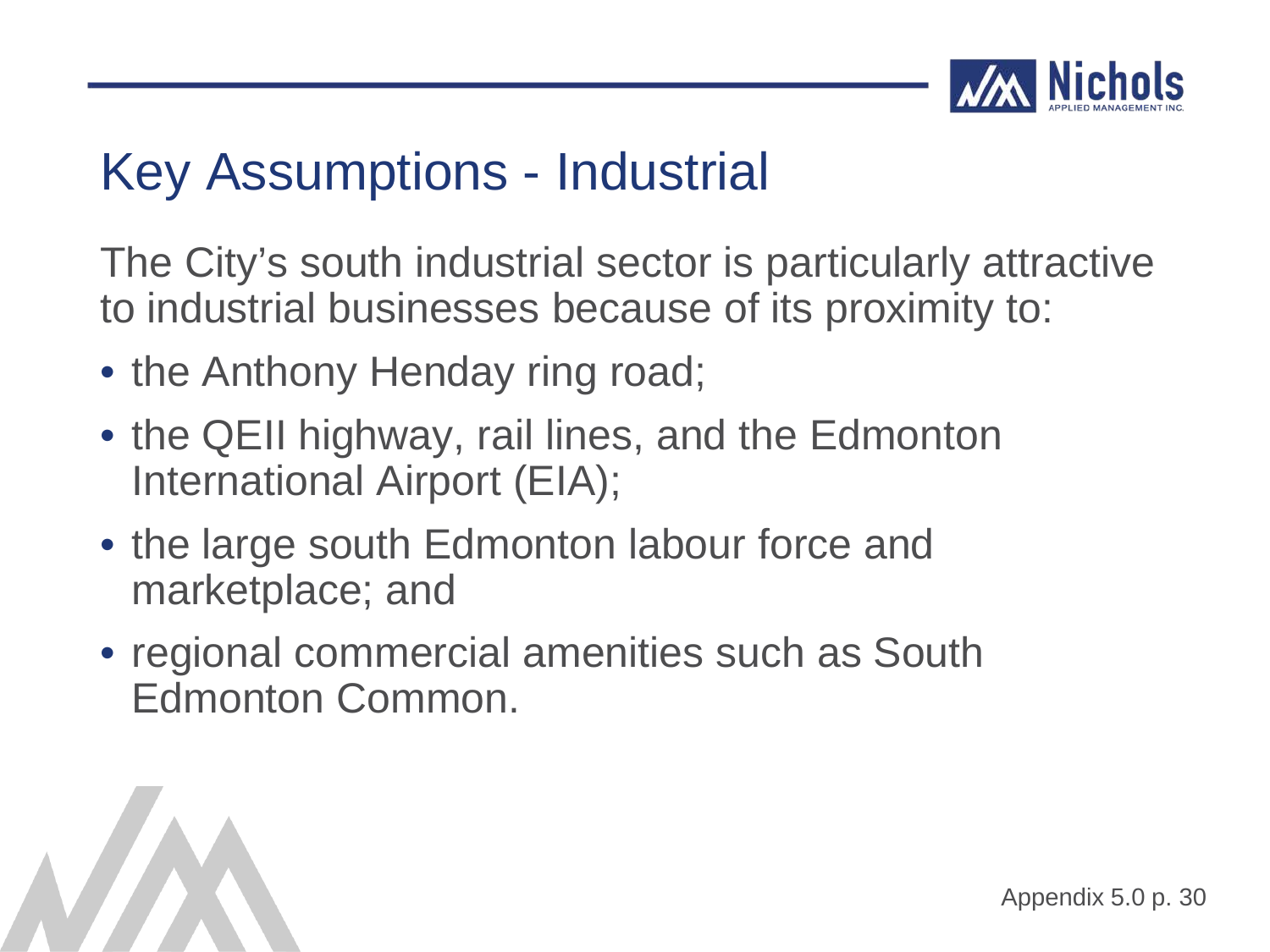

The City's south industrial sector is particularly attractive to industrial businesses because of its proximity to:

- the Anthony Henday ring road;
- the QEII highway, rail lines, and the Edmonton International Airport (EIA);
- the large south Edmonton labour force and marketplace; and
- regional commercial amenities such as South Edmonton Common.

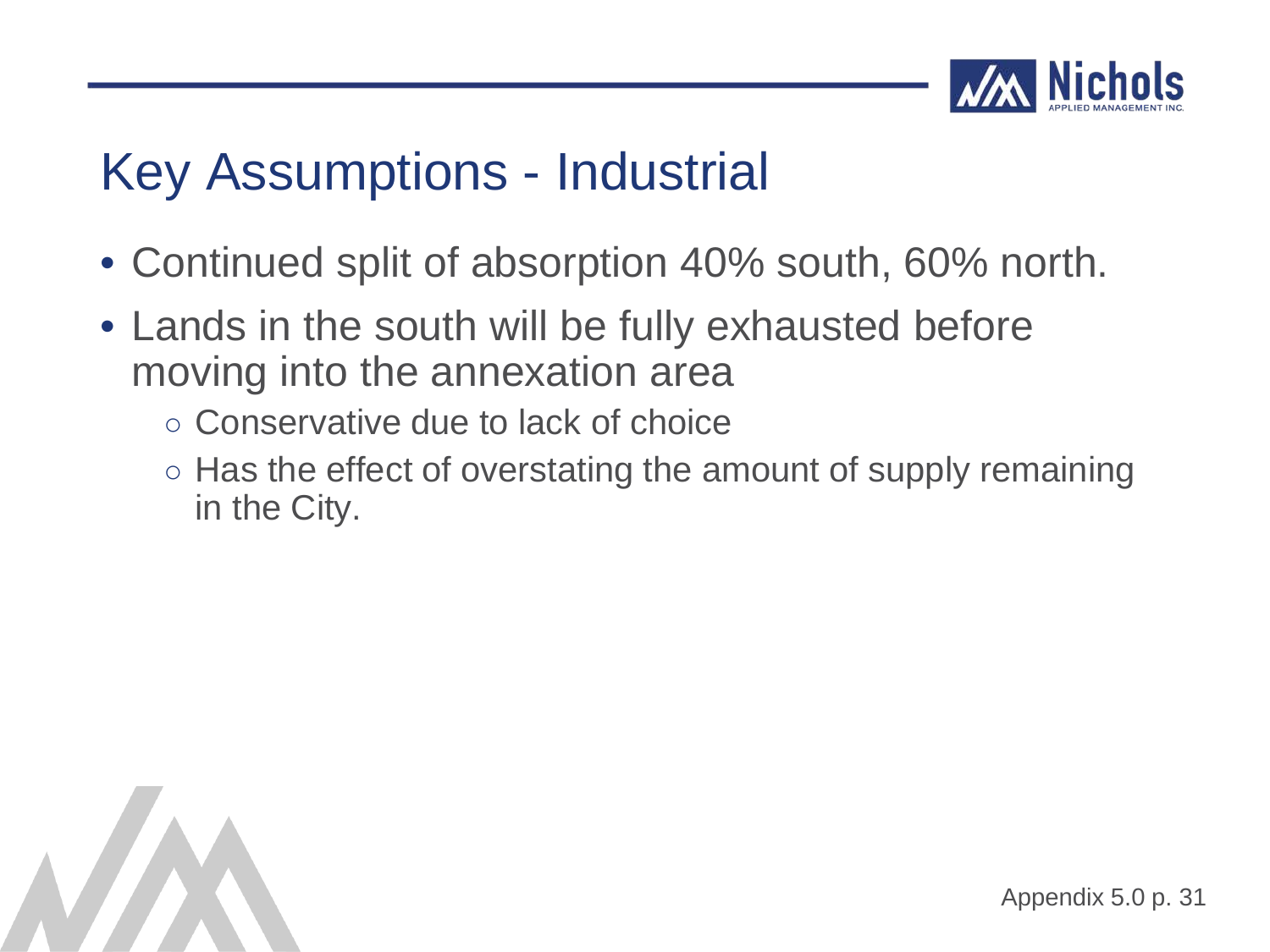

- Continued split of absorption 40% south, 60% north.
- Lands in the south will be fully exhausted before moving into the annexation area
	- Conservative due to lack of choice
	- Has the effect of overstating the amount of supply remaining in the City.

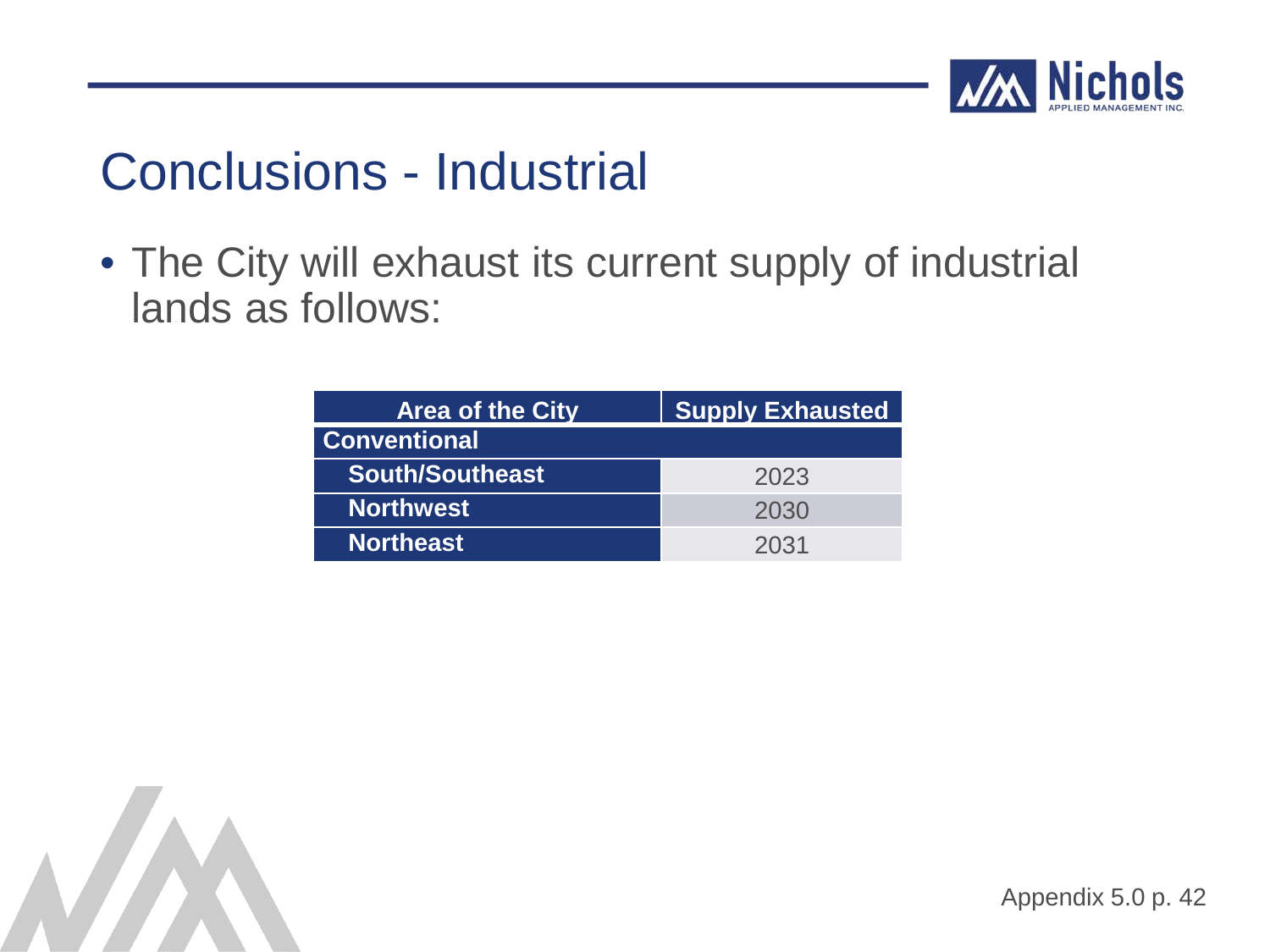

#### Conclusions - Industrial

• The City will exhaust its current supply of industrial lands as follows:

| <b>Area of the City</b> | <b>Supply Exhausted</b> |
|-------------------------|-------------------------|
| <b>Conventional</b>     |                         |
| <b>South/Southeast</b>  | 2023                    |
| <b>Northwest</b>        | 2030                    |
| <b>Northeast</b>        | 2031                    |

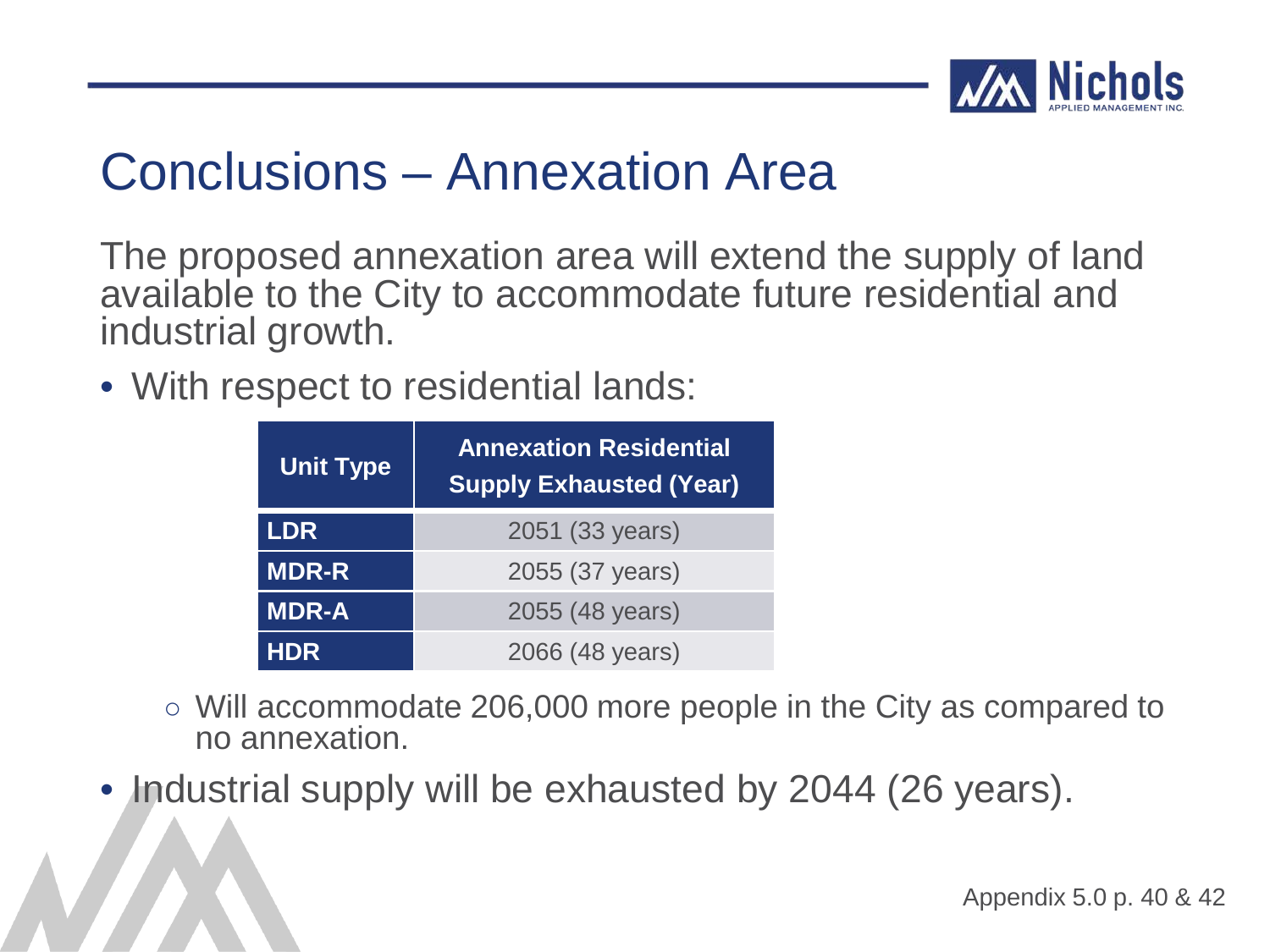

#### Conclusions – Annexation Area

The proposed annexation area will extend the supply of land available to the City to accommodate future residential and industrial growth.

• With respect to residential lands:

| <b>Unit Type</b> | <b>Annexation Residential</b><br><b>Supply Exhausted (Year)</b> |  |  |  |  |  |  |  |  |  |  |
|------------------|-----------------------------------------------------------------|--|--|--|--|--|--|--|--|--|--|
| <b>LDR</b>       | 2051 (33 years)                                                 |  |  |  |  |  |  |  |  |  |  |
| <b>MDR-R</b>     | 2055 (37 years)                                                 |  |  |  |  |  |  |  |  |  |  |
| <b>MDR-A</b>     | 2055 (48 years)                                                 |  |  |  |  |  |  |  |  |  |  |
| <b>HDR</b>       | 2066 (48 years)                                                 |  |  |  |  |  |  |  |  |  |  |

- Will accommodate 206,000 more people in the City as compared to no annexation.
- Industrial supply will be exhausted by 2044 (26 years).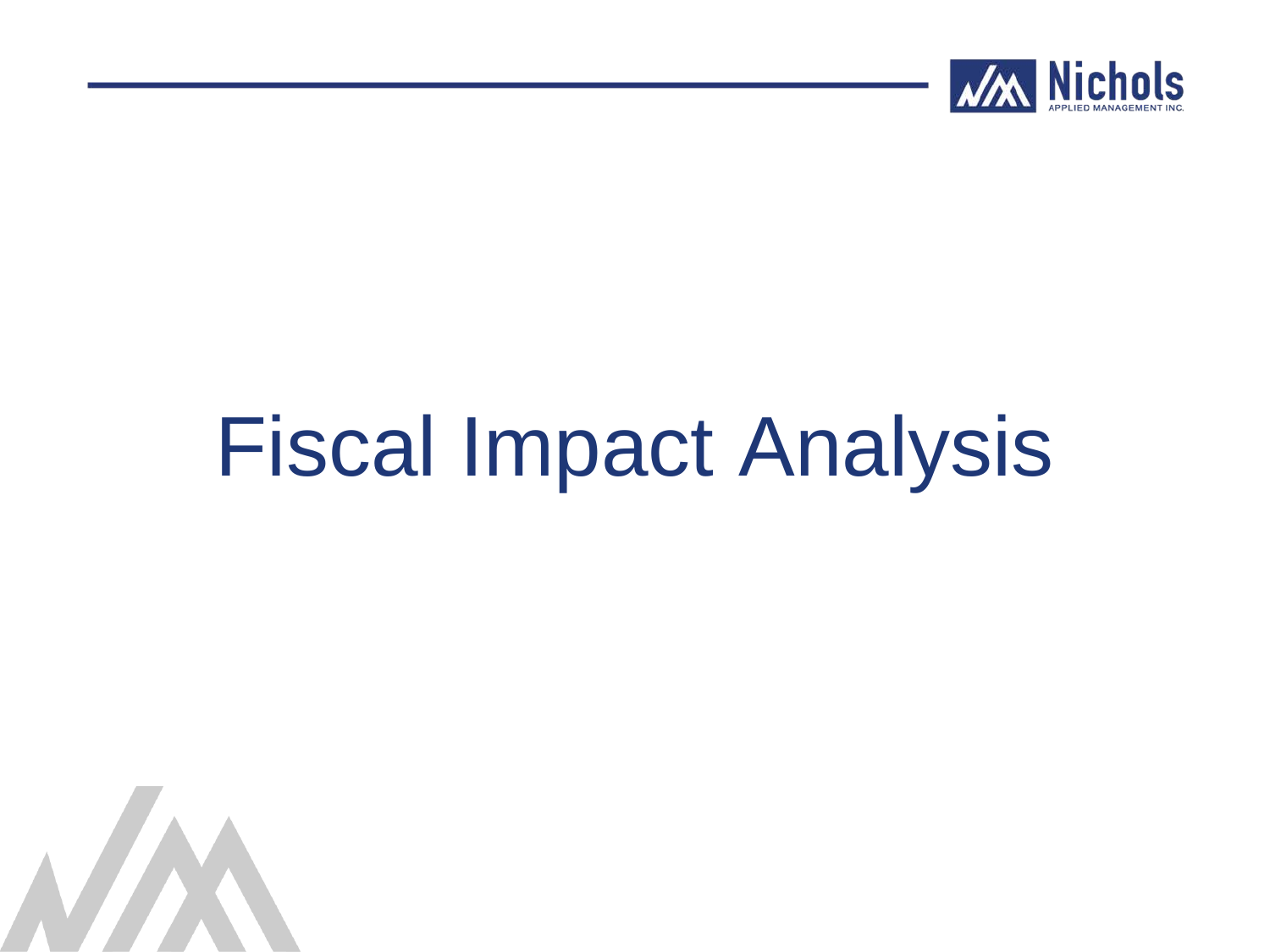

## Fiscal Impact Analysis

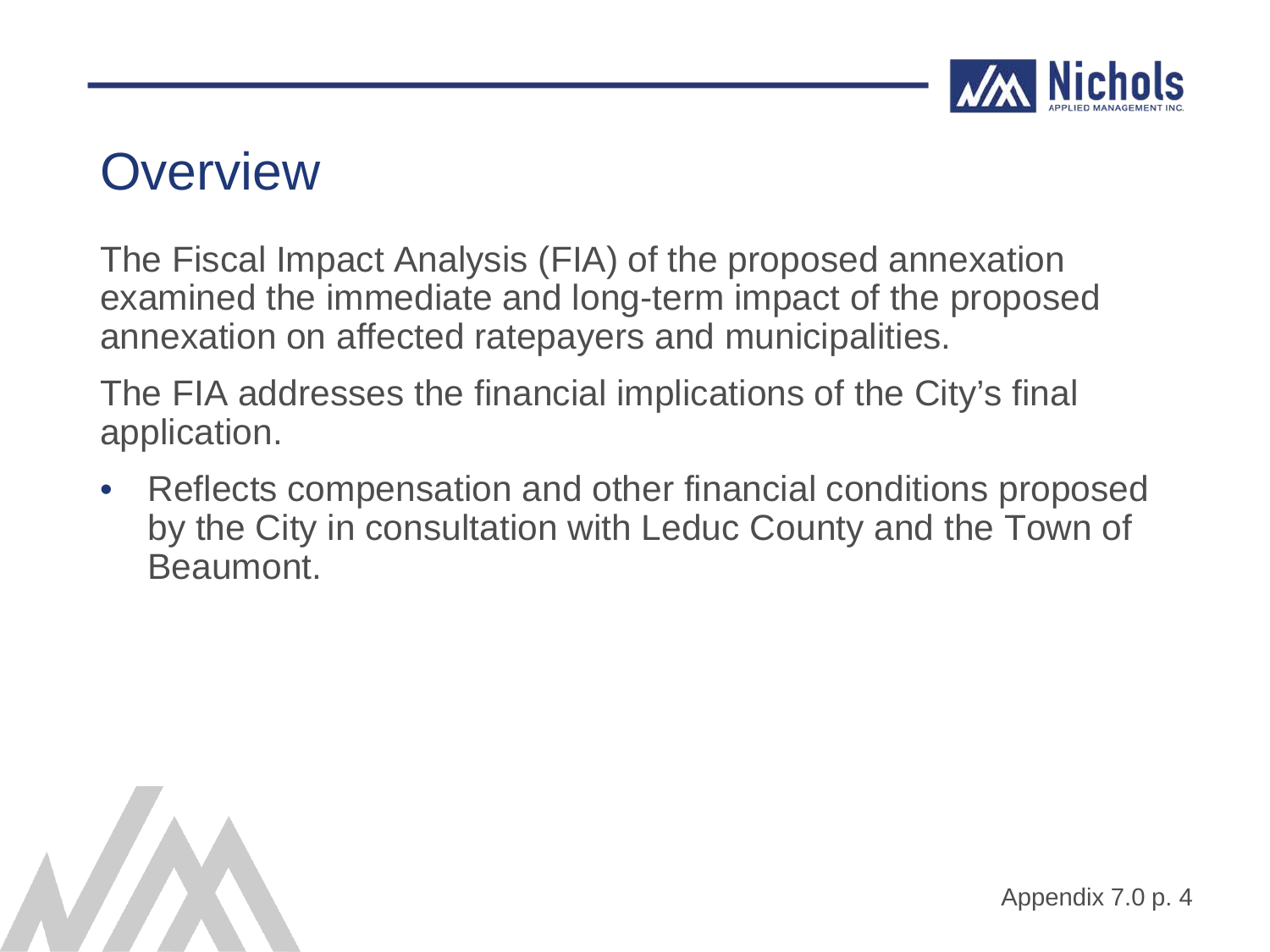

#### **Overview**

The Fiscal Impact Analysis (FIA) of the proposed annexation examined the immediate and long-term impact of the proposed annexation on affected ratepayers and municipalities.

The FIA addresses the financial implications of the City's final application.

• Reflects compensation and other financial conditions proposed by the City in consultation with Leduc County and the Town of Beaumont.

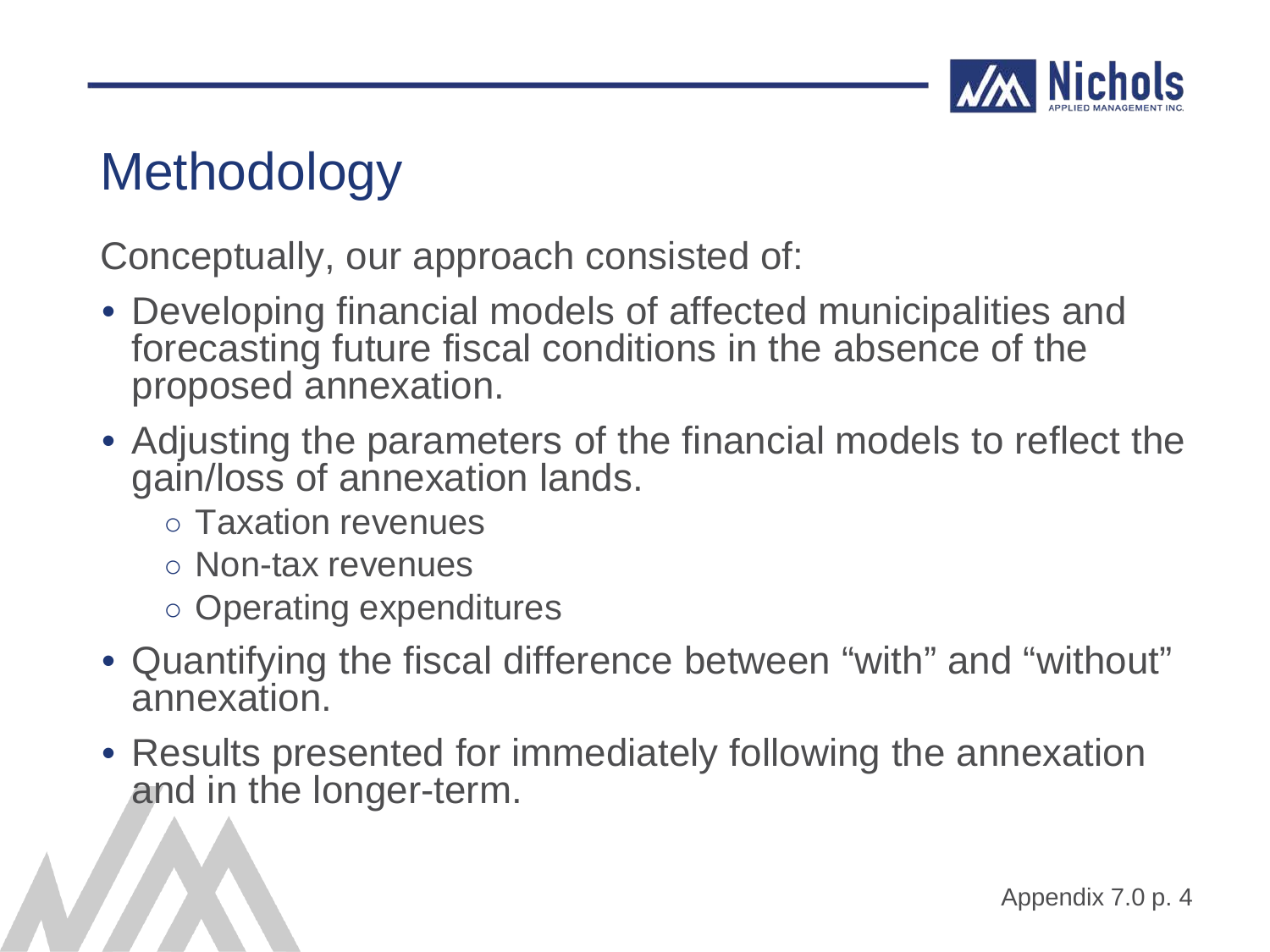

### **Methodology**

Conceptually, our approach consisted of:

- Developing financial models of affected municipalities and forecasting future fiscal conditions in the absence of the proposed annexation.
- Adjusting the parameters of the financial models to reflect the gain/loss of annexation lands.
	- Taxation revenues
	- Non-tax revenues
	- Operating expenditures
- Quantifying the fiscal difference between "with" and "without" annexation.
- Results presented for immediately following the annexation and in the longer-term.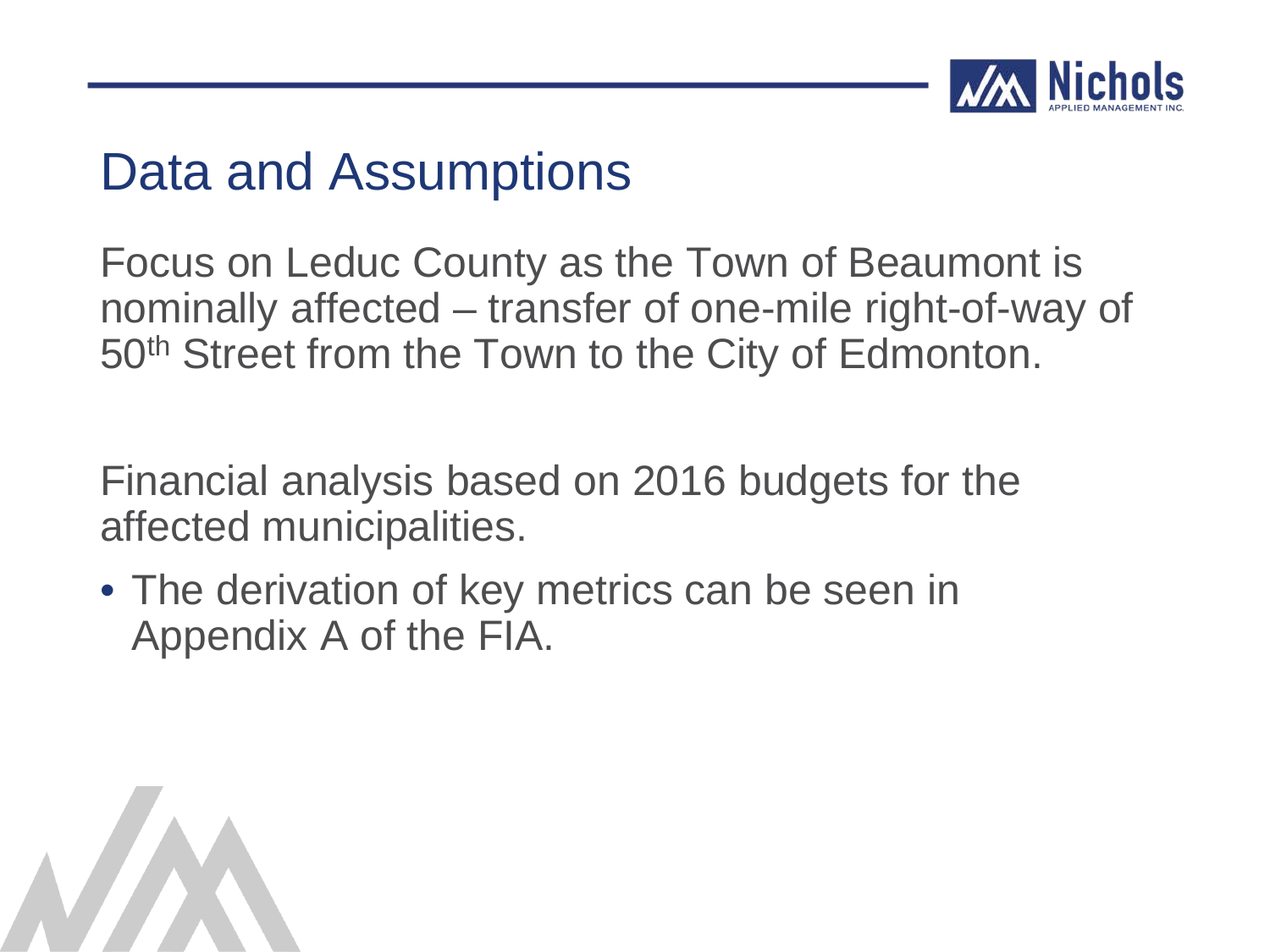

#### Data and Assumptions

Focus on Leduc County as the Town of Beaumont is nominally affected – transfer of one-mile right-of-way of 50<sup>th</sup> Street from the Town to the City of Edmonton.

Financial analysis based on 2016 budgets for the affected municipalities.

• The derivation of key metrics can be seen in Appendix A of the FIA.

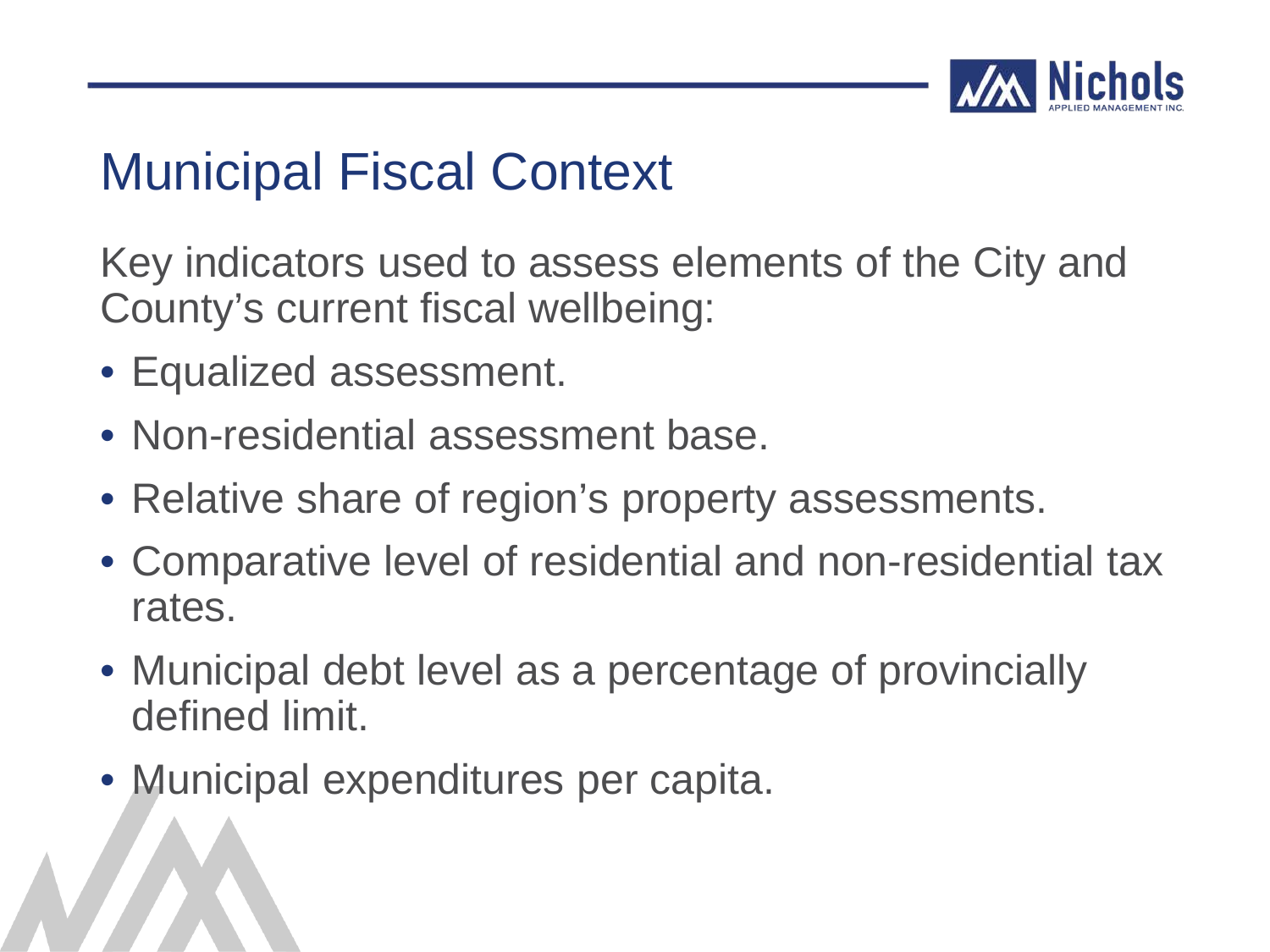

### Municipal Fiscal Context

Key indicators used to assess elements of the City and County's current fiscal wellbeing:

- Equalized assessment.
- Non-residential assessment base.
- Relative share of region's property assessments.
- Comparative level of residential and non-residential tax rates.
- Municipal debt level as a percentage of provincially defined limit.
- Municipal expenditures per capita.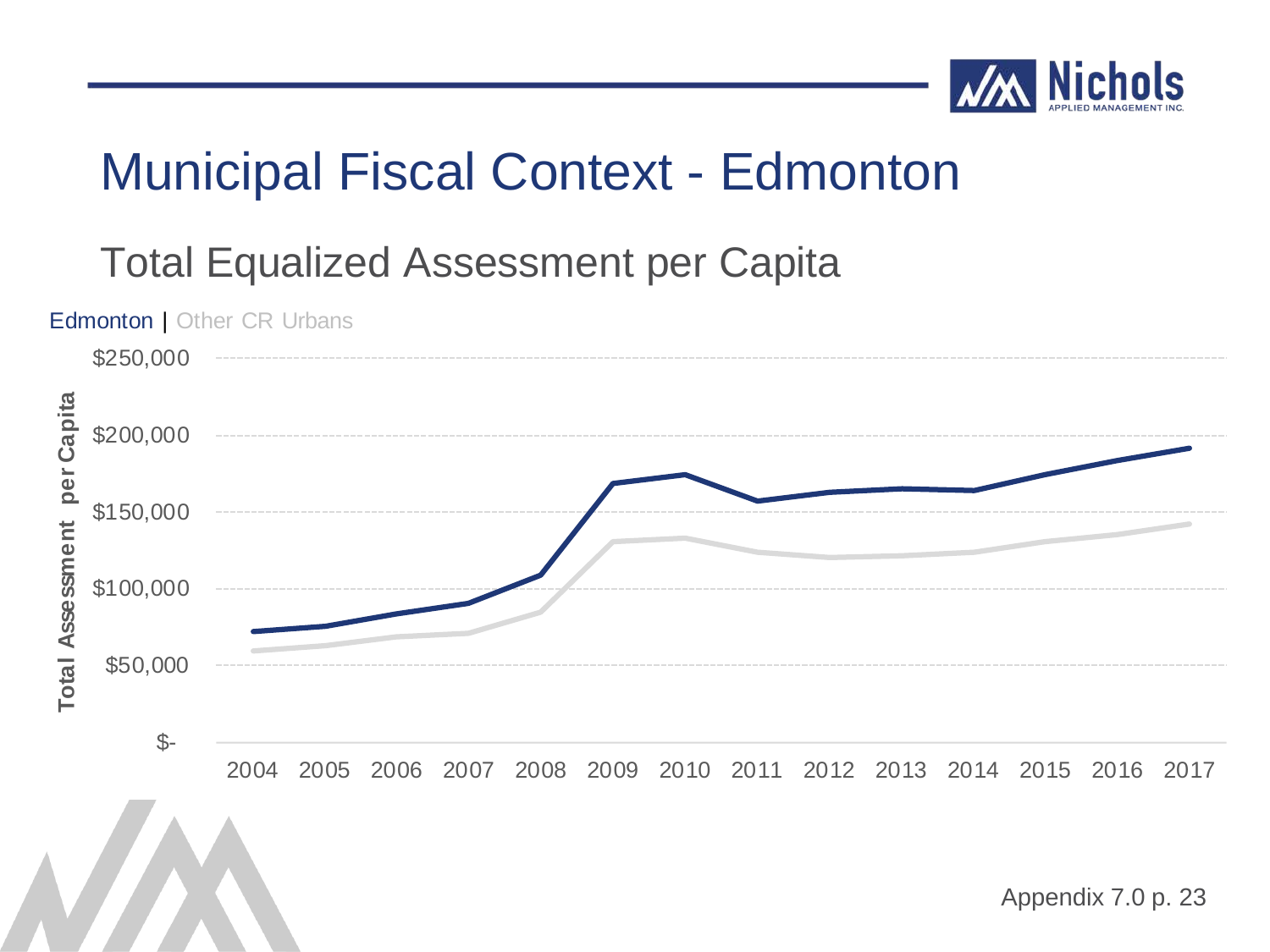

#### Total Equalized Assessment per Capita

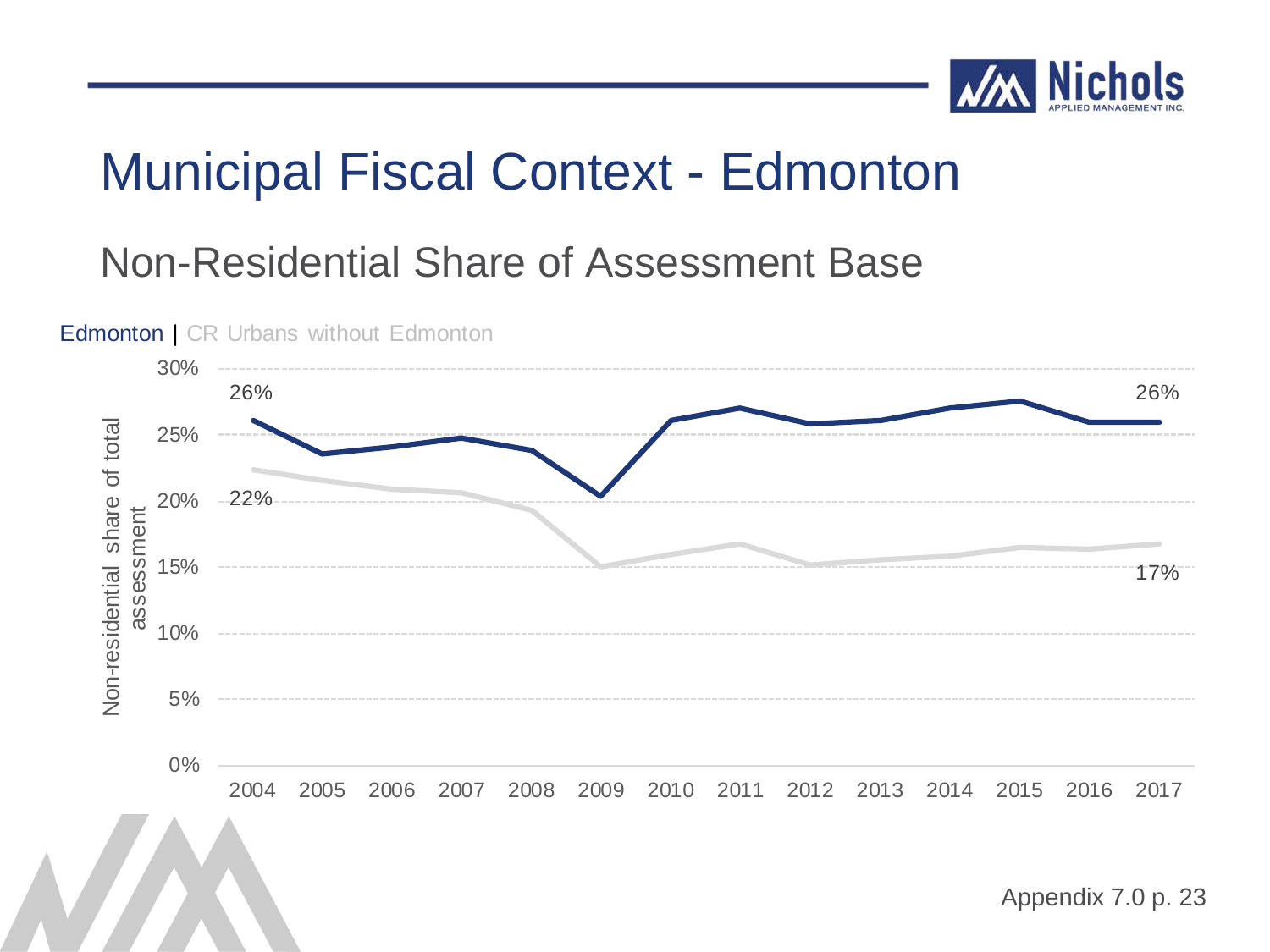

#### Non-Residential Share of Assessment Base

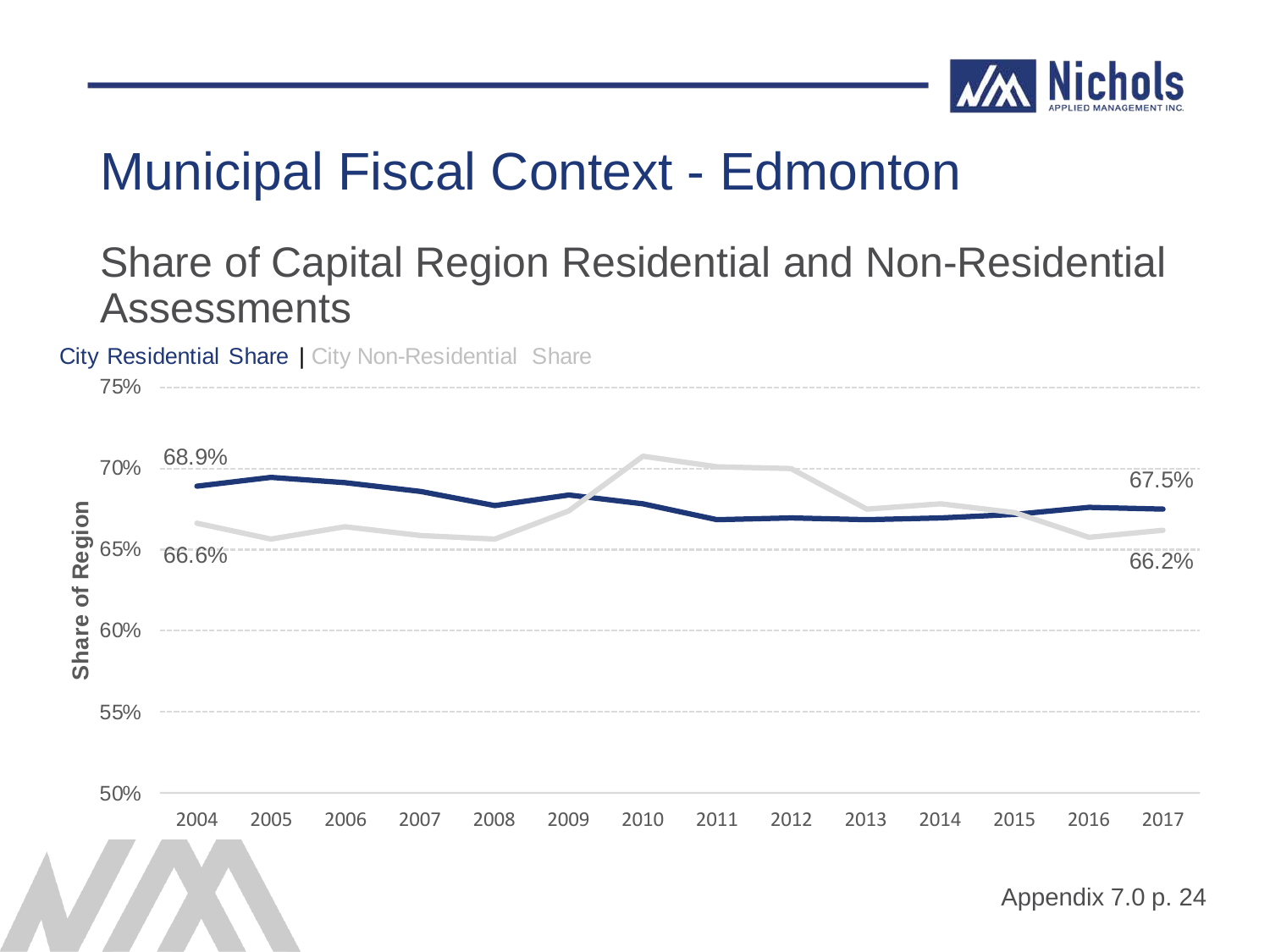

#### Share of Capital Region Residential and Non-Residential **Assessments**

City Residential Share | City Non-Residential Share

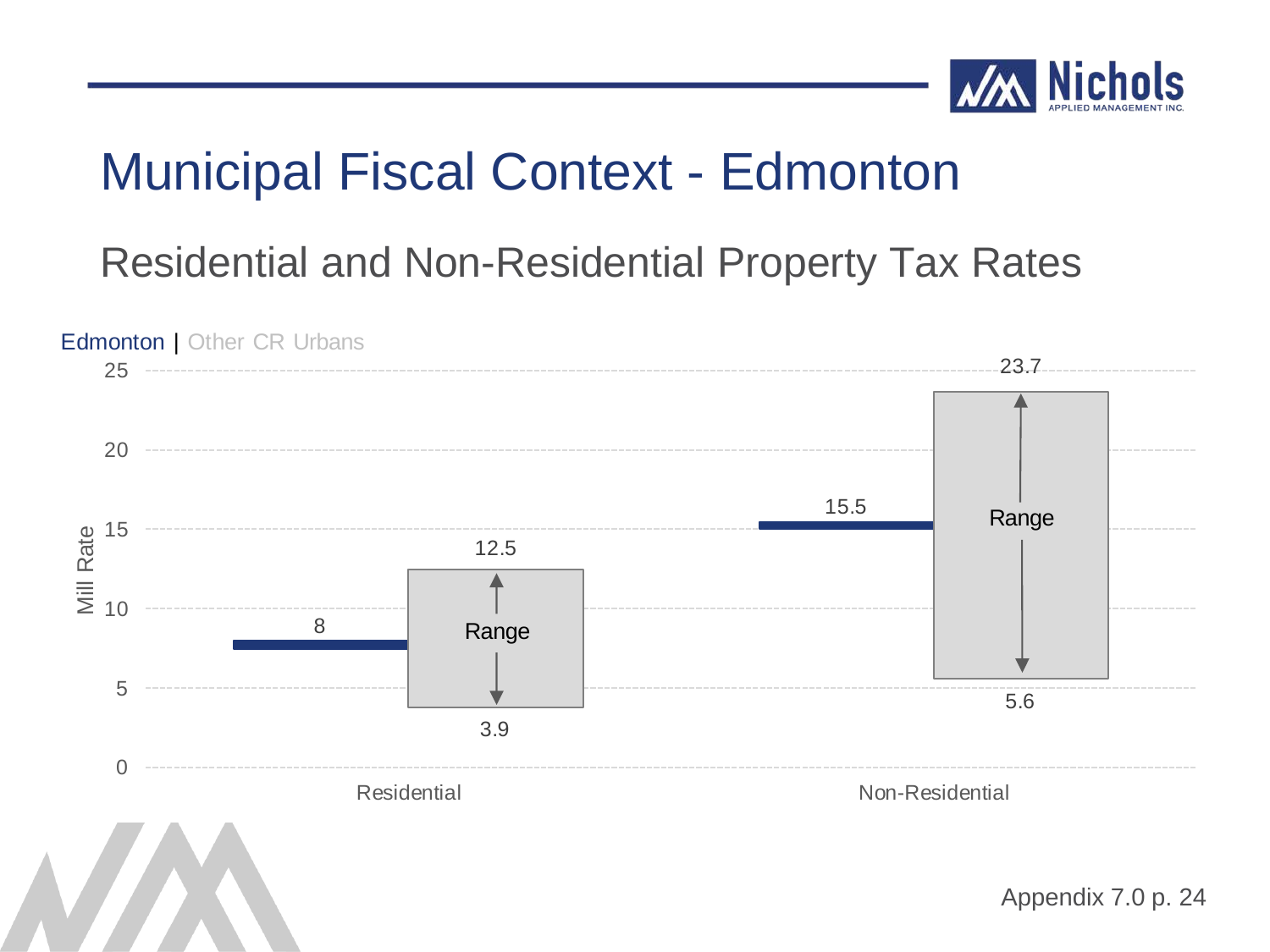

Residential and Non-Residential Property Tax Rates

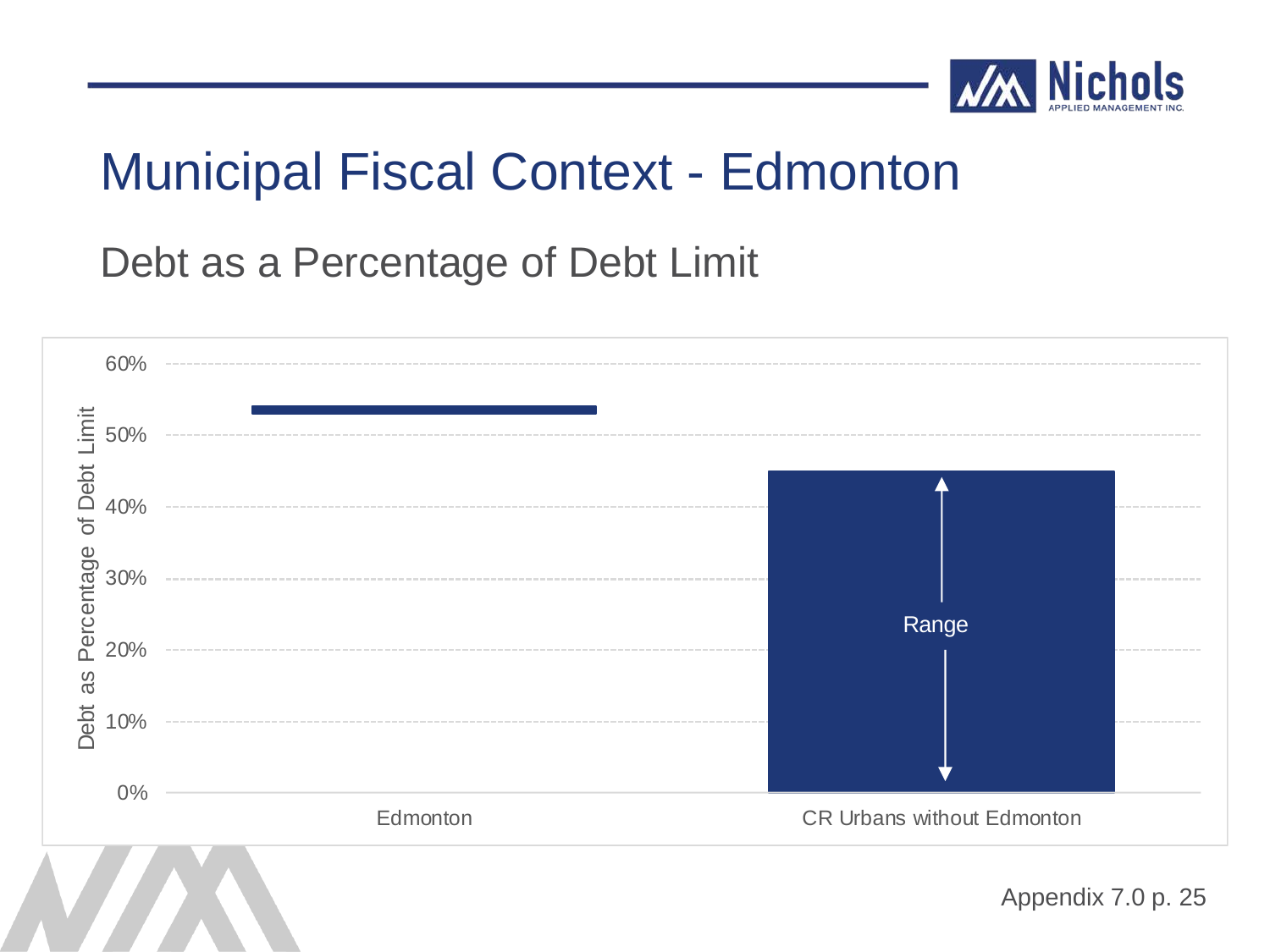

Debt as a Percentage of Debt Limit

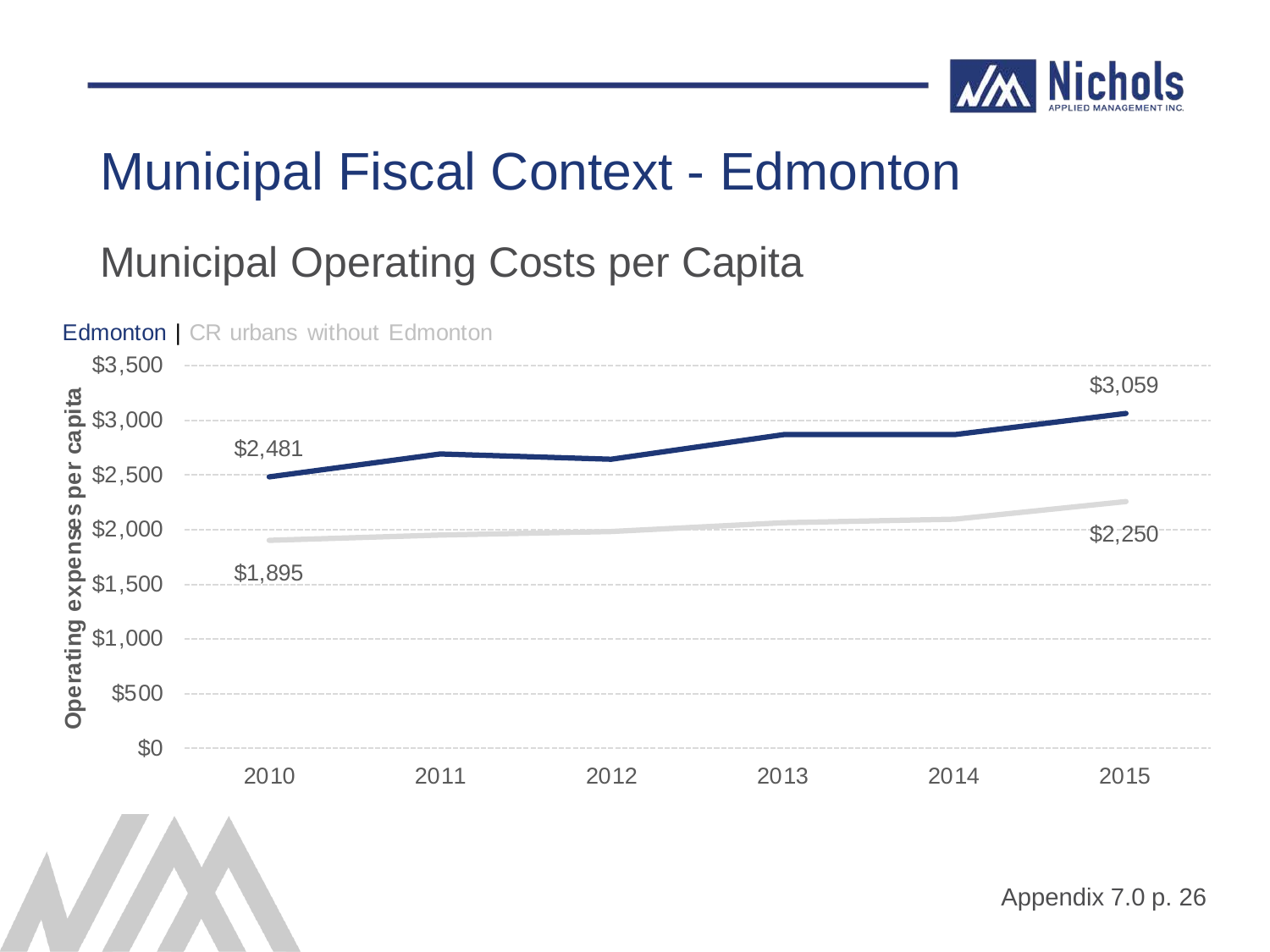

#### Municipal Operating Costs per Capita

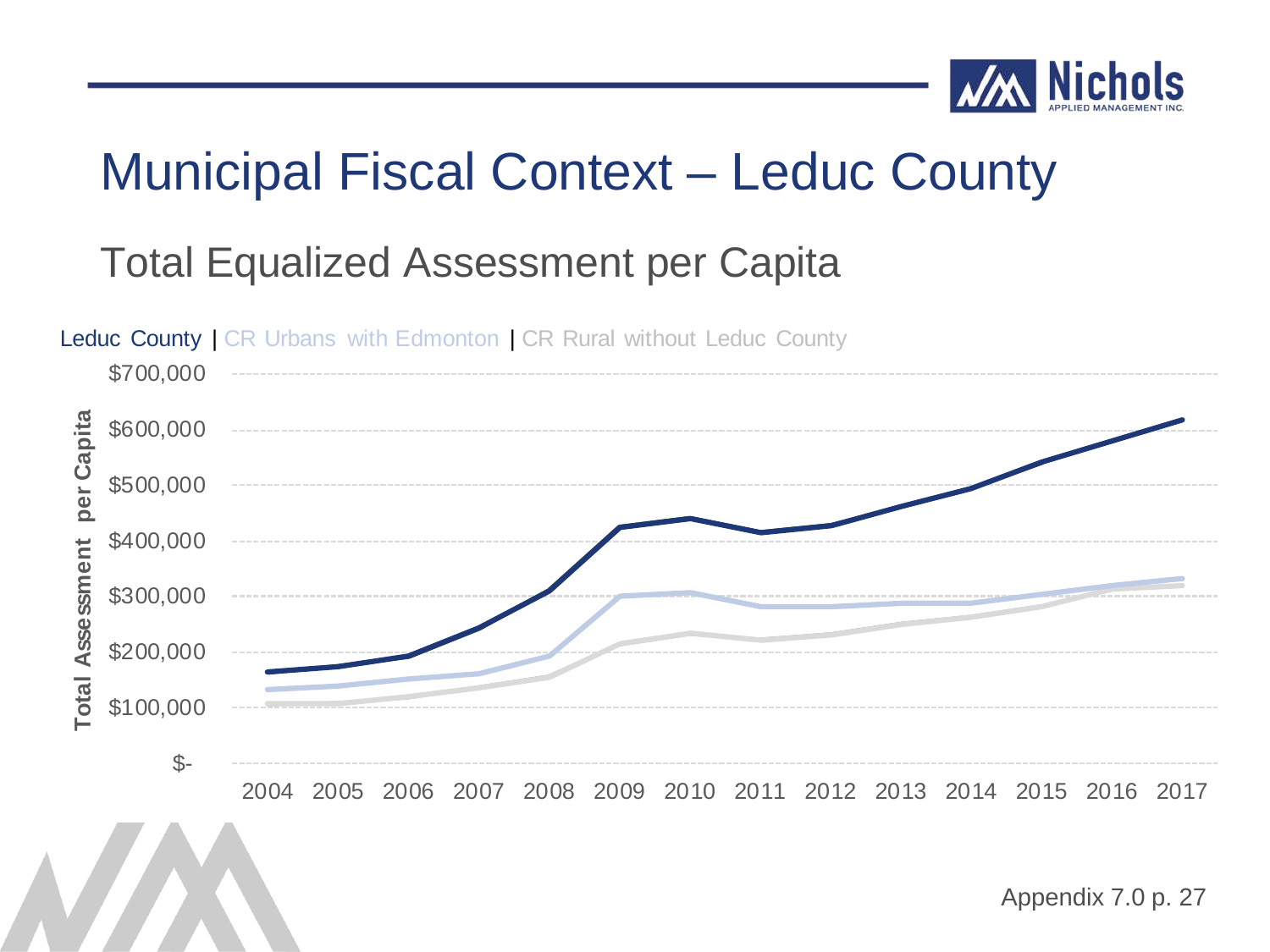

#### Total Equalized Assessment per Capita

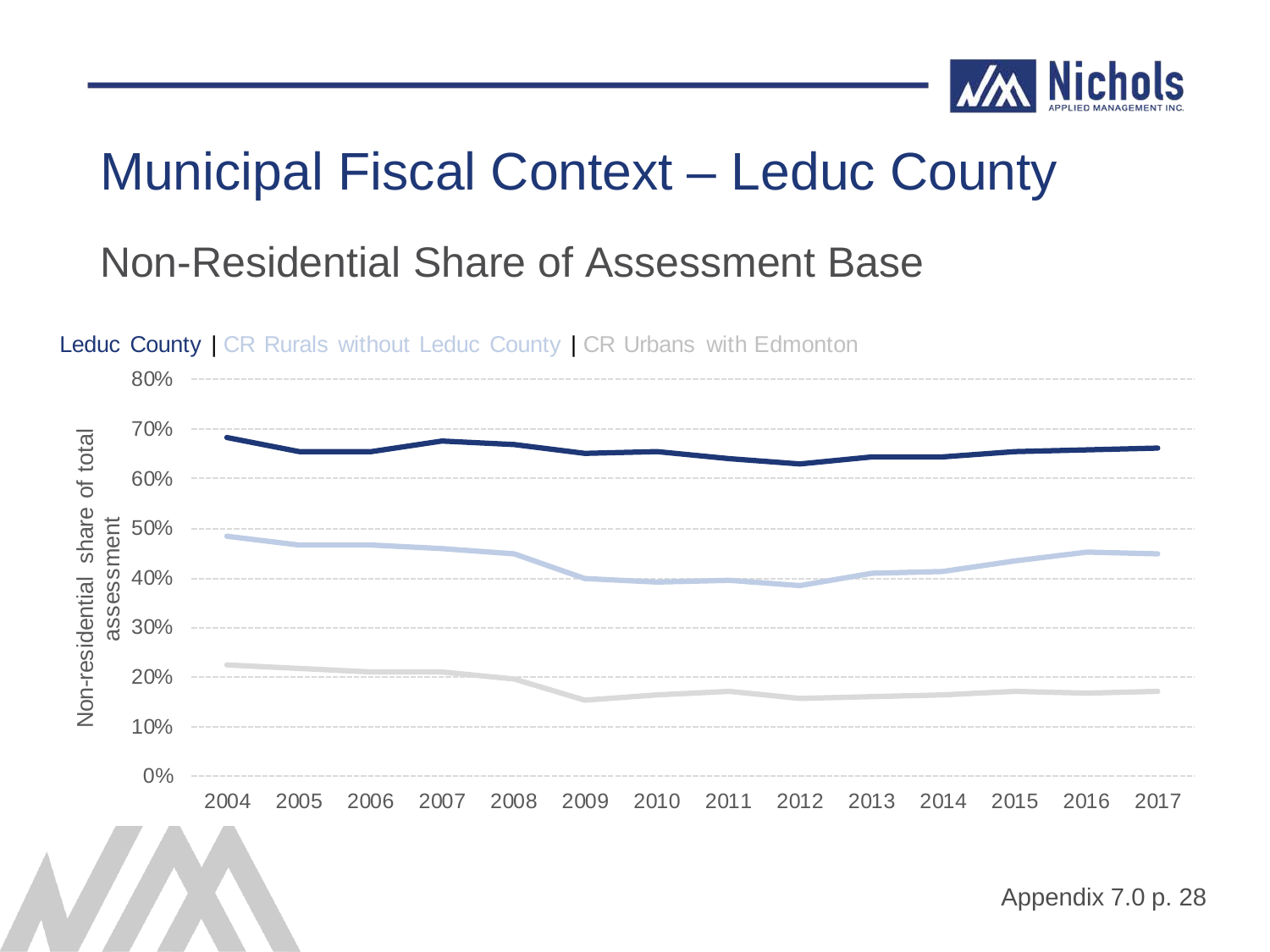

#### Non-Residential Share of Assessment Base

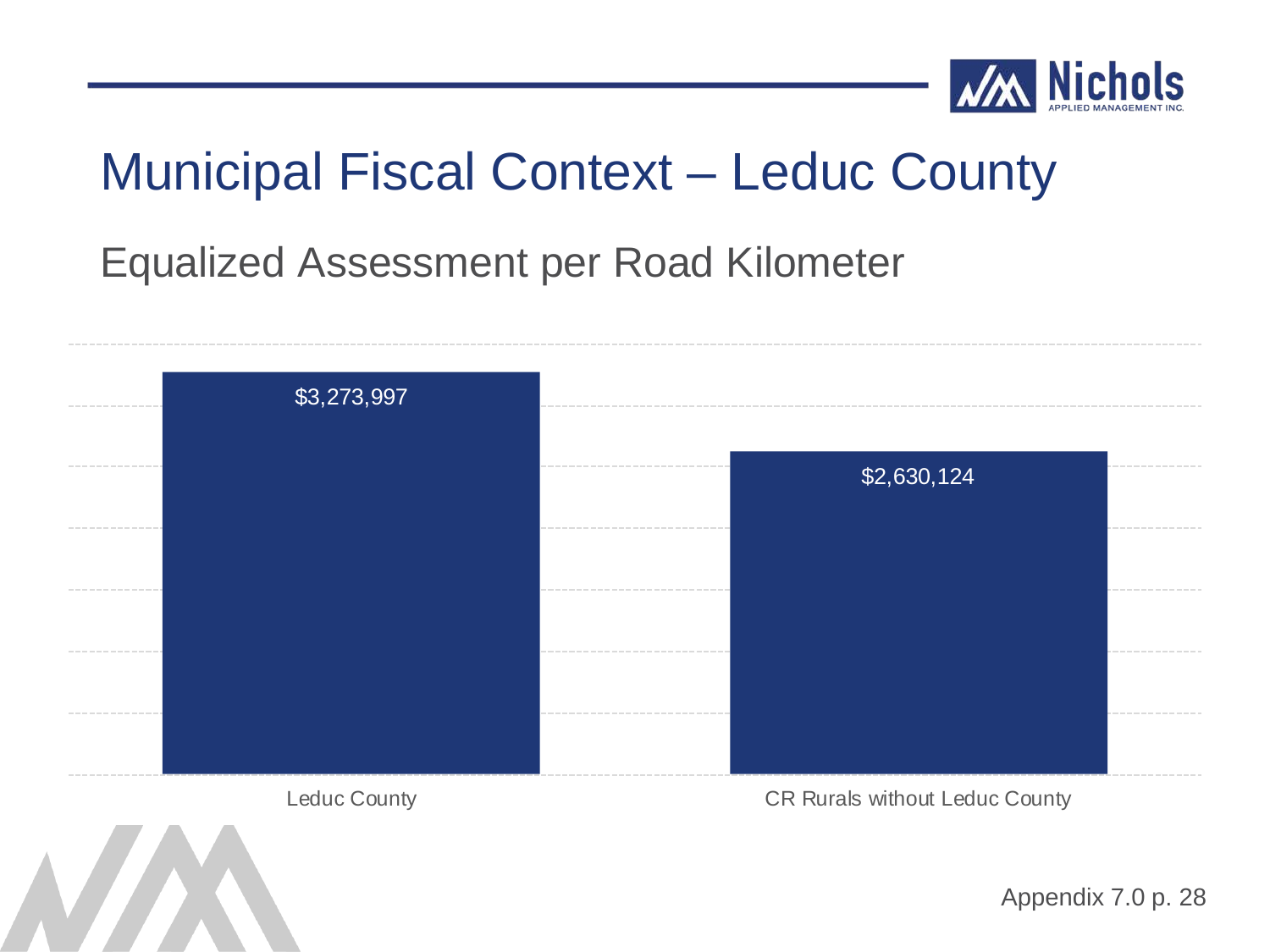

#### Equalized Assessment per Road Kilometer

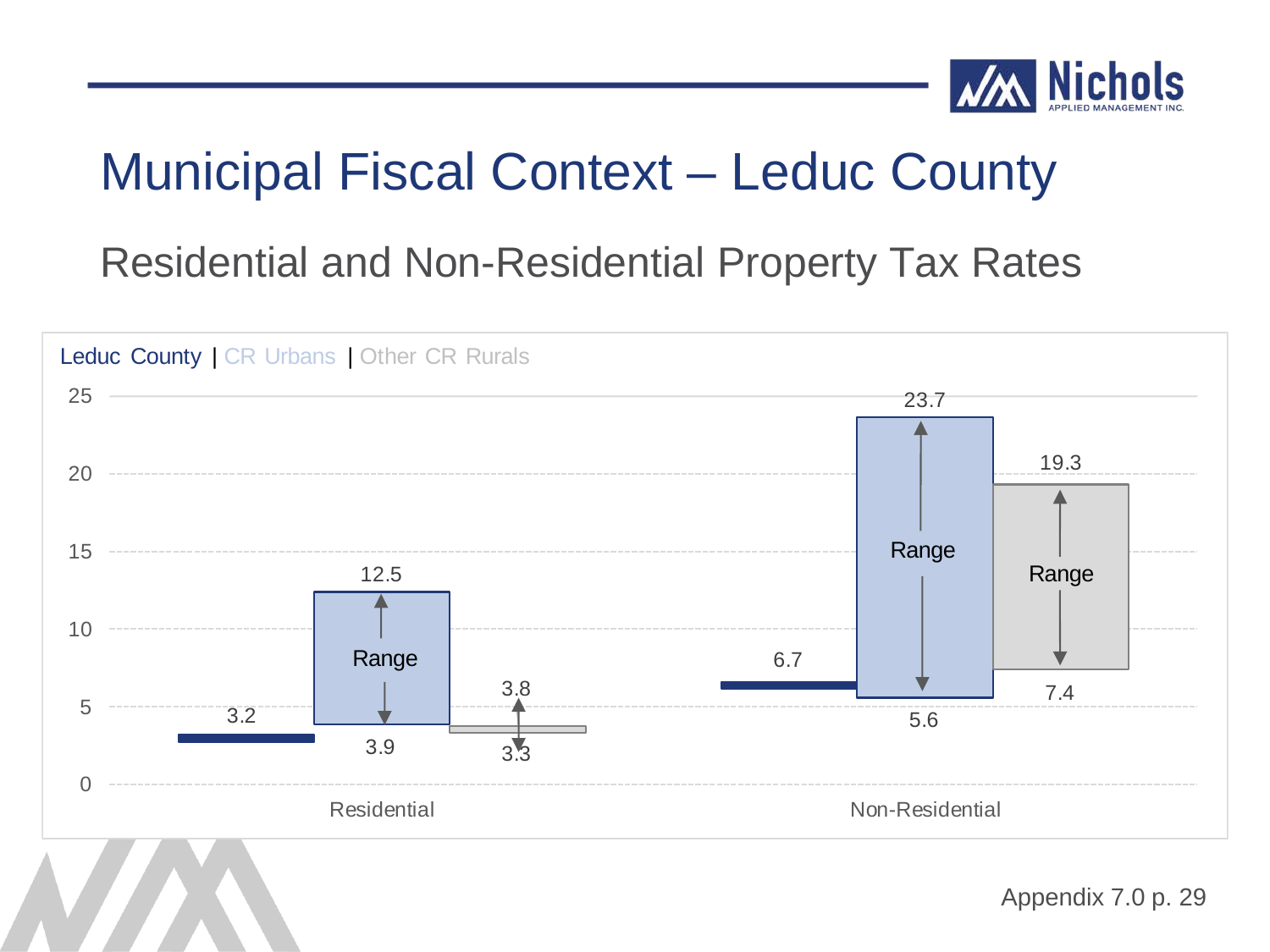

Residential and Non-Residential Property Tax Rates

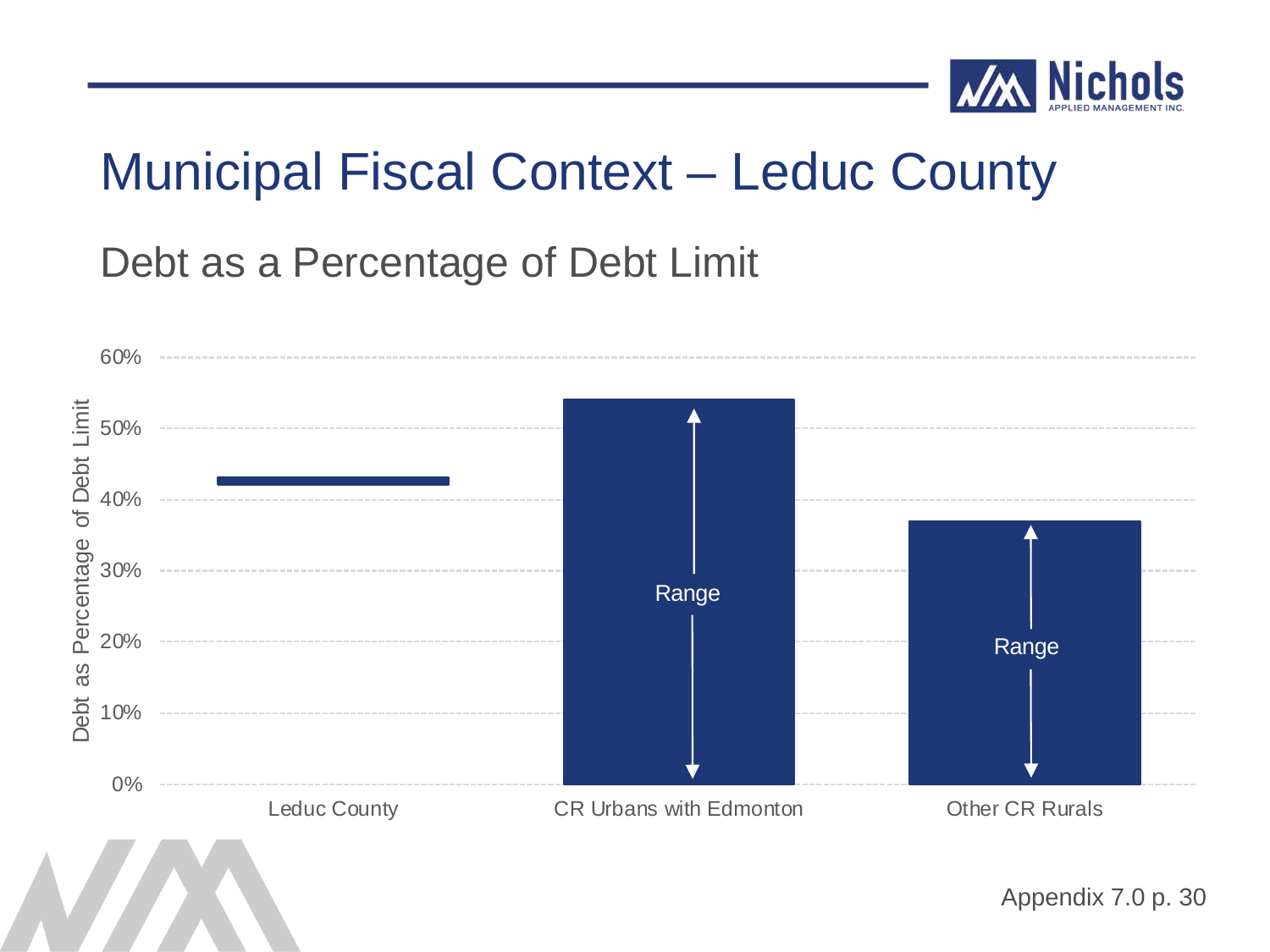

Debt as a Percentage of Debt Limit

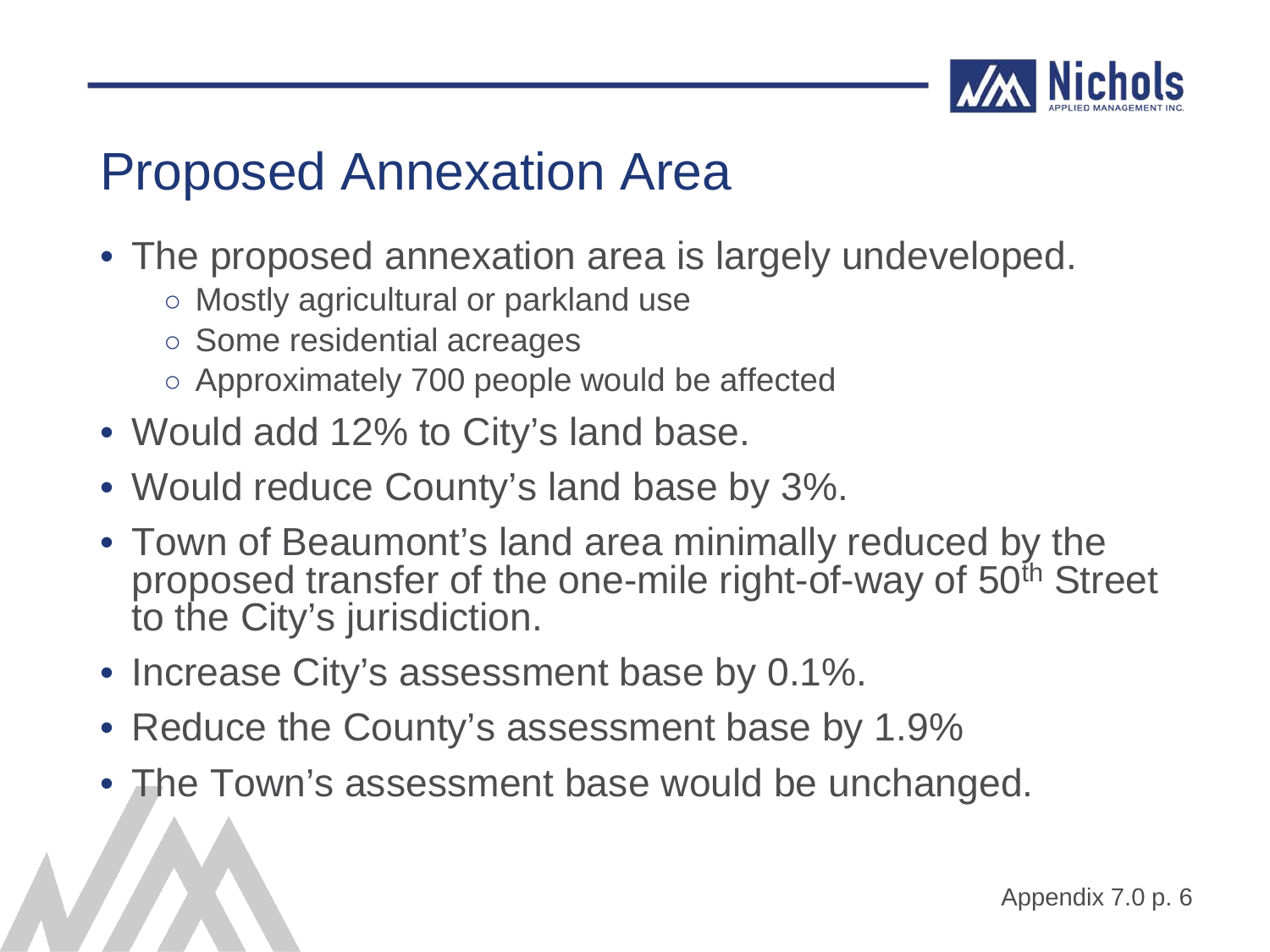

#### Proposed Annexation Area

- The proposed annexation area is largely undeveloped.
	- Mostly agricultural or parkland use
	- Some residential acreages
	- Approximately 700 people would be affected
- Would add 12% to City's land base.
- Would reduce County's land base by 3%.
- Town of Beaumont's land area minimally reduced by the proposed transfer of the one-mile right-of-way of 50<sup>th</sup> Street to the City's jurisdiction.
- Increase City's assessment base by 0.1%.
- Reduce the County's assessment base by 1.9%
- The Town's assessment base would be unchanged.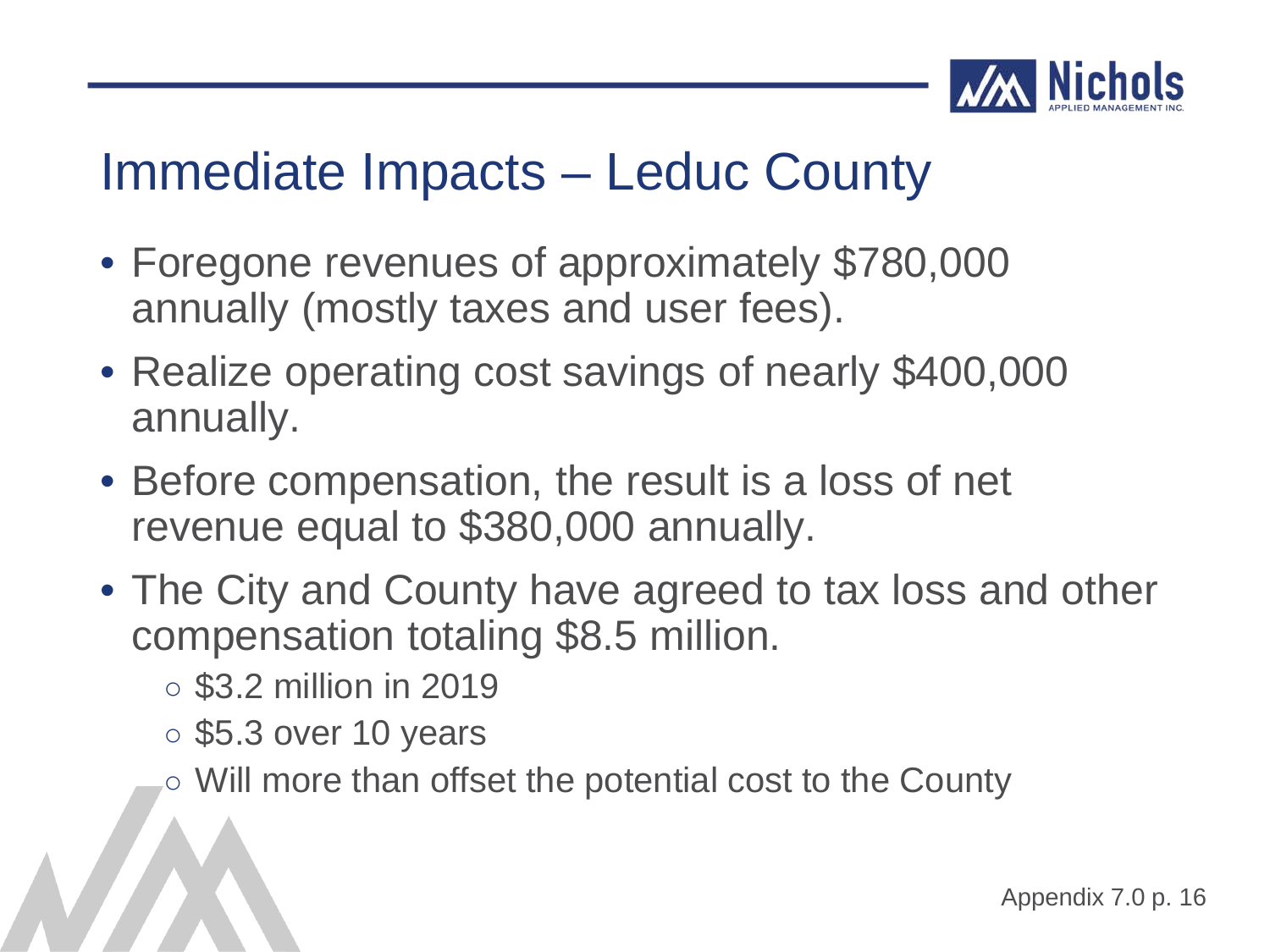

#### Immediate Impacts – Leduc County

- Foregone revenues of approximately \$780,000 annually (mostly taxes and user fees).
- Realize operating cost savings of nearly \$400,000 annually.
- Before compensation, the result is a loss of net revenue equal to \$380,000 annually.
- The City and County have agreed to tax loss and other compensation totaling \$8.5 million.
	- \$3.2 million in 2019
	- \$5.3 over 10 years
	- Will more than offset the potential cost to the County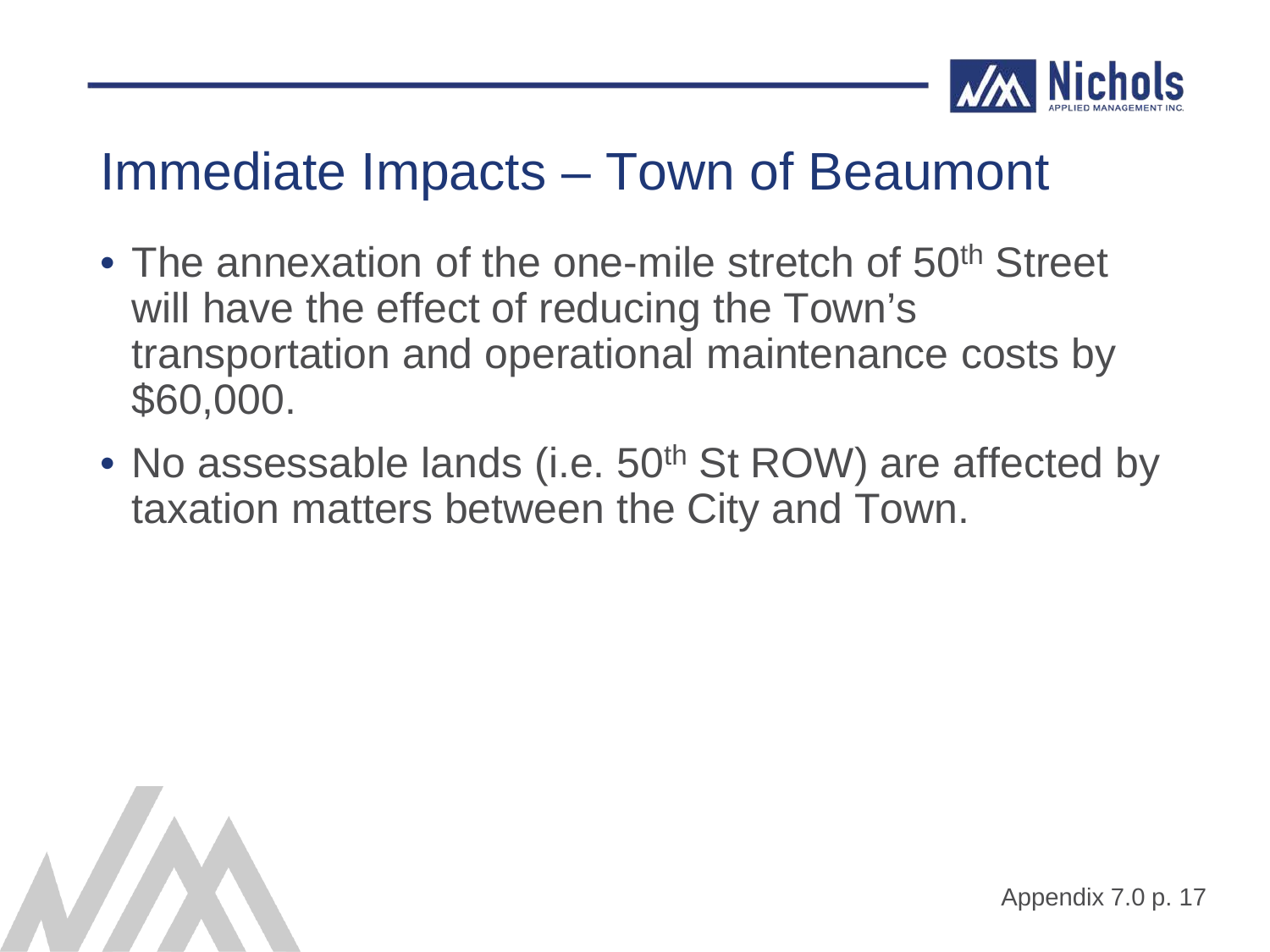

#### Immediate Impacts – Town of Beaumont

- The annexation of the one-mile stretch of 50<sup>th</sup> Street will have the effect of reducing the Town's transportation and operational maintenance costs by \$60,000.
- No assessable lands (i.e. 50<sup>th</sup> St ROW) are affected by taxation matters between the City and Town.

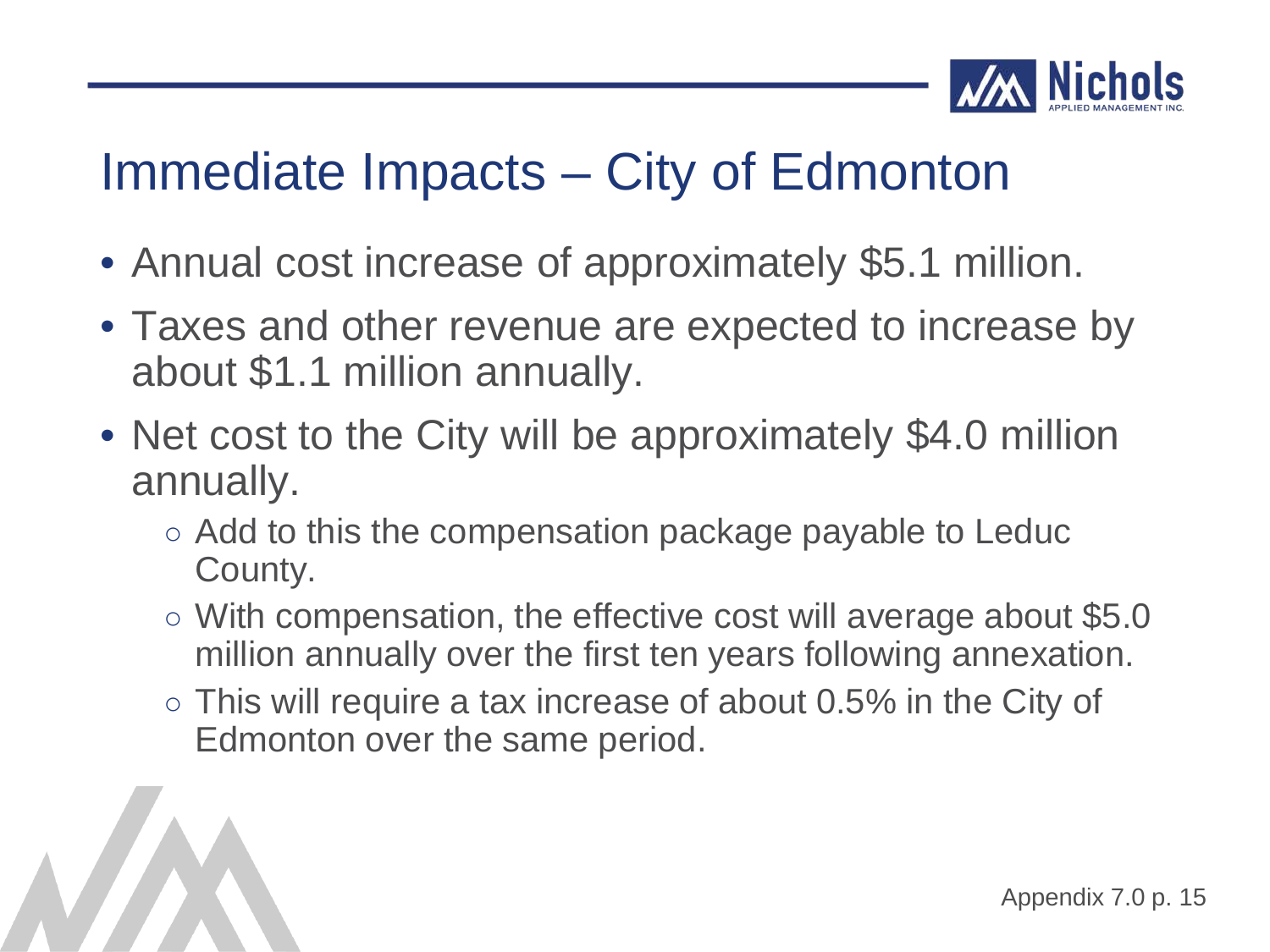![](_page_44_Picture_0.jpeg)

### Immediate Impacts – City of Edmonton

- Annual cost increase of approximately \$5.1 million.
- Taxes and other revenue are expected to increase by about \$1.1 million annually.
- Net cost to the City will be approximately \$4.0 million annually.
	- Add to this the compensation package payable to Leduc County.
	- With compensation, the effective cost will average about \$5.0 million annually over the first ten years following annexation.
	- $\circ$  This will require a tax increase of about 0.5% in the City of Edmonton over the same period.

![](_page_44_Picture_8.jpeg)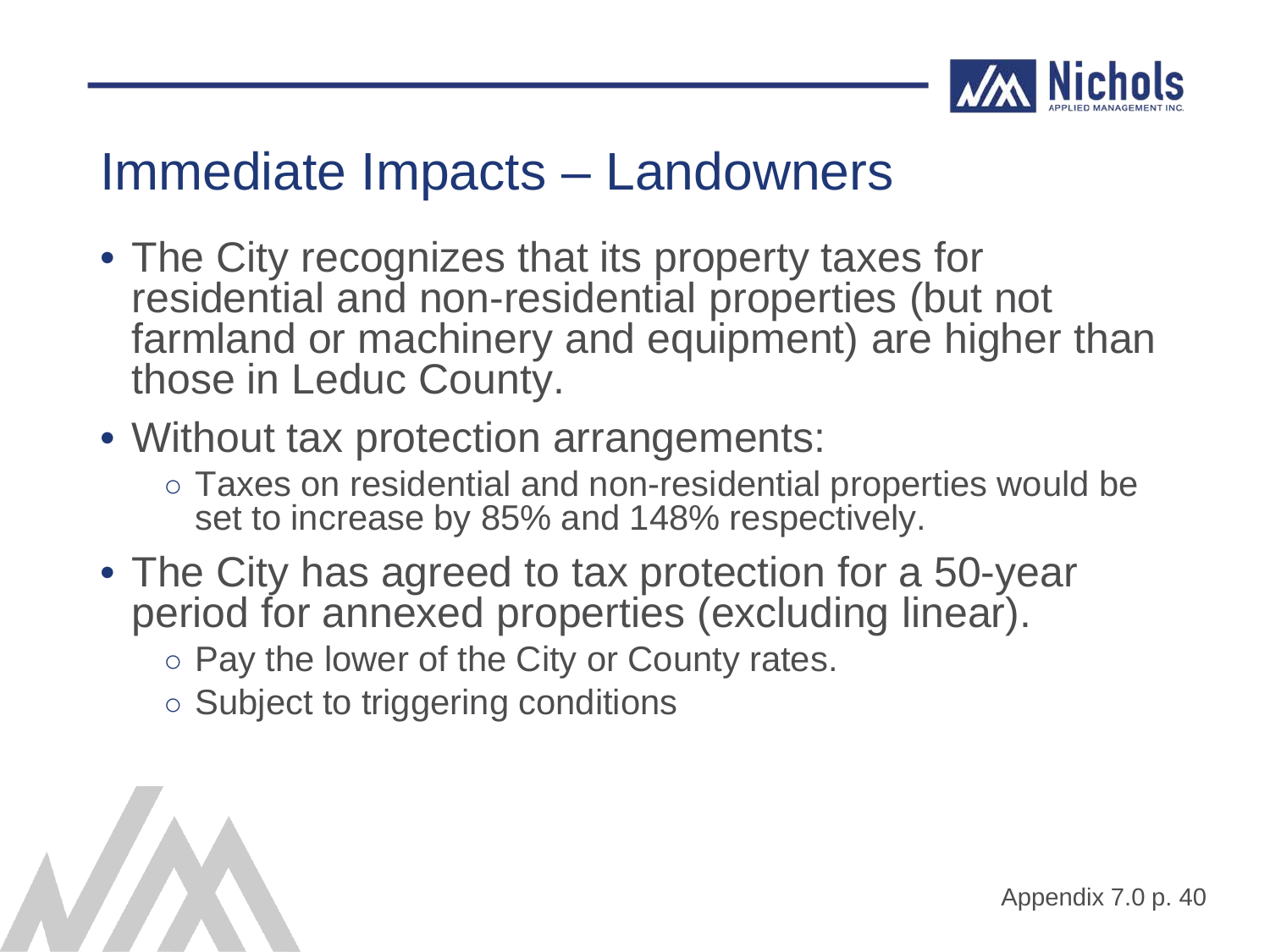![](_page_45_Picture_0.jpeg)

#### Immediate Impacts – Landowners

• The City recognizes that its property taxes for residential and non-residential properties (but not farmland or machinery and equipment) are higher than those in Leduc County.

#### • Without tax protection arrangements:

- Taxes on residential and non-residential properties would be set to increase by 85% and 148% respectively.
- The City has agreed to tax protection for a 50-year period for annexed properties (excluding linear).
	- Pay the lower of the City or County rates.
	- Subject to triggering conditions

![](_page_45_Picture_8.jpeg)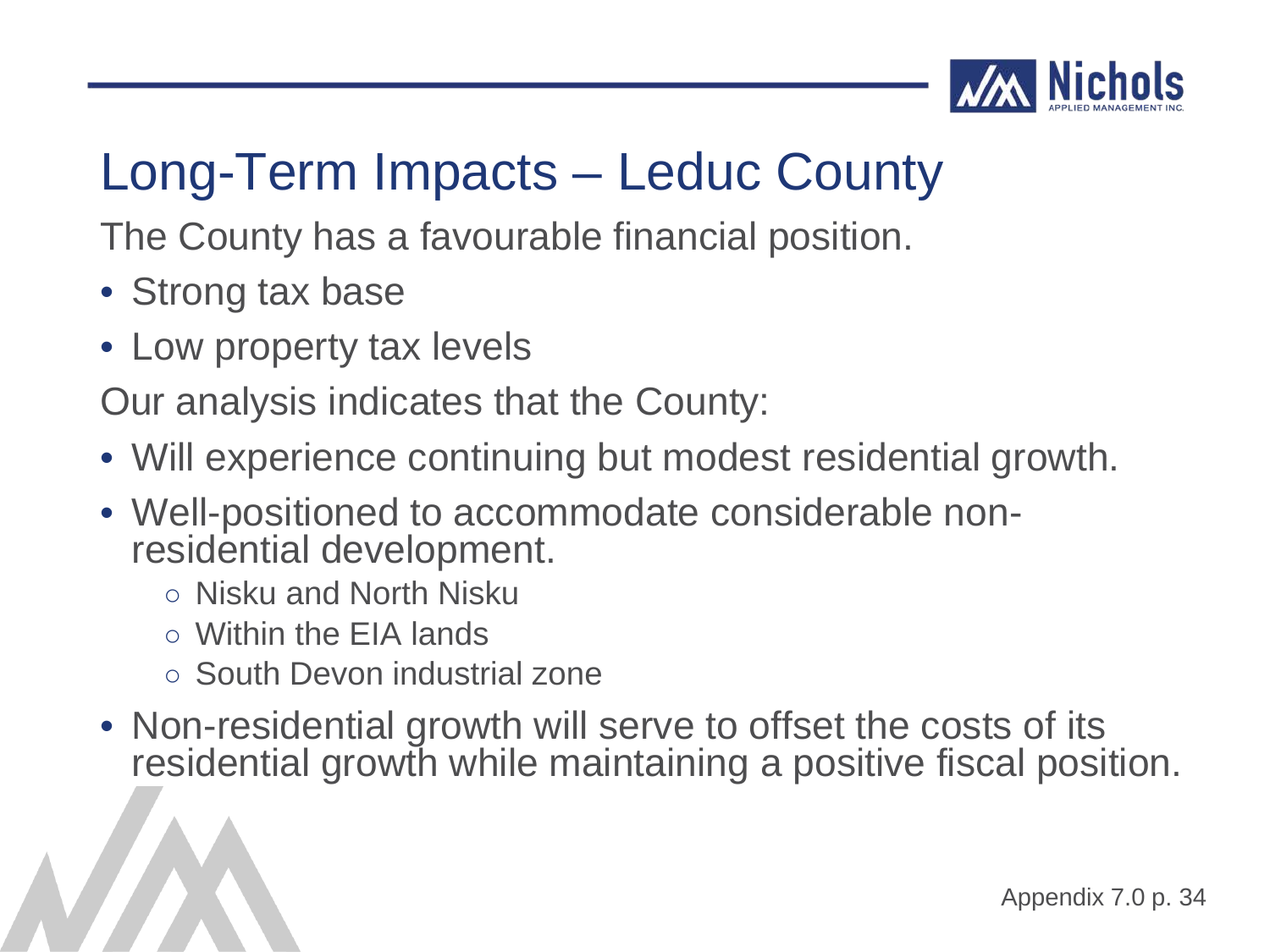![](_page_46_Picture_0.jpeg)

The County has a favourable financial position.

- Strong tax base
- Low property tax levels

Our analysis indicates that the County:

- Will experience continuing but modest residential growth.
- Well-positioned to accommodate considerable non- residential development.
	- Nisku and North Nisku
	- Within the EIA lands
	- South Devon industrial zone
- Non-residential growth will serve to offset the costs of its residential growth while maintaining a positive fiscal position.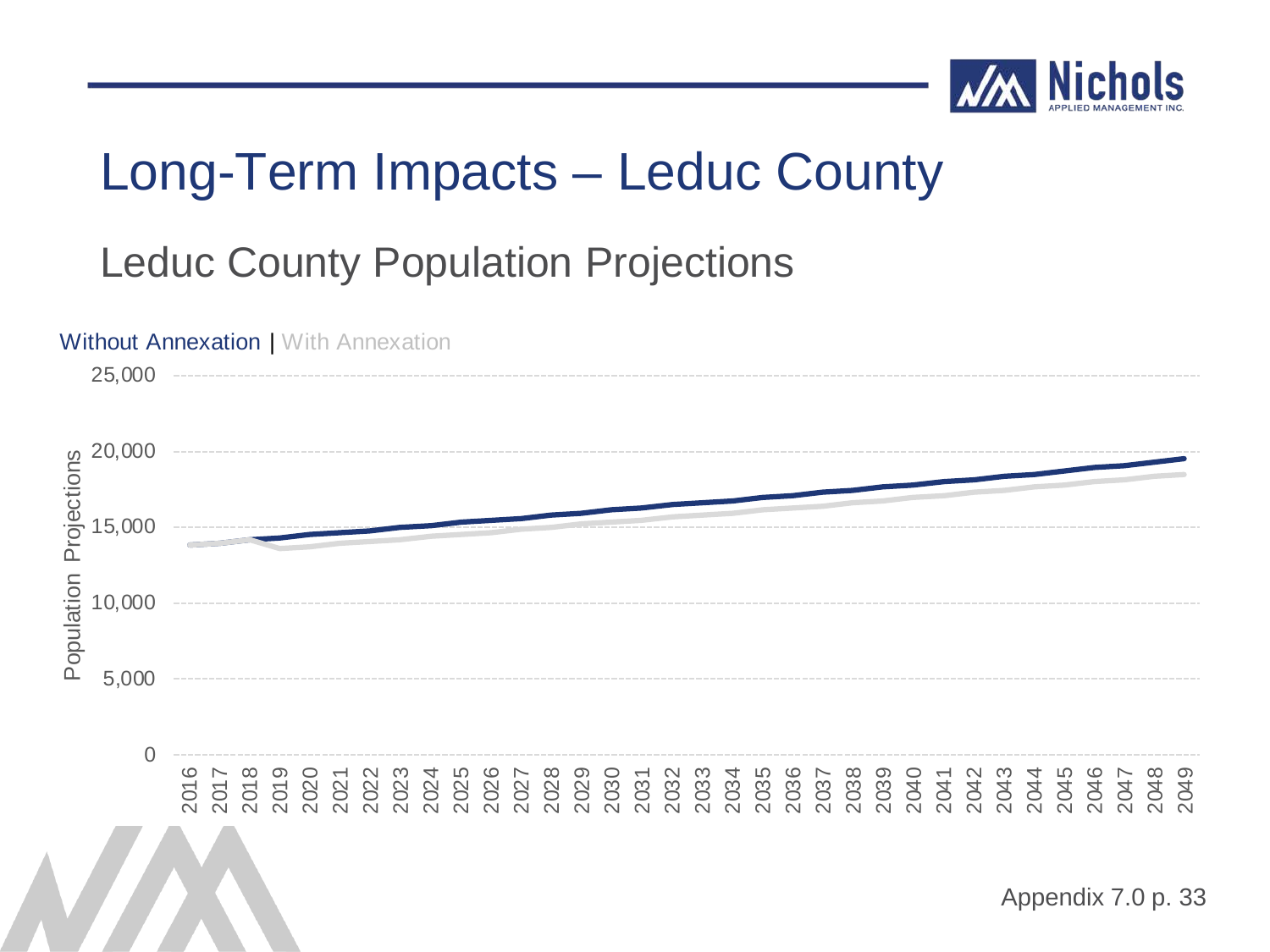![](_page_47_Picture_0.jpeg)

#### Leduc County Population Projections

![](_page_47_Figure_3.jpeg)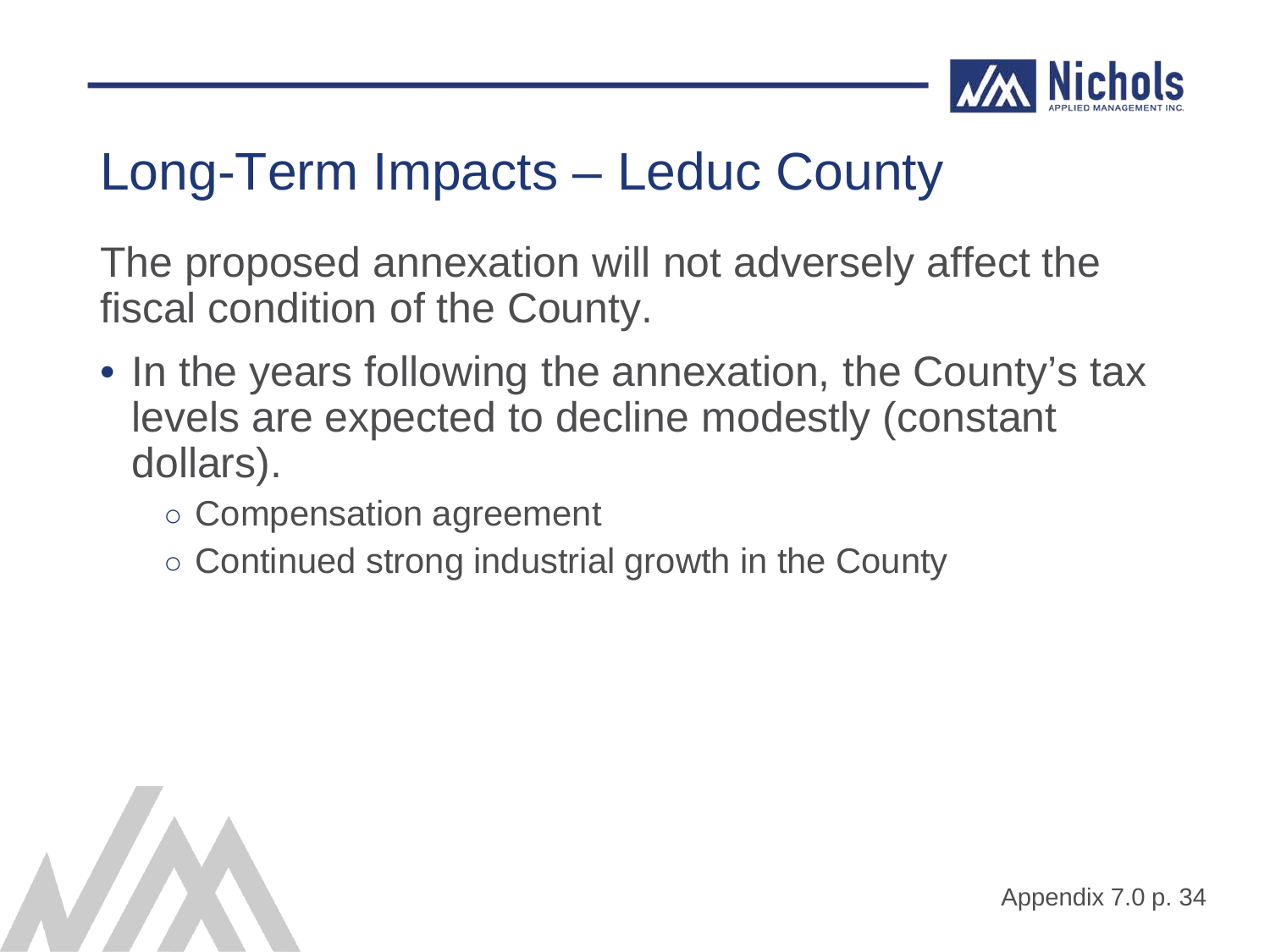![](_page_48_Picture_0.jpeg)

The proposed annexation will not adversely affect the fiscal condition of the County.

- In the years following the annexation, the County's tax levels are expected to decline modestly (constant dollars).
	- Compensation agreement
	- Continued strong industrial growth in the County

![](_page_48_Picture_6.jpeg)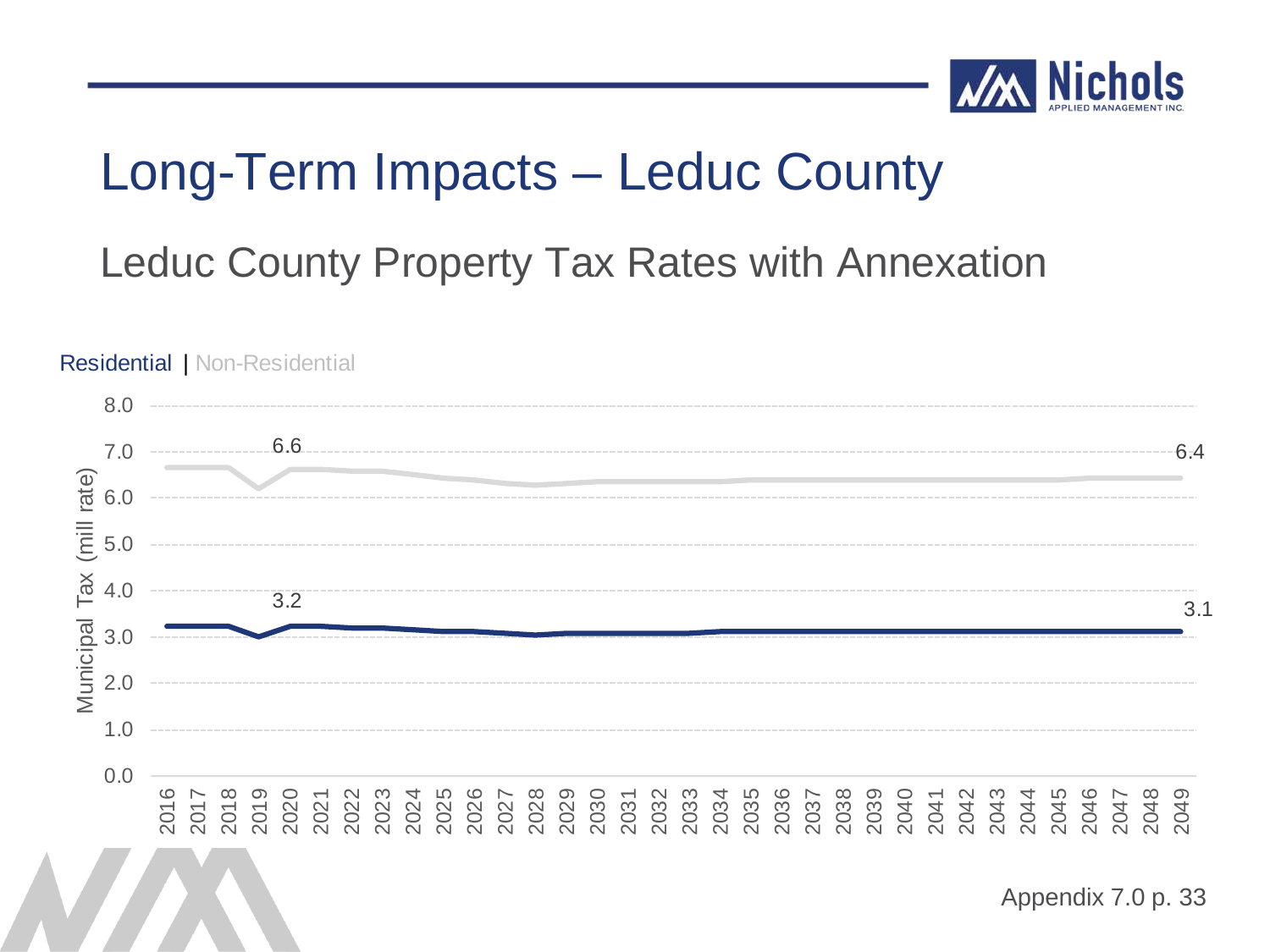![](_page_49_Picture_0.jpeg)

Leduc County Property Tax Rates with Annexation

![](_page_49_Figure_3.jpeg)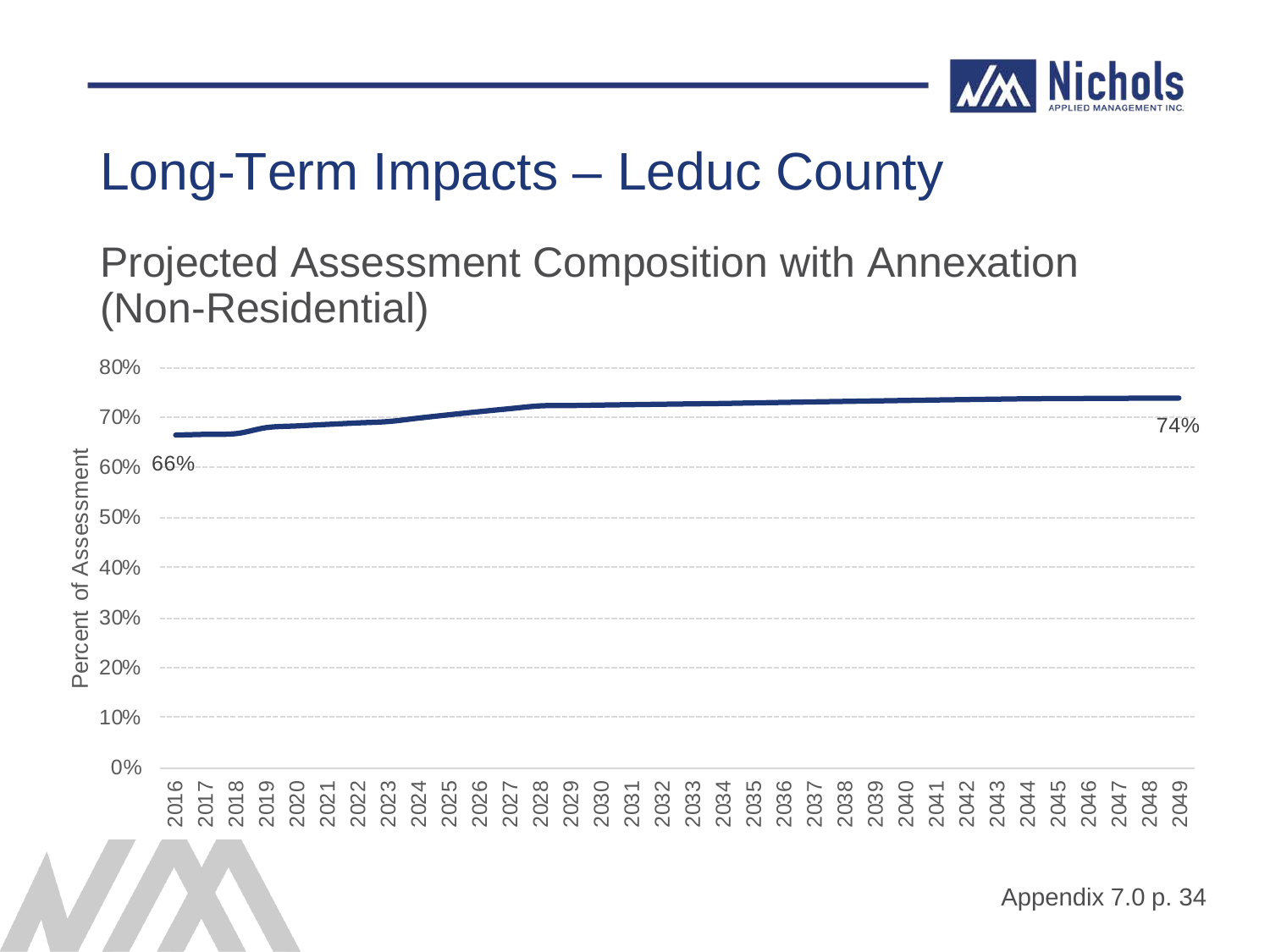![](_page_50_Picture_0.jpeg)

#### Projected Assessment Composition with Annexation (Non-Residential)

|          | 80%              |  |  |  |  |  |  |  |  |  |  |  |  |  |  |  |                    |     |
|----------|------------------|--|--|--|--|--|--|--|--|--|--|--|--|--|--|--|--------------------|-----|
|          | 70%              |  |  |  |  |  |  |  |  |  |  |  |  |  |  |  |                    | 74% |
|          |                  |  |  |  |  |  |  |  |  |  |  |  |  |  |  |  |                    |     |
|          |                  |  |  |  |  |  |  |  |  |  |  |  |  |  |  |  |                    |     |
| $\sigma$ |                  |  |  |  |  |  |  |  |  |  |  |  |  |  |  |  |                    |     |
|          |                  |  |  |  |  |  |  |  |  |  |  |  |  |  |  |  |                    |     |
|          | te 30%<br>ec 20% |  |  |  |  |  |  |  |  |  |  |  |  |  |  |  |                    |     |
|          | 10%              |  |  |  |  |  |  |  |  |  |  |  |  |  |  |  |                    |     |
|          | 0%               |  |  |  |  |  |  |  |  |  |  |  |  |  |  |  |                    |     |
|          |                  |  |  |  |  |  |  |  |  |  |  |  |  |  |  |  |                    |     |
|          |                  |  |  |  |  |  |  |  |  |  |  |  |  |  |  |  | Appendix 7.0 p. 34 |     |
|          |                  |  |  |  |  |  |  |  |  |  |  |  |  |  |  |  |                    |     |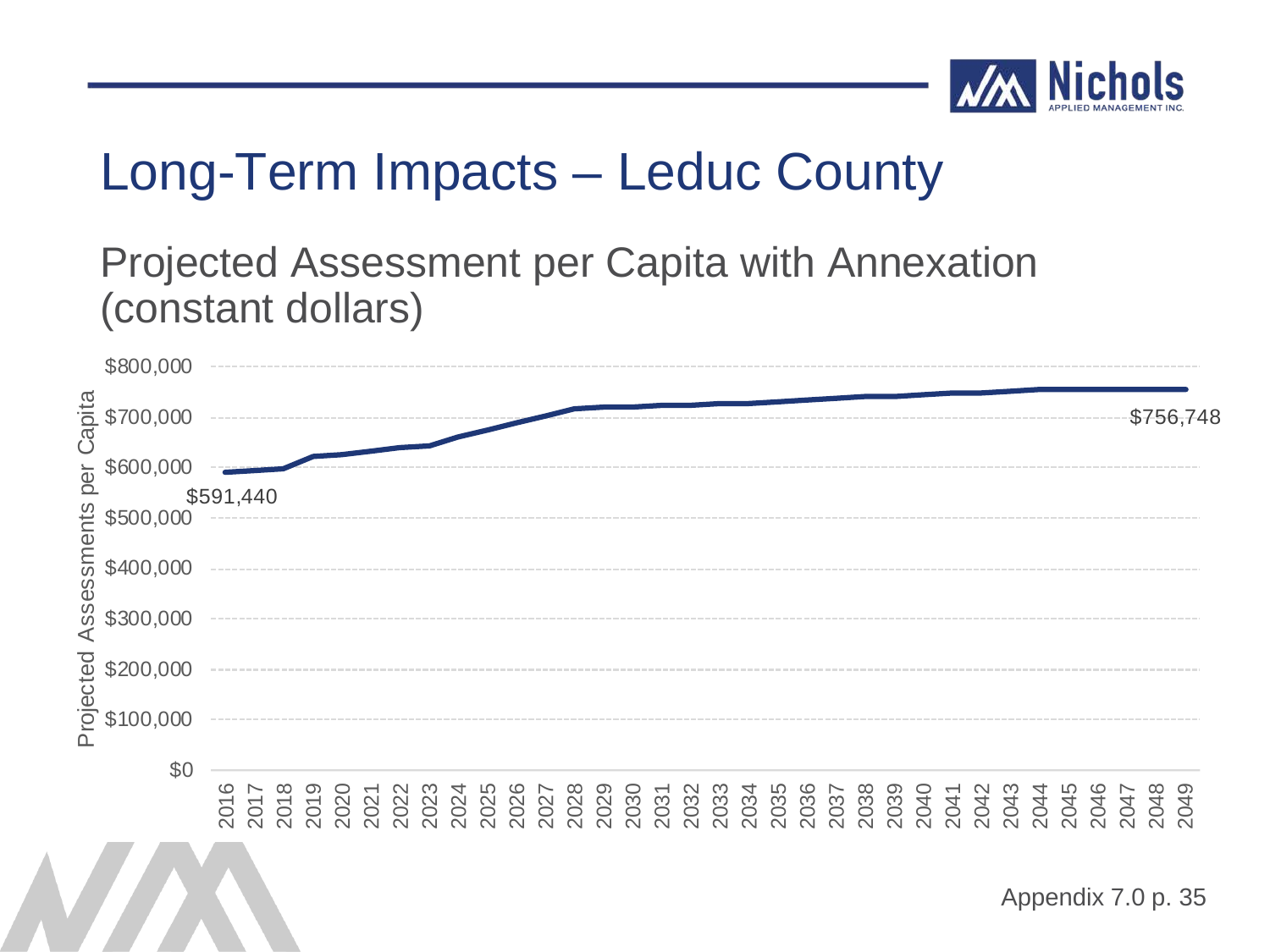![](_page_51_Picture_0.jpeg)

#### Projected Assessment per Capita with Annexation (constant dollars)

![](_page_51_Figure_3.jpeg)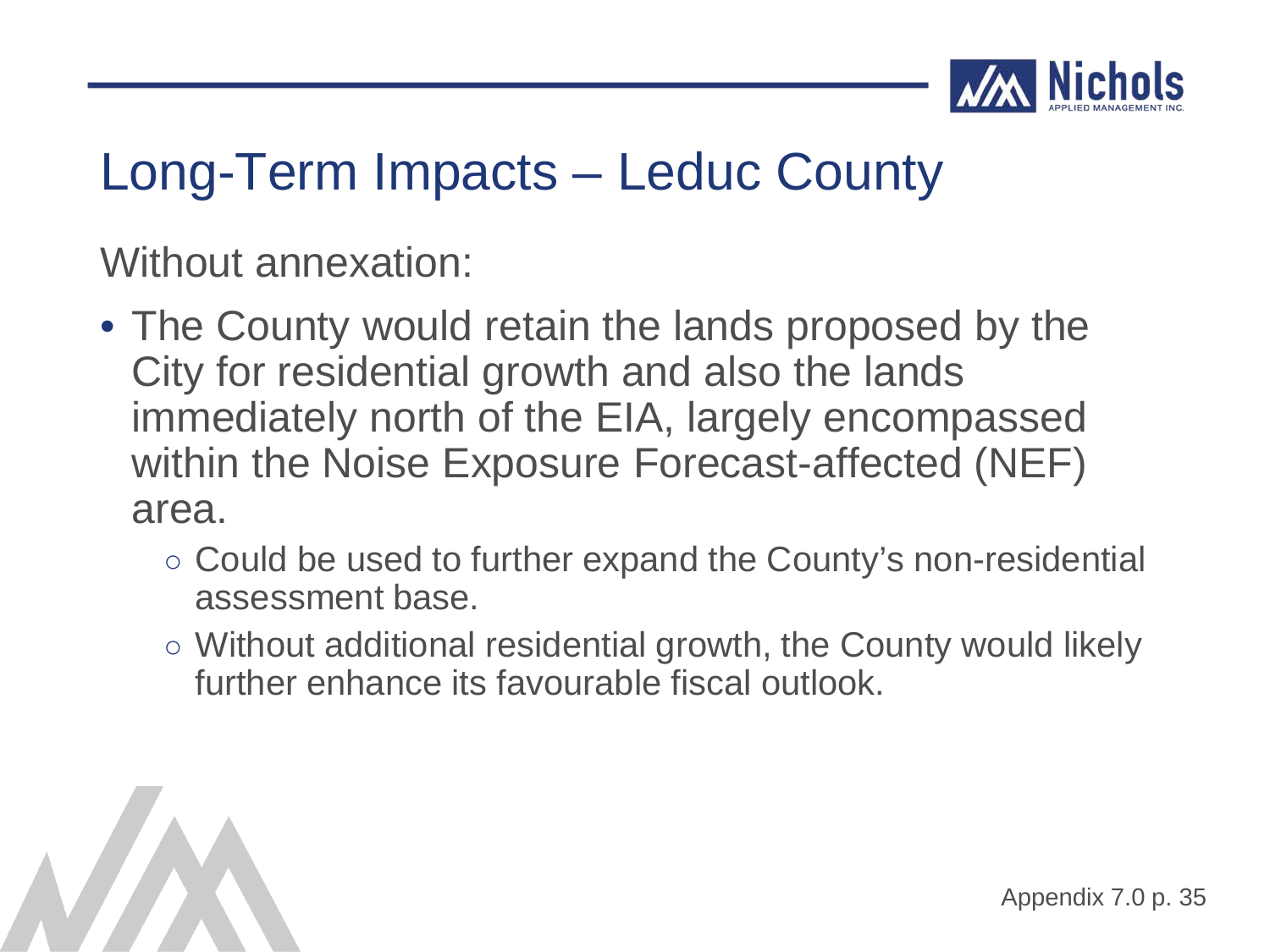![](_page_52_Picture_0.jpeg)

Without annexation:

- The County would retain the lands proposed by the City for residential growth and also the lands immediately north of the EIA, largely encompassed within the Noise Exposure Forecast-affected (NEF) area.
	- Could be used to further expand the County's non-residential assessment base.
	- Without additional residential growth, the County would likely further enhance its favourable fiscal outlook.

![](_page_52_Picture_6.jpeg)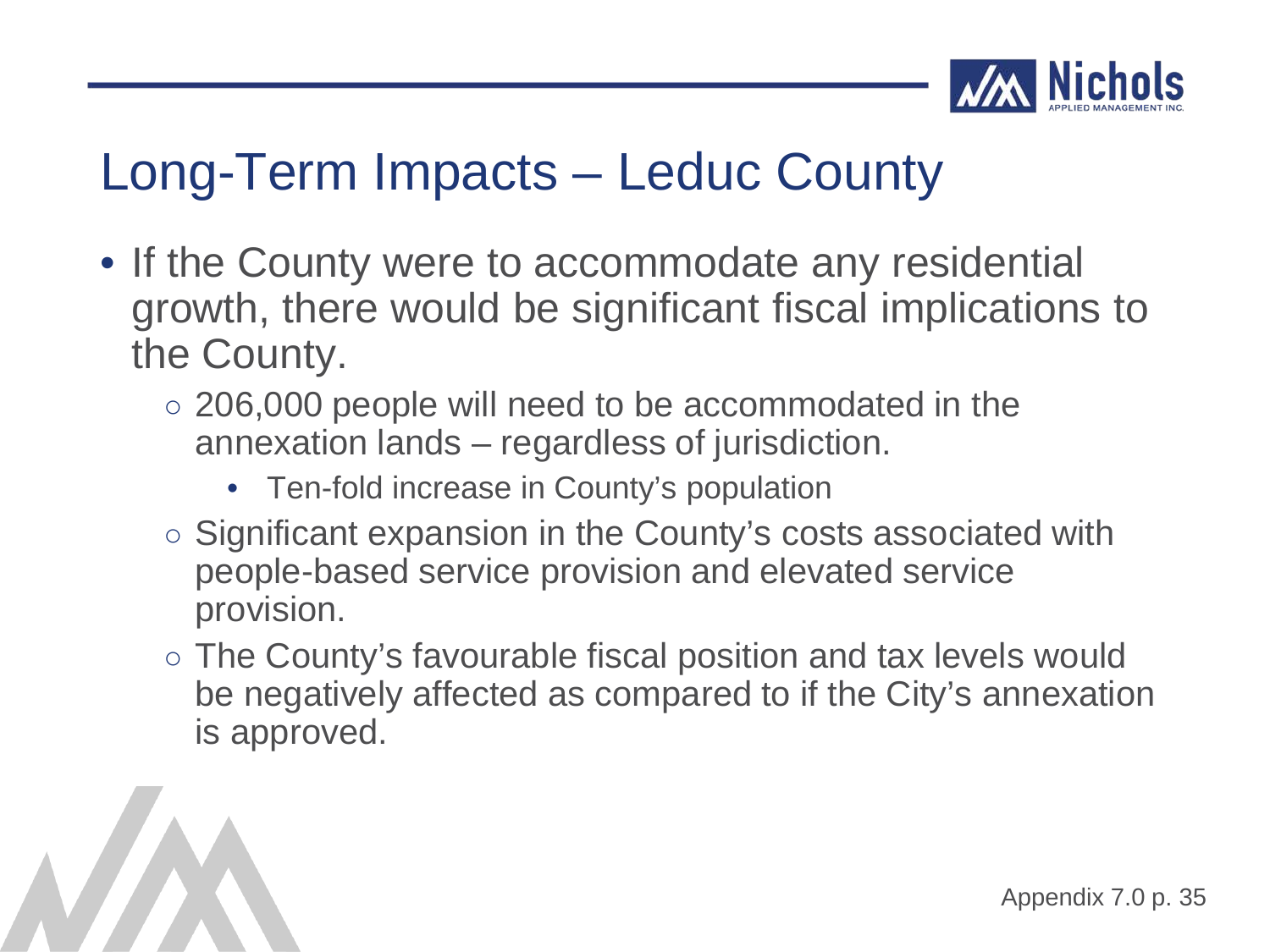![](_page_53_Picture_0.jpeg)

- If the County were to accommodate any residential growth, there would be significant fiscal implications to the County.
	- $\circ$  206,000 people will need to be accommodated in the annexation lands – regardless of jurisdiction.
		- Ten-fold increase in County's population
	- Significant expansion in the County's costs associated with people-based service provision and elevated service provision.
	- The County's favourable fiscal position and tax levels would be negatively affected as compared to if the City's annexation is approved.

![](_page_53_Picture_7.jpeg)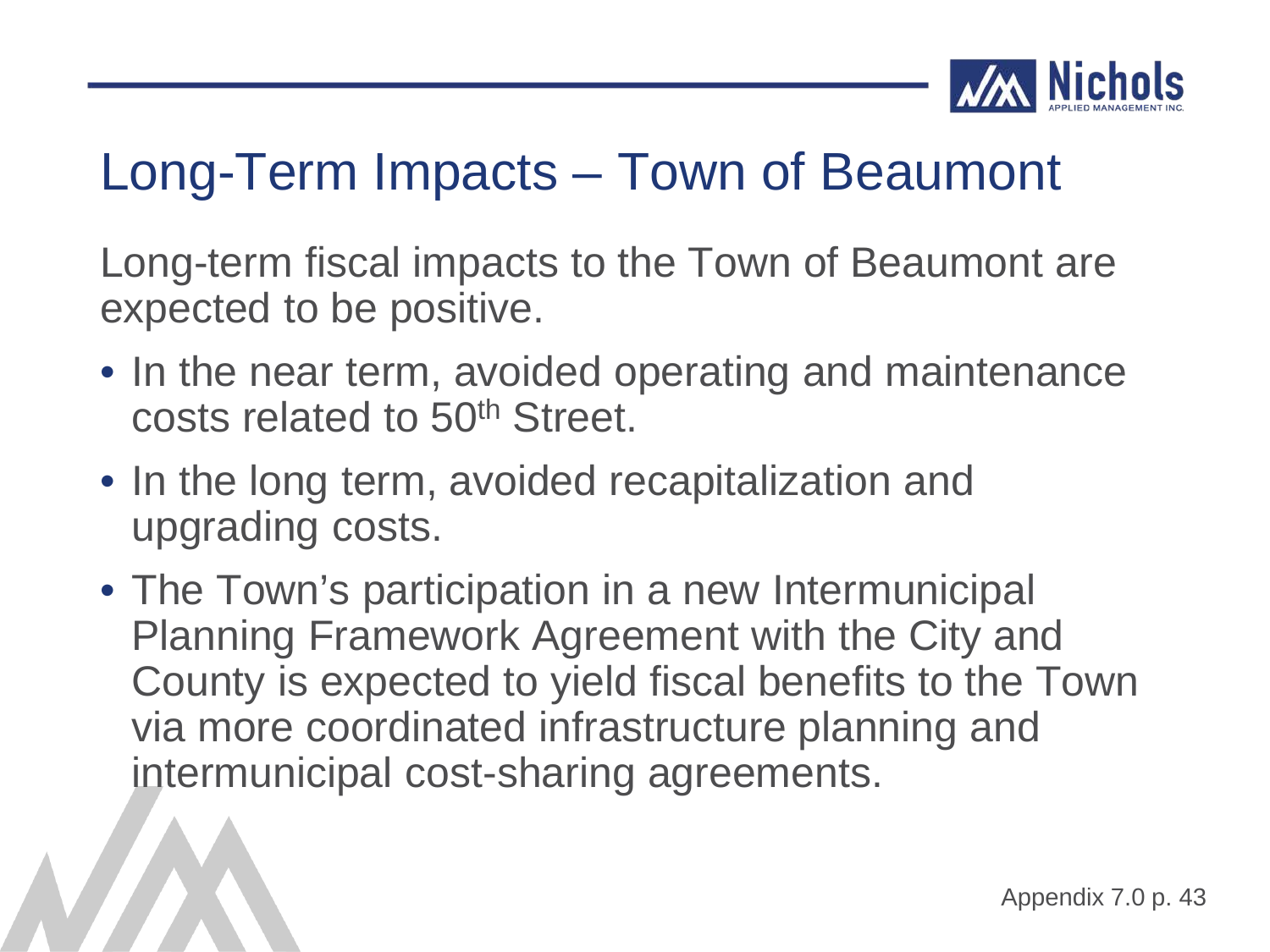![](_page_54_Picture_0.jpeg)

#### Long-Term Impacts – Town of Beaumont

Long-term fiscal impacts to the Town of Beaumont are expected to be positive.

- In the near term, avoided operating and maintenance costs related to 50th Street.
- In the long term, avoided recapitalization and upgrading costs.
- The Town's participation in a new Intermunicipal Planning Framework Agreement with the City and County is expected to yield fiscal benefits to the Town via more coordinated infrastructure planning and intermunicipal cost-sharing agreements.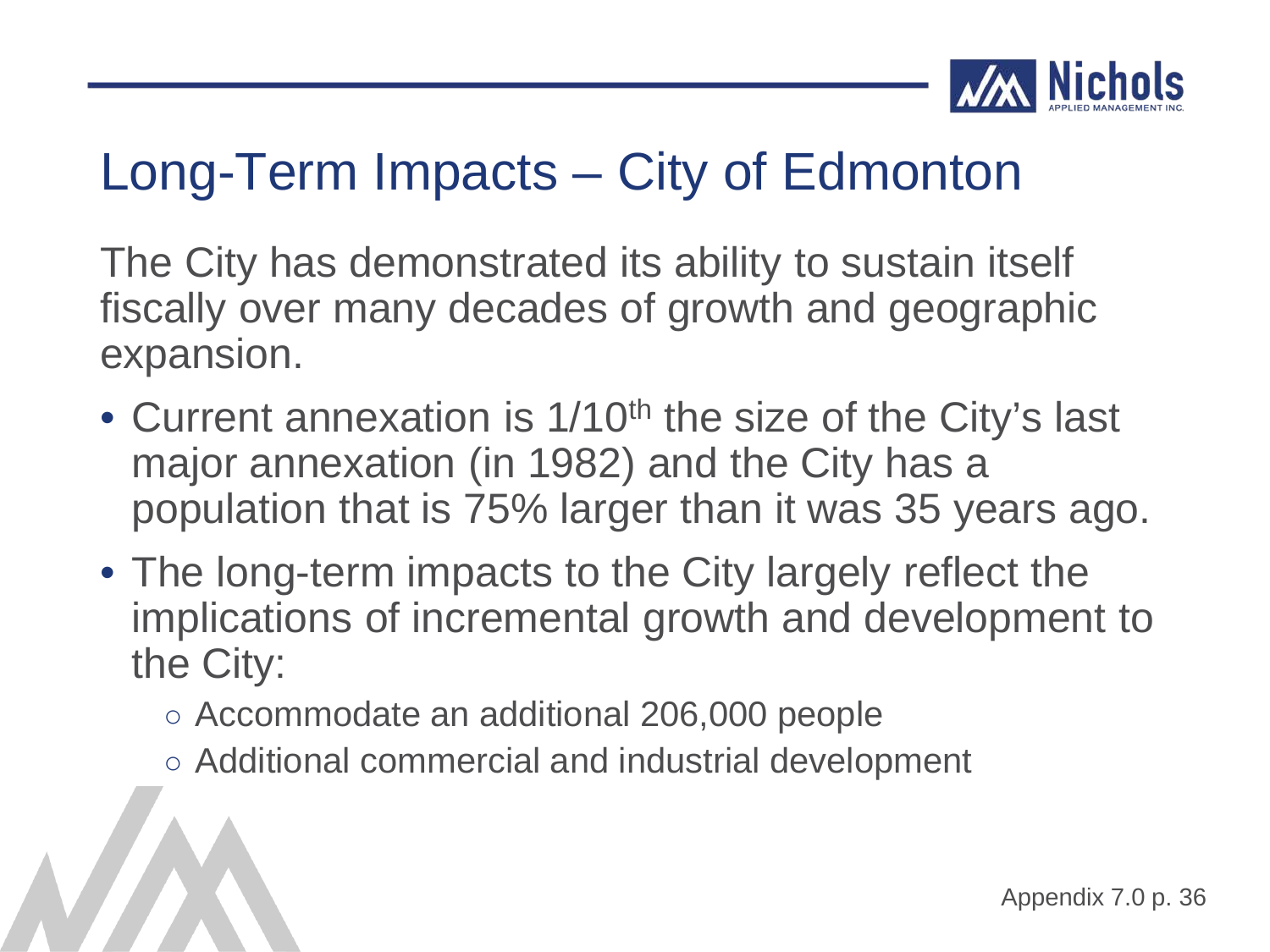![](_page_55_Picture_0.jpeg)

The City has demonstrated its ability to sustain itself fiscally over many decades of growth and geographic expansion.

- Current annexation is 1/10<sup>th</sup> the size of the City's last major annexation (in 1982) and the City has a population that is 75% larger than it was 35 years ago.
- The long-term impacts to the City largely reflect the implications of incremental growth and development to the City:
	- Accommodate an additional 206,000 people
	- Additional commercial and industrial development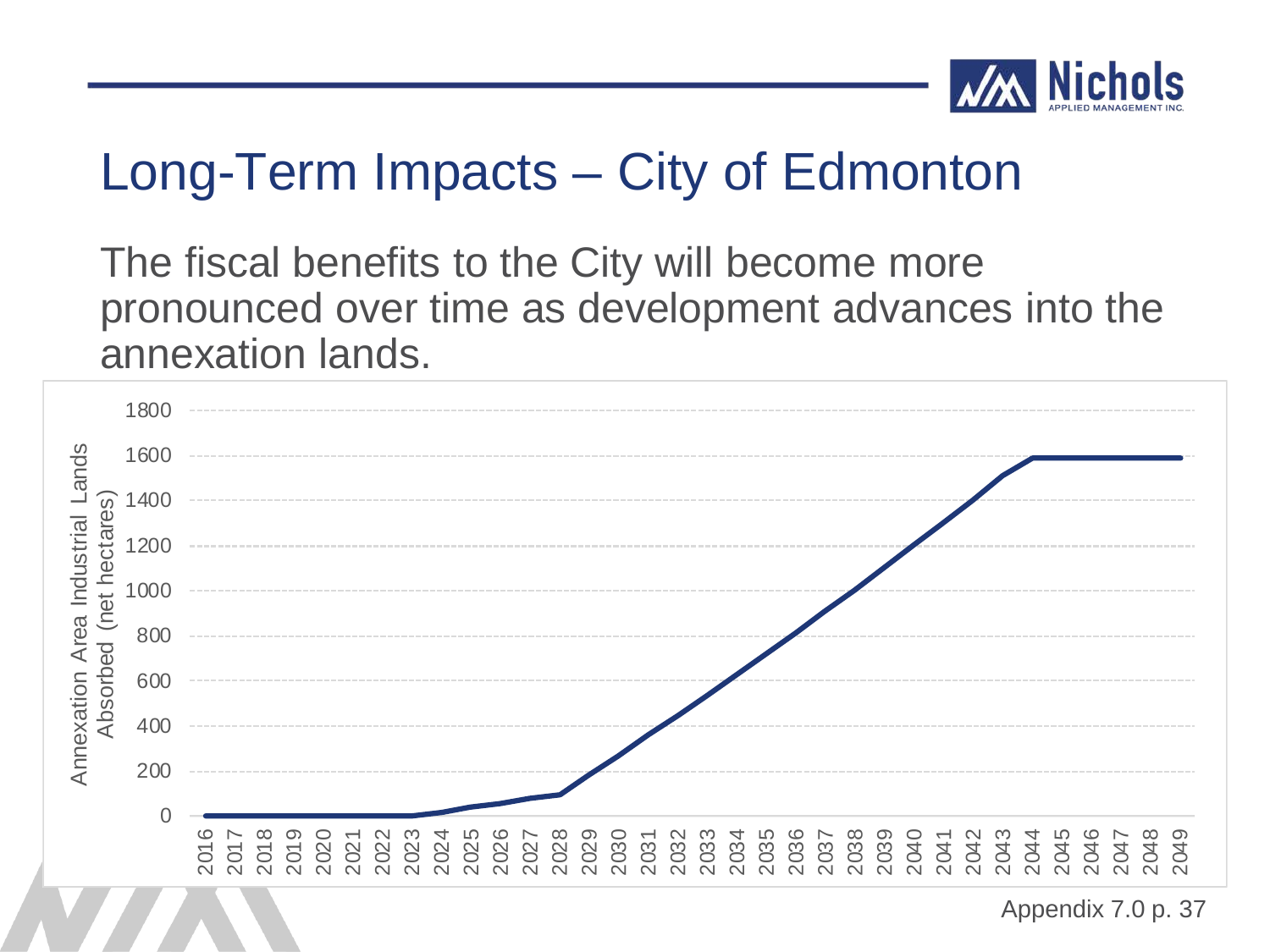![](_page_56_Picture_0.jpeg)

The fiscal benefits to the City will become more pronounced over time as development advances into the annexation lands.

![](_page_56_Figure_3.jpeg)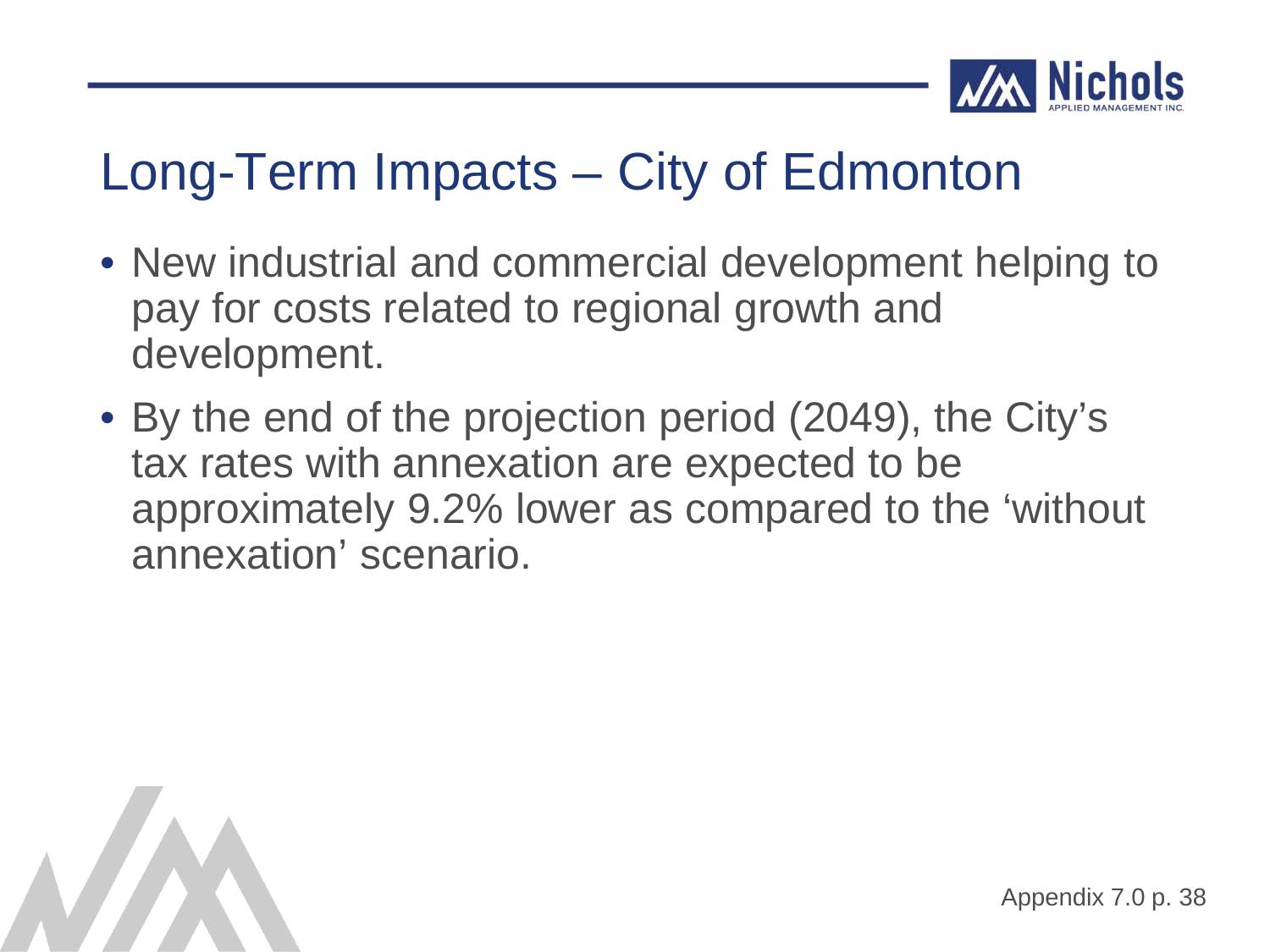![](_page_57_Picture_0.jpeg)

- New industrial and commercial development helping to pay for costs related to regional growth and development.
- By the end of the projection period (2049), the City's tax rates with annexation are expected to be approximately 9.2% lower as compared to the 'without annexation' scenario.

![](_page_57_Picture_4.jpeg)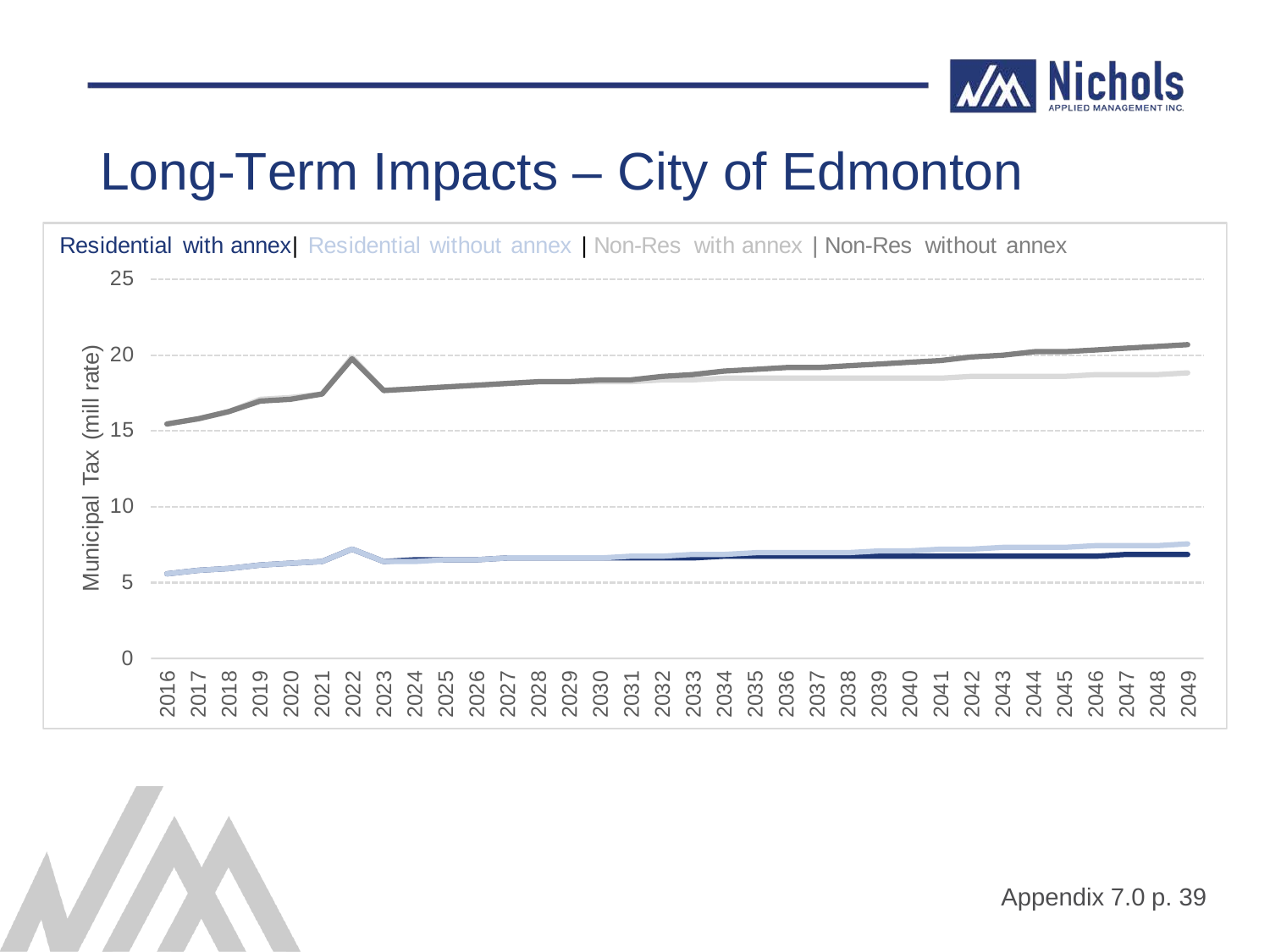![](_page_58_Picture_0.jpeg)

![](_page_58_Figure_2.jpeg)

![](_page_58_Picture_3.jpeg)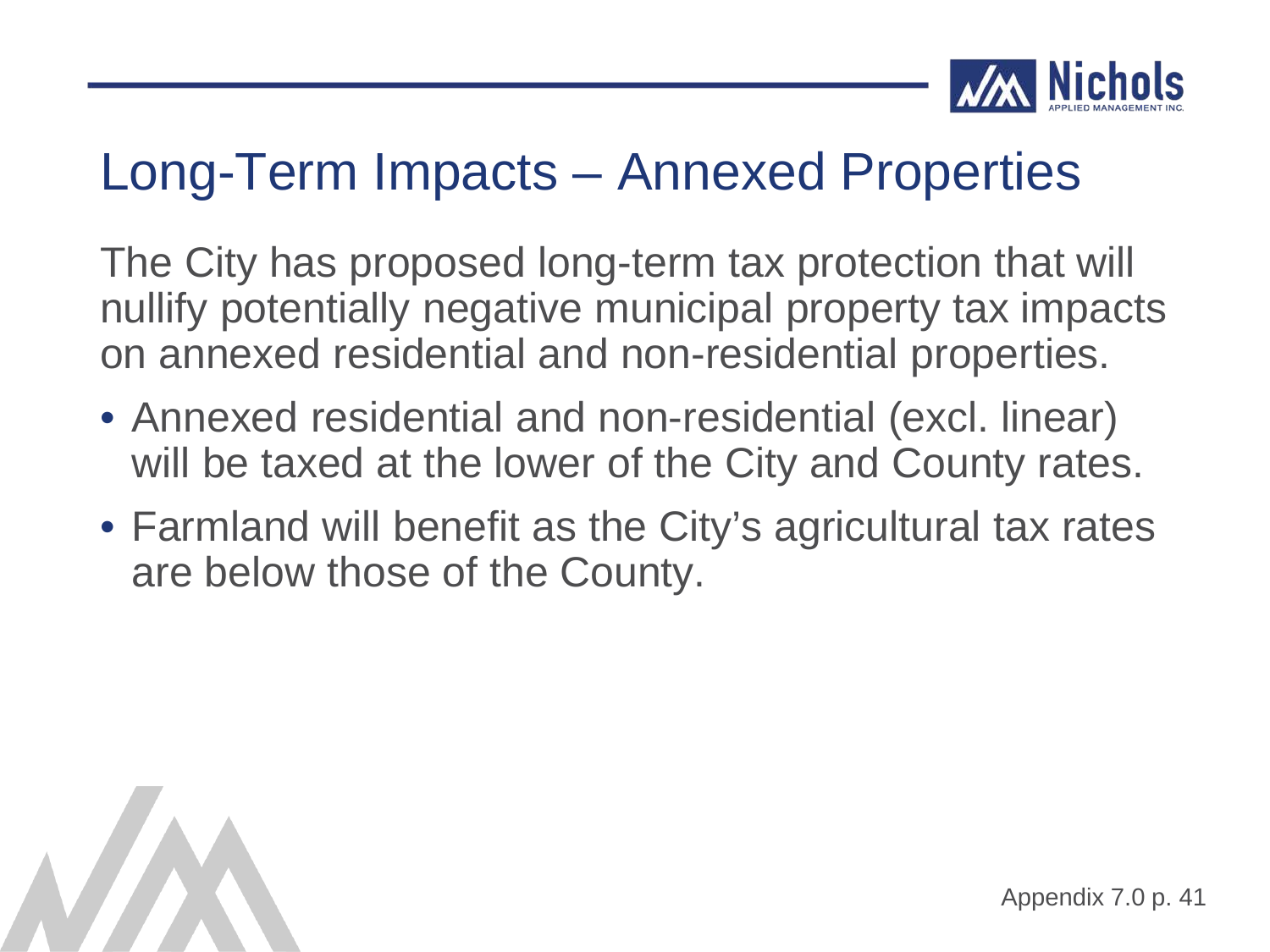![](_page_59_Picture_0.jpeg)

#### Long-Term Impacts – Annexed Properties

The City has proposed long-term tax protection that will nullify potentially negative municipal property tax impacts on annexed residential and non-residential properties.

- Annexed residential and non-residential (excl. linear) will be taxed at the lower of the City and County rates.
- Farmland will benefit as the City's agricultural tax rates are below those of the County.

![](_page_59_Picture_5.jpeg)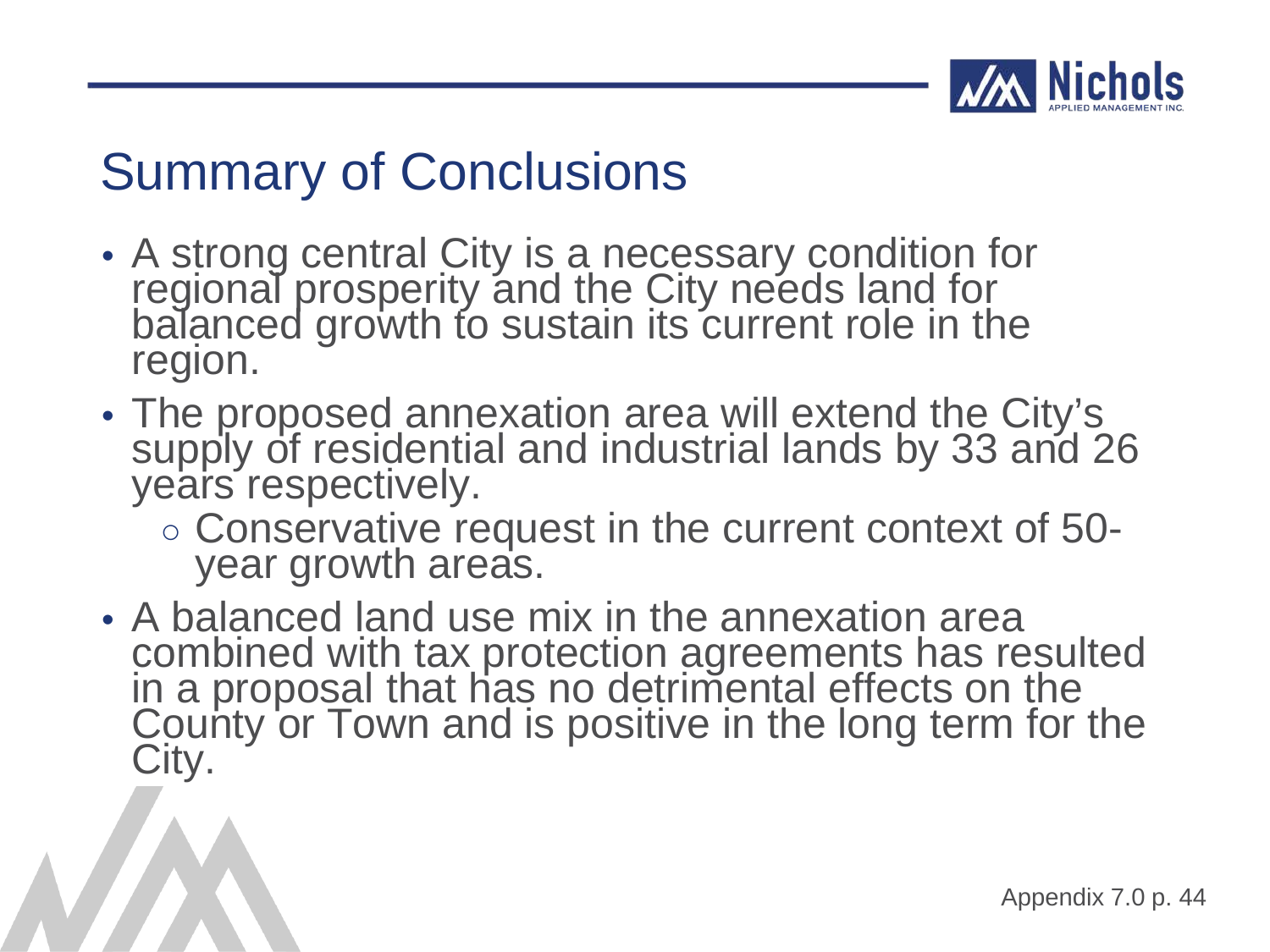![](_page_60_Picture_0.jpeg)

### Summary of Conclusions

- A strong central City is a necessary condition for regional prosperity and the City needs land for balanced growth to sustain its current role in the region.
- The proposed annexation area will extend the City's supply of residential and industrial lands by 33 and 26 years respectively.
	- Conservative request in the current context of 50- year growth areas.
- A balanced land use mix in the annexation area combined with tax protection agreements has resulted in a proposal that has no detrimental effects on the County or Town and is positive in the long term for the City.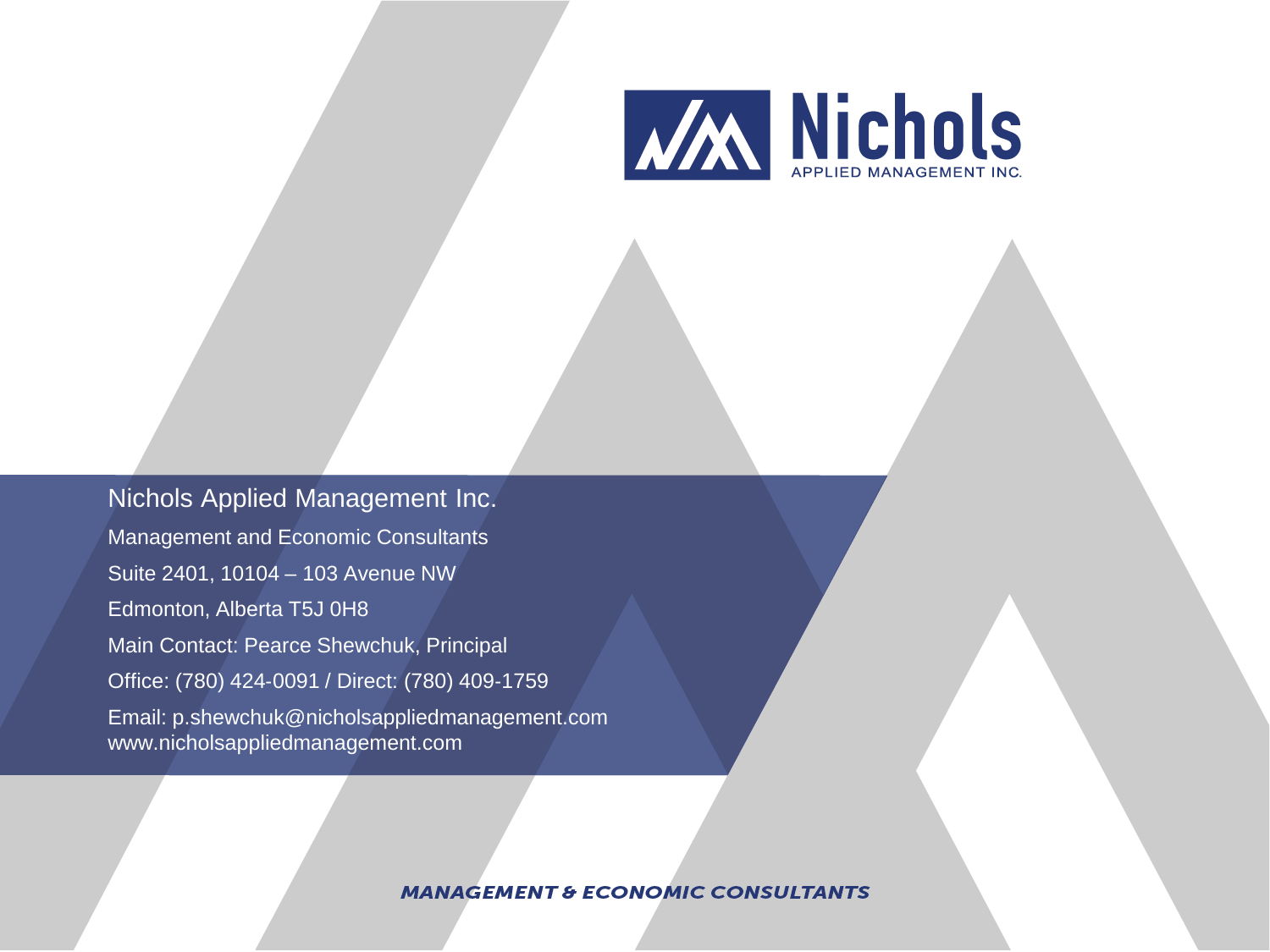![](_page_61_Picture_0.jpeg)

Nichols Applied Management Inc. Management and Economic Consultants Suite 2401, 10104 – 103 Avenue NW Edmonton, Alberta T5J 0H8 Main Contact: Pearce Shewchuk, Principal Office: (780) 424‐0091 / Direct: (780) 409‐1759 Email: p.shewchuk@nicholsappliedmanagement.com www.nicholsappliedmanagement.com

**MANAGEMENT & ECONOMIC CONSULTANTS**